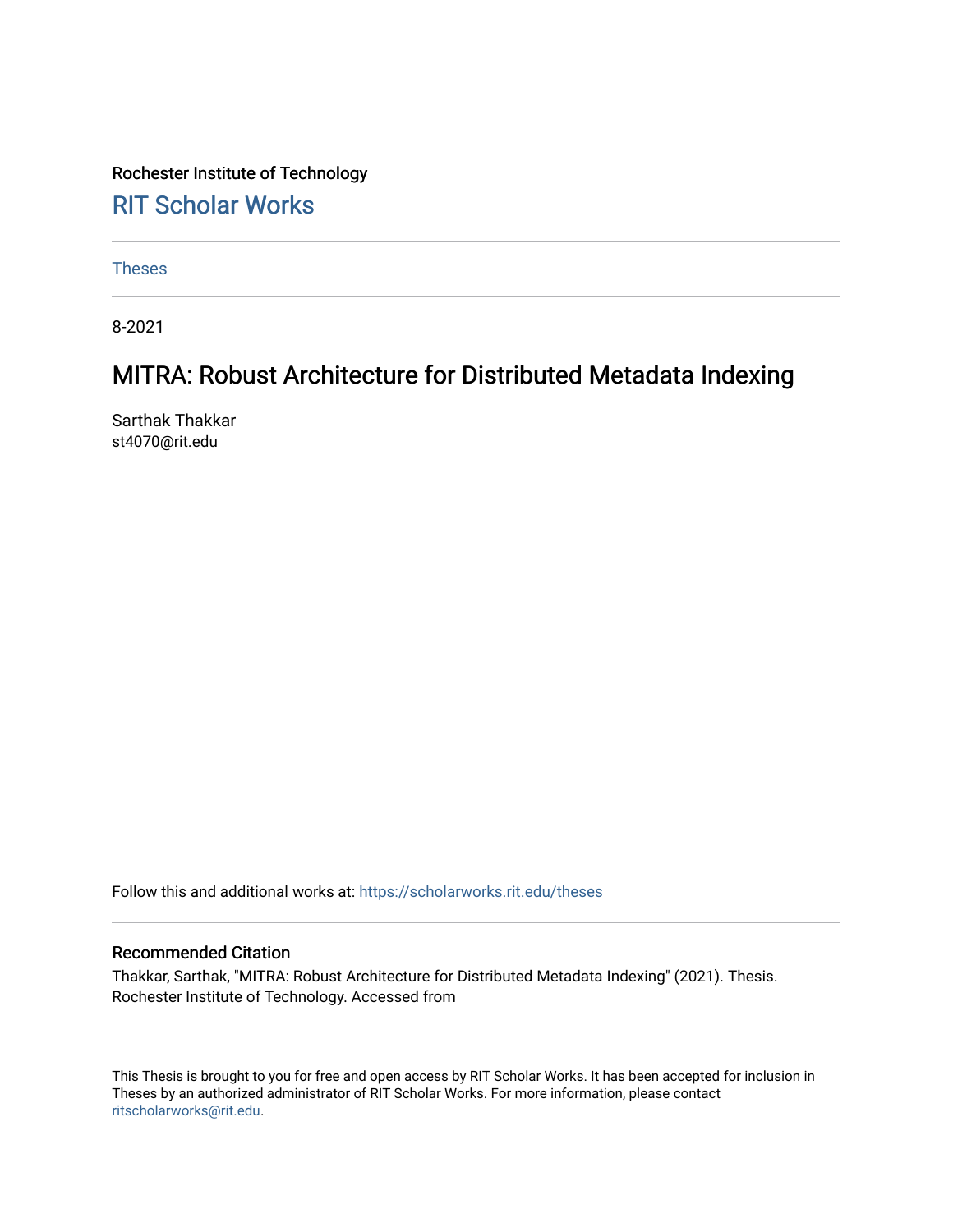# Rochester Institute of Technology [RIT Scholar Works](https://scholarworks.rit.edu/)

[Theses](https://scholarworks.rit.edu/theses) 

8-2021

# MITRA: Robust Architecture for Distributed Metadata Indexing

Sarthak Thakkar st4070@rit.edu

Follow this and additional works at: [https://scholarworks.rit.edu/theses](https://scholarworks.rit.edu/theses?utm_source=scholarworks.rit.edu%2Ftheses%2F10917&utm_medium=PDF&utm_campaign=PDFCoverPages) 

#### Recommended Citation

Thakkar, Sarthak, "MITRA: Robust Architecture for Distributed Metadata Indexing" (2021). Thesis. Rochester Institute of Technology. Accessed from

This Thesis is brought to you for free and open access by RIT Scholar Works. It has been accepted for inclusion in Theses by an authorized administrator of RIT Scholar Works. For more information, please contact [ritscholarworks@rit.edu](mailto:ritscholarworks@rit.edu).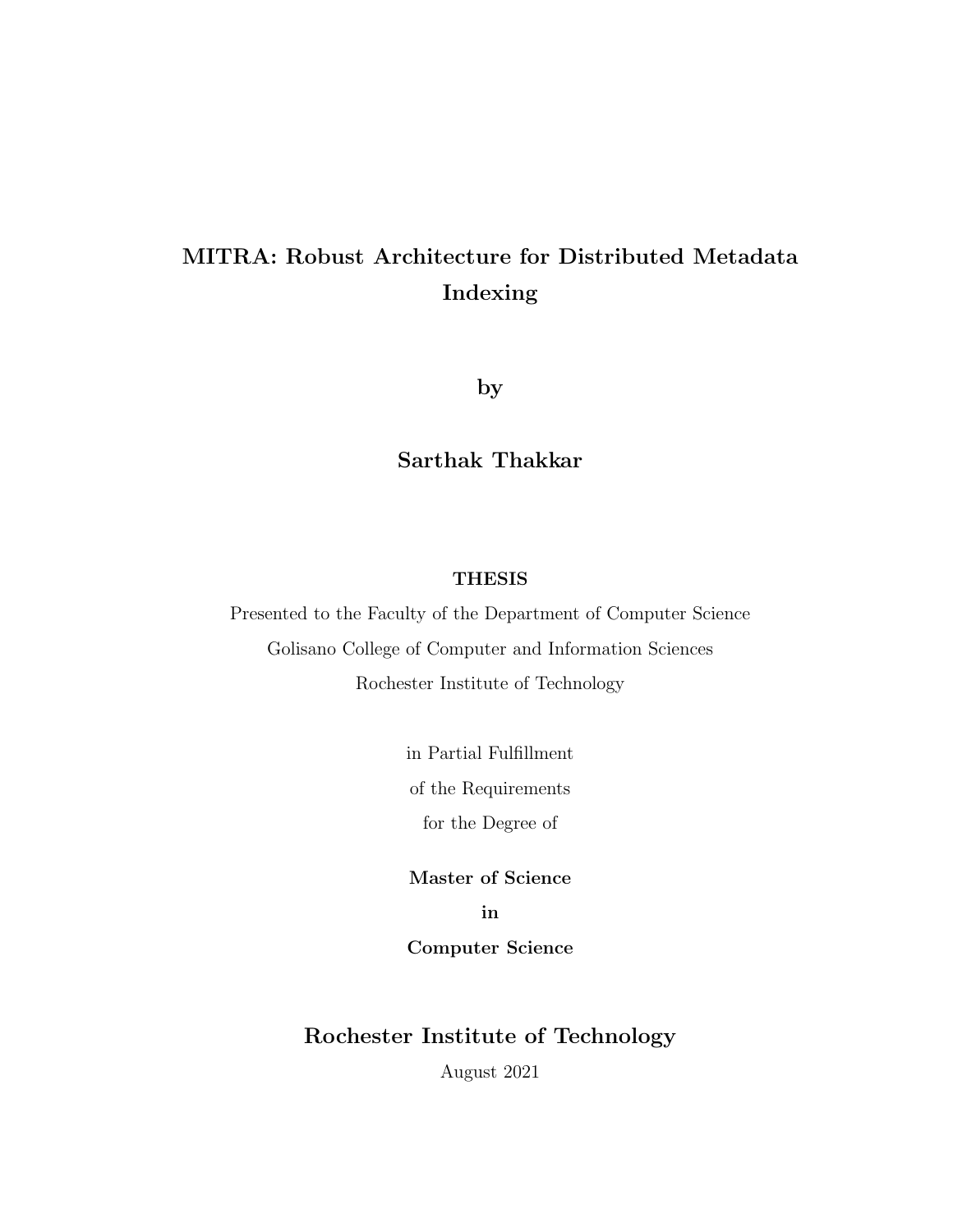# MITRA: Robust Architecture for Distributed Metadata Indexing

by

# Sarthak Thakkar

## THESIS

Presented to the Faculty of the Department of Computer Science Golisano College of Computer and Information Sciences Rochester Institute of Technology

> in Partial Fulfillment of the Requirements for the Degree of

Master of Science in

Computer Science

## Rochester Institute of Technology

August 2021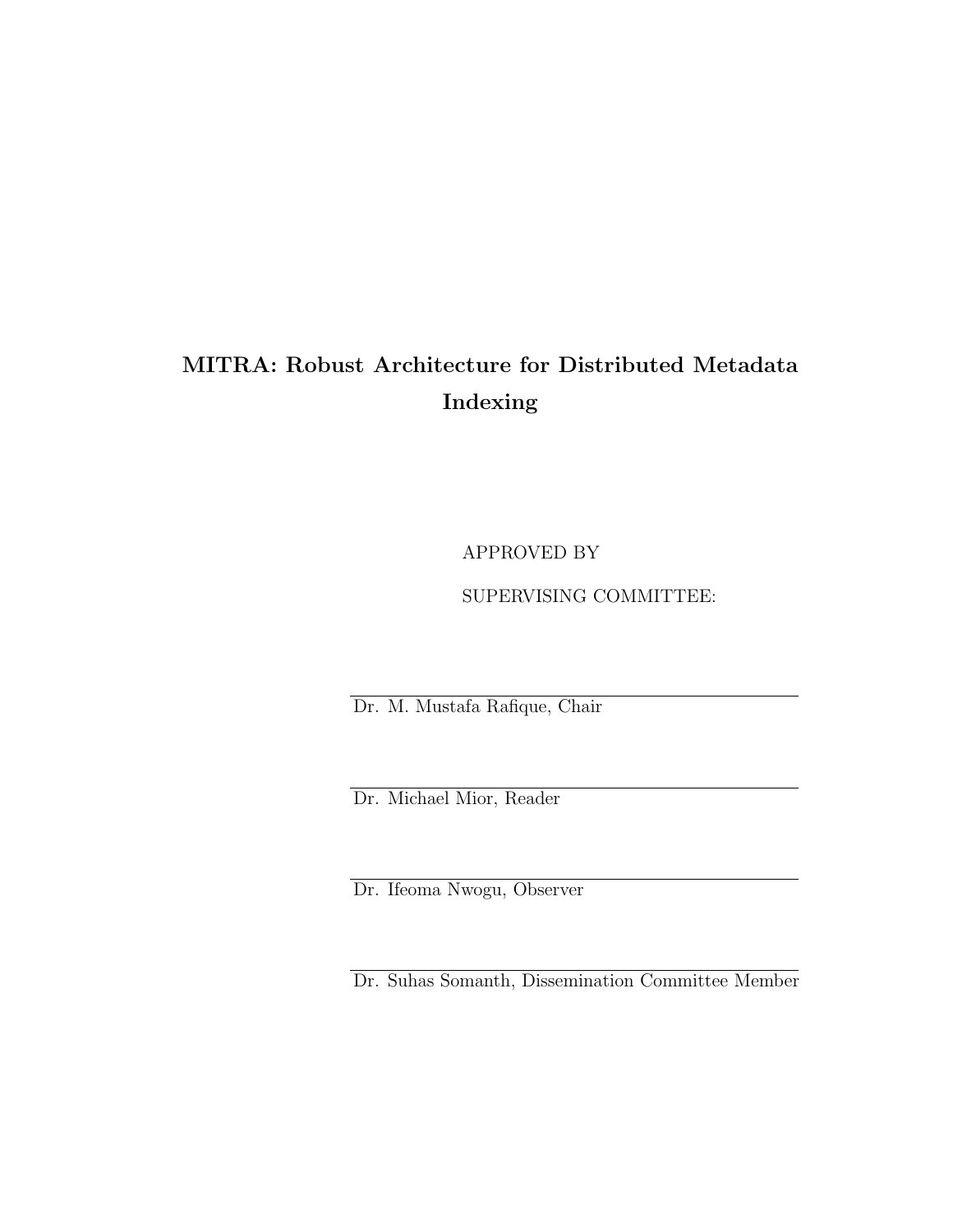# MITRA: Robust Architecture for Distributed Metadata Indexing

APPROVED BY

## SUPERVISING COMMITTEE:

Dr. M. Mustafa Rafique, Chair

Dr. Michael Mior, Reader

Dr. Ifeoma Nwogu, Observer

Dr. Suhas Somanth, Dissemination Committee Member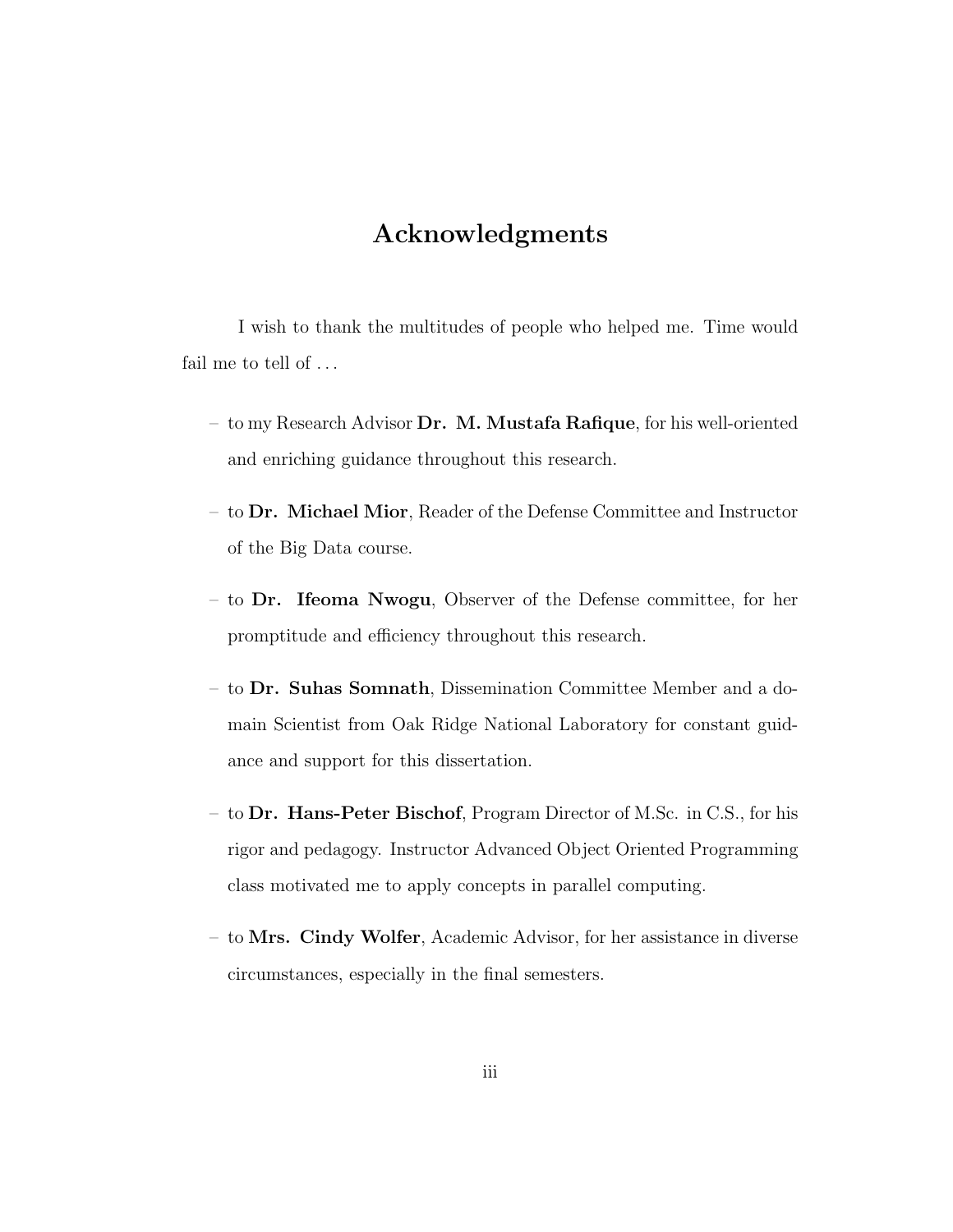# Acknowledgments

I wish to thank the multitudes of people who helped me. Time would fail me to tell of ...

- to my Research Advisor  $\mathbf{Dr. M.}$  Mustafa Rafique, for his well-oriented and enriching guidance throughout this research.
- to Dr. Michael Mior, Reader of the Defense Committee and Instructor of the Big Data course.
- to Dr. Ifeoma Nwogu, Observer of the Defense committee, for her promptitude and efficiency throughout this research.
- to Dr. Suhas Somnath, Dissemination Committee Member and a domain Scientist from Oak Ridge National Laboratory for constant guidance and support for this dissertation.
- to Dr. Hans-Peter Bischof, Program Director of M.Sc. in C.S., for his rigor and pedagogy. Instructor Advanced Object Oriented Programming class motivated me to apply concepts in parallel computing.
- to Mrs. Cindy Wolfer, Academic Advisor, for her assistance in diverse circumstances, especially in the final semesters.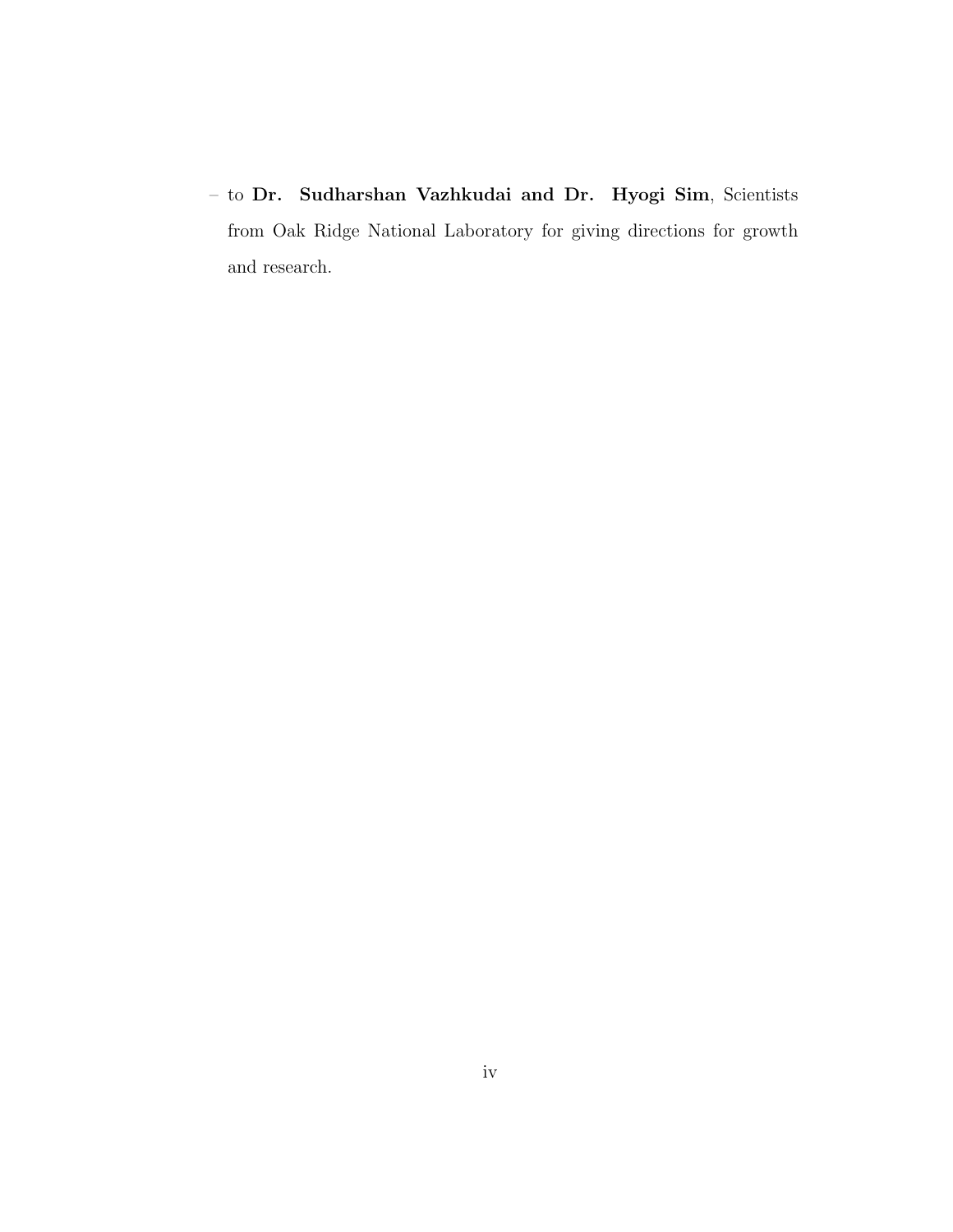– to Dr. Sudharshan Vazhkudai and Dr. Hyogi Sim, Scientists from Oak Ridge National Laboratory for giving directions for growth and research.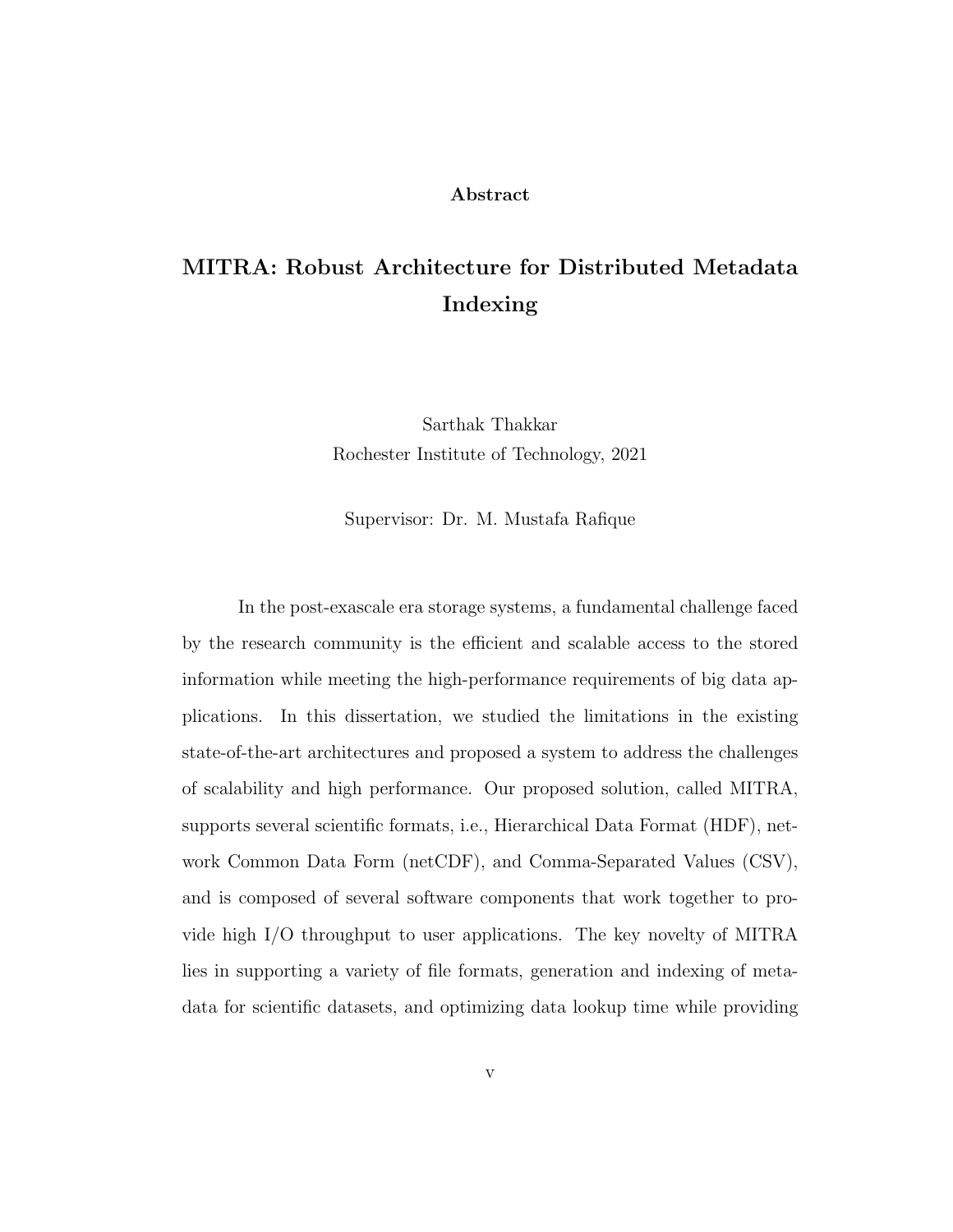#### Abstract

# MITRA: Robust Architecture for Distributed Metadata Indexing

Sarthak Thakkar Rochester Institute of Technology, 2021

Supervisor: Dr. M. Mustafa Rafique

In the post-exascale era storage systems, a fundamental challenge faced by the research community is the efficient and scalable access to the stored information while meeting the high-performance requirements of big data applications. In this dissertation, we studied the limitations in the existing state-of-the-art architectures and proposed a system to address the challenges of scalability and high performance. Our proposed solution, called MITRA, supports several scientific formats, i.e., Hierarchical Data Format (HDF), network Common Data Form (netCDF), and Comma-Separated Values (CSV), and is composed of several software components that work together to provide high I/O throughput to user applications. The key novelty of MITRA lies in supporting a variety of file formats, generation and indexing of metadata for scientific datasets, and optimizing data lookup time while providing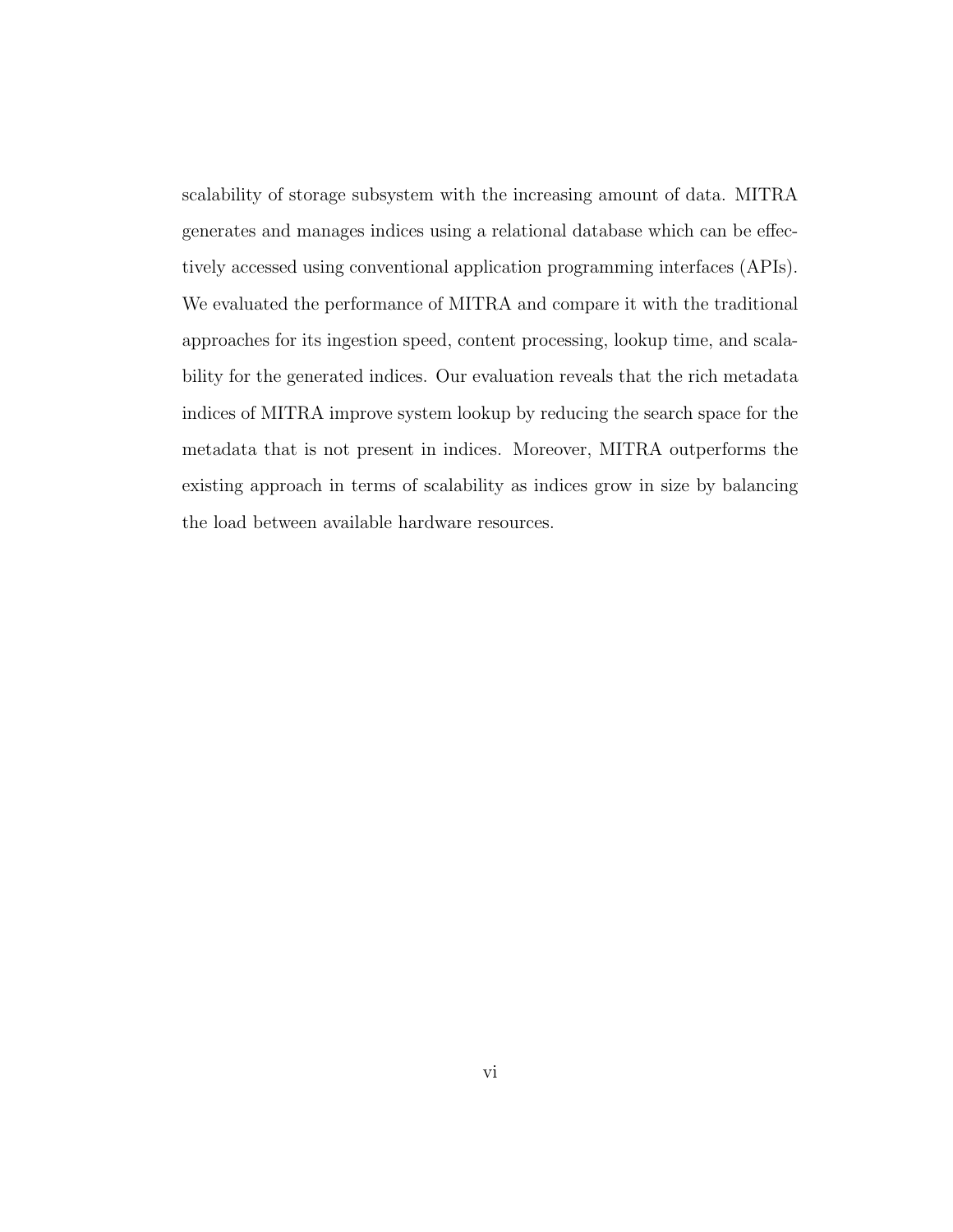scalability of storage subsystem with the increasing amount of data. MITRA generates and manages indices using a relational database which can be effectively accessed using conventional application programming interfaces (APIs). We evaluated the performance of MITRA and compare it with the traditional approaches for its ingestion speed, content processing, lookup time, and scalability for the generated indices. Our evaluation reveals that the rich metadata indices of MITRA improve system lookup by reducing the search space for the metadata that is not present in indices. Moreover, MITRA outperforms the existing approach in terms of scalability as indices grow in size by balancing the load between available hardware resources.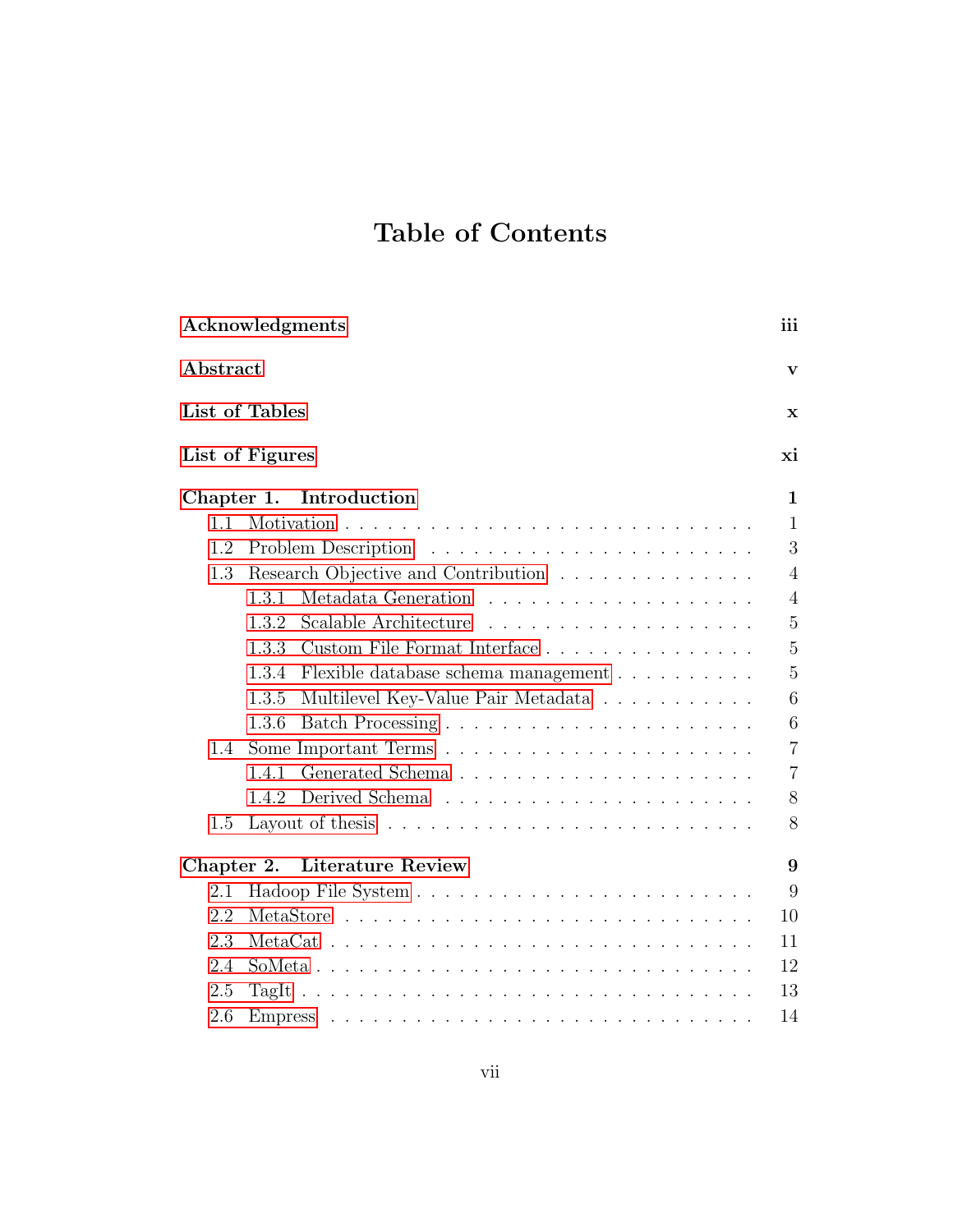# Table of Contents

| Acknowledgments |                                                                                                                                                                                                                                                 |                |  |  |  |
|-----------------|-------------------------------------------------------------------------------------------------------------------------------------------------------------------------------------------------------------------------------------------------|----------------|--|--|--|
| Abstract        |                                                                                                                                                                                                                                                 |                |  |  |  |
|                 | List of Tables                                                                                                                                                                                                                                  |                |  |  |  |
|                 | List of Figures                                                                                                                                                                                                                                 | xi             |  |  |  |
| Chapter 1.      | Introduction                                                                                                                                                                                                                                    | $\mathbf{1}$   |  |  |  |
| 1.1             |                                                                                                                                                                                                                                                 | $\mathbf{1}$   |  |  |  |
| 1.2             | Problem Description                                                                                                                                                                                                                             | 3              |  |  |  |
| 1.3             | Research Objective and Contribution                                                                                                                                                                                                             | $\overline{4}$ |  |  |  |
|                 | 1.3.1                                                                                                                                                                                                                                           | $\overline{4}$ |  |  |  |
|                 | Scalable Architecture<br>1.3.2<br>.                                                                                                                                                                                                             | $\overline{5}$ |  |  |  |
|                 | 1.3.3                                                                                                                                                                                                                                           | $\overline{5}$ |  |  |  |
|                 | 1.3.4<br>Flexible database schema management                                                                                                                                                                                                    | $\overline{5}$ |  |  |  |
|                 | 1.3.5<br>Multilevel Key-Value Pair Metadata                                                                                                                                                                                                     | 6              |  |  |  |
|                 | 1.3.6                                                                                                                                                                                                                                           | 6              |  |  |  |
| 1.4             |                                                                                                                                                                                                                                                 | $\overline{7}$ |  |  |  |
|                 | 1.4.1                                                                                                                                                                                                                                           | $\overline{7}$ |  |  |  |
|                 | 1.4.2                                                                                                                                                                                                                                           | 8              |  |  |  |
| 1.5             | Layout of thesis $\ldots \ldots \ldots \ldots \ldots \ldots \ldots \ldots$                                                                                                                                                                      | 8              |  |  |  |
| Chapter 2.      | <b>Literature Review</b>                                                                                                                                                                                                                        | 9              |  |  |  |
| 2.1             |                                                                                                                                                                                                                                                 | 9              |  |  |  |
| 2.2             |                                                                                                                                                                                                                                                 | 10             |  |  |  |
| 2.3             |                                                                                                                                                                                                                                                 |                |  |  |  |
| 2.4             |                                                                                                                                                                                                                                                 | 12             |  |  |  |
| 2.5             |                                                                                                                                                                                                                                                 | 13             |  |  |  |
| 2.6             | <b>Empress</b><br>and a complete service of the complete service of the complete service of the complete service of the complete service of the complete service of the complete service of the complete service of the complete service of the | 14             |  |  |  |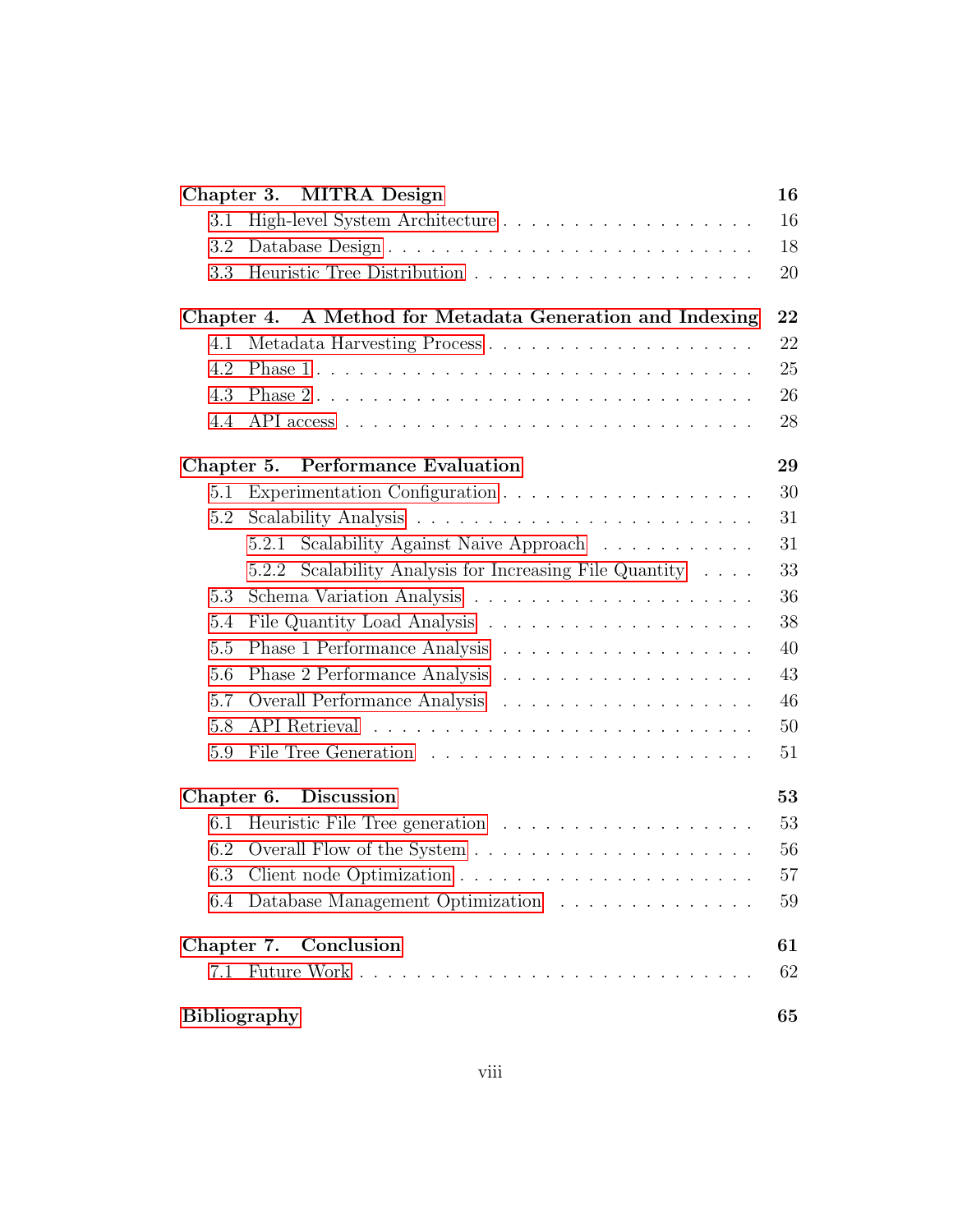| Chapter 3. MITRA Design         |                                                              |
|---------------------------------|--------------------------------------------------------------|
| 3.1                             |                                                              |
| 3.2                             |                                                              |
| 3.3                             |                                                              |
|                                 | Chapter 4. A Method for Metadata Generation and Indexing     |
| 4.1                             |                                                              |
| 4.2                             |                                                              |
| 4.3                             |                                                              |
| 4.4                             |                                                              |
| Chapter 5.                      | <b>Performance Evaluation</b>                                |
| 5.1                             |                                                              |
| 5.2                             |                                                              |
| 5.2.1                           | Scalability Against Naive Approach                           |
| 5.2.2                           | Scalability Analysis for Increasing File Quantity $\ldots$ . |
| 5.3                             |                                                              |
| 5.4                             |                                                              |
| 5.5                             |                                                              |
| 5.6                             |                                                              |
| 5.7                             |                                                              |
| 5.8                             |                                                              |
| 5.9                             |                                                              |
| Chapter 6.<br><b>Discussion</b> |                                                              |
| 6.1                             |                                                              |
| 6.2                             |                                                              |
| 6.3                             |                                                              |
|                                 | 6.4 Database Management Optimization                         |
| Chapter 7. Conclusion           |                                                              |
|                                 |                                                              |
| <b>Bibliography</b>             |                                                              |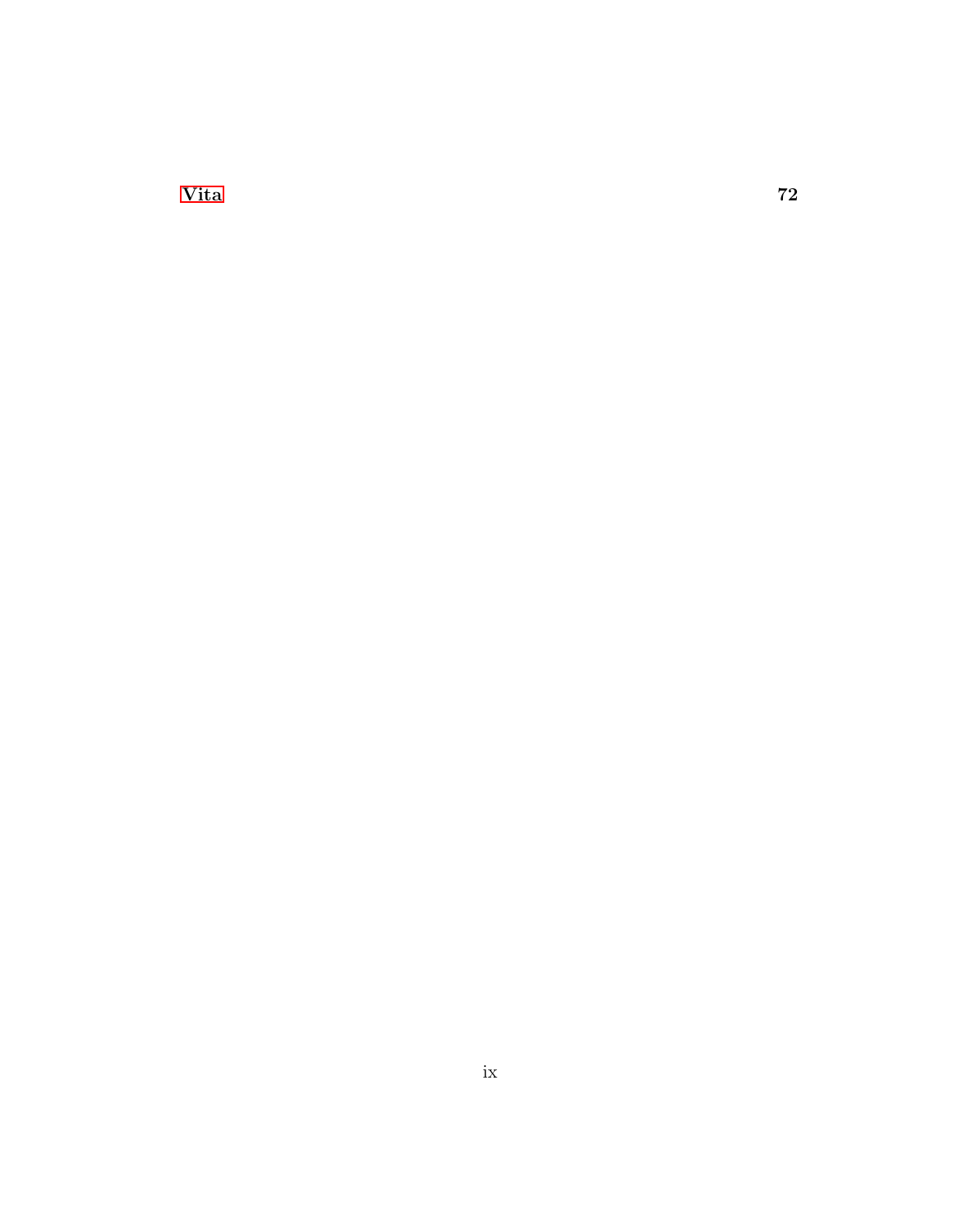Vita  $72$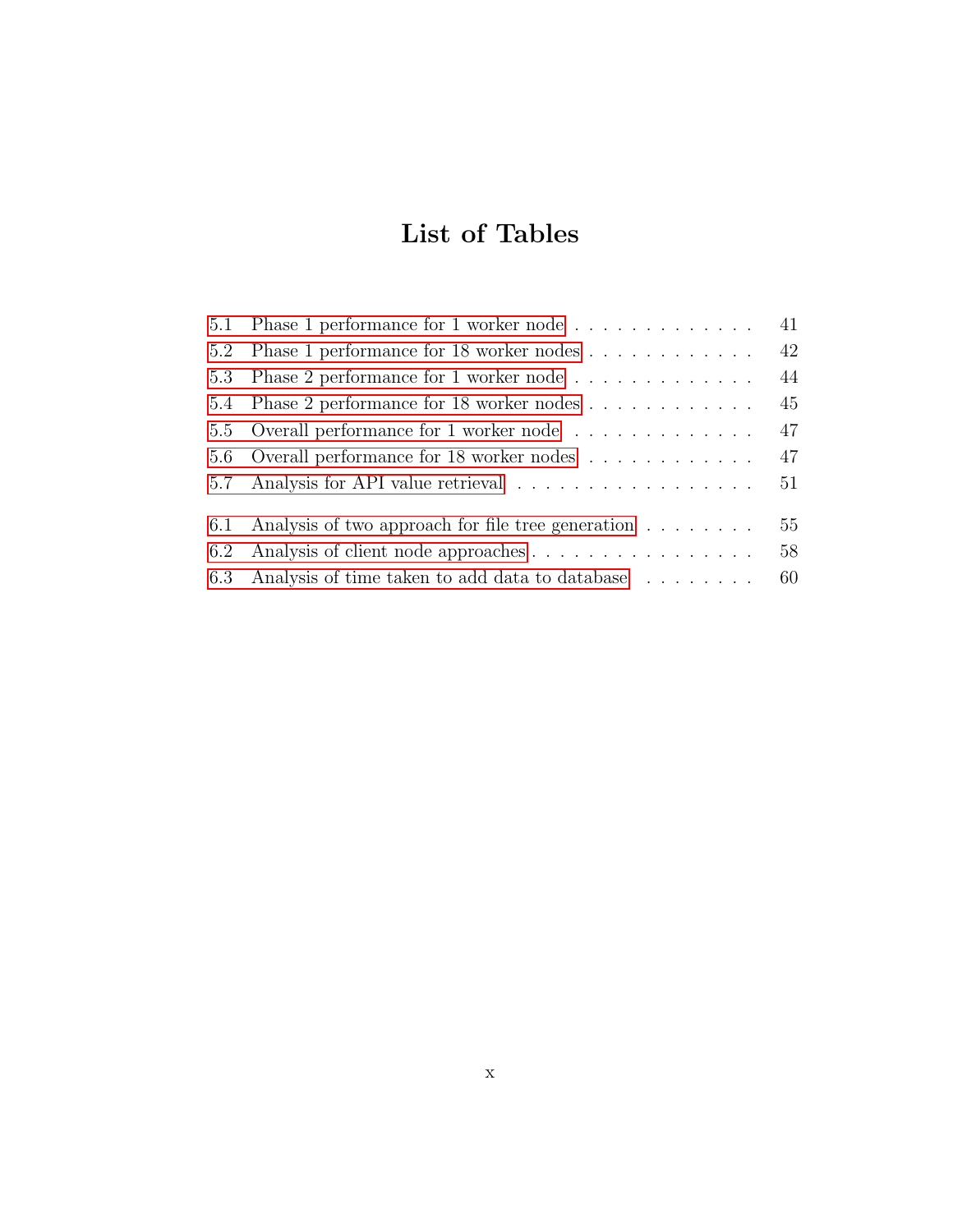# List of Tables

| 5.1 Phase 1 performance for 1 worker node             | 41 |
|-------------------------------------------------------|----|
| 5.2 Phase 1 performance for 18 worker nodes           | 42 |
| 5.3 Phase 2 performance for 1 worker node             | 44 |
| 5.4 Phase 2 performance for 18 worker nodes           | 45 |
| 5.5 Overall performance for 1 worker node             | 47 |
| 5.6 Overall performance for 18 worker nodes           | 47 |
|                                                       | 51 |
| 6.1 Analysis of two approach for file tree generation | 55 |
|                                                       |    |
|                                                       | 58 |
| 6.3 Analysis of time taken to add data to database    | 60 |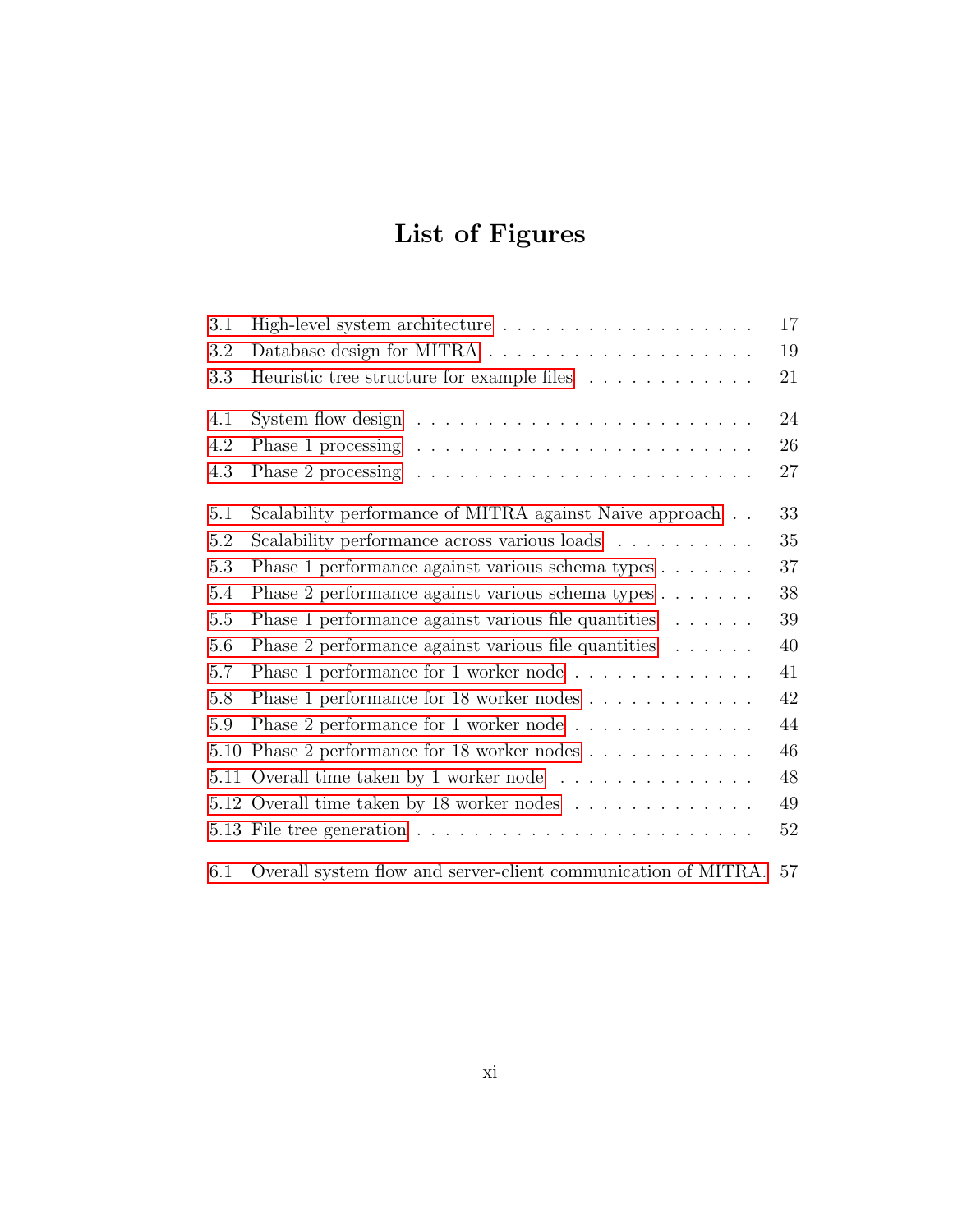# List of Figures

| 3.1  |                                                                              | 17 |
|------|------------------------------------------------------------------------------|----|
| 3.2  | Database design for MITRA $\ldots \ldots \ldots \ldots \ldots \ldots \ldots$ | 19 |
| 3.3  | Heuristic tree structure for example files                                   | 21 |
|      |                                                                              |    |
| 4.1  | System flow design $\dots \dots \dots \dots \dots \dots \dots \dots \dots$   | 24 |
| 4.2  |                                                                              | 26 |
| 4.3  |                                                                              | 27 |
| 5.1  | Scalability performance of MITRA against Naive approach                      | 33 |
| 5.2  | Scalability performance across various loads                                 | 35 |
| 5.3  | Phase 1 performance against various schema types                             | 37 |
| 5.4  | Phase 2 performance against various schema types                             | 38 |
| 5.5  | Phase 1 performance against various file quantities                          | 39 |
| 5.6  | Phase 2 performance against various file quantities                          | 40 |
| 5.7  | Phase 1 performance for 1 worker node                                        | 41 |
| 5.8  | Phase 1 performance for 18 worker nodes                                      | 42 |
| 5.9  | Phase 2 performance for 1 worker node $\ldots \ldots \ldots \ldots$          | 44 |
| 5.10 | Phase 2 performance for 18 worker nodes                                      | 46 |
|      | 5.11 Overall time taken by 1 worker node $\ldots \ldots \ldots \ldots$       | 48 |
|      | 5.12 Overall time taken by 18 worker nodes $\dots \dots \dots \dots$         | 49 |
|      |                                                                              | 52 |
| 6.1  | Overall system flow and server-client communication of MITRA.                | 57 |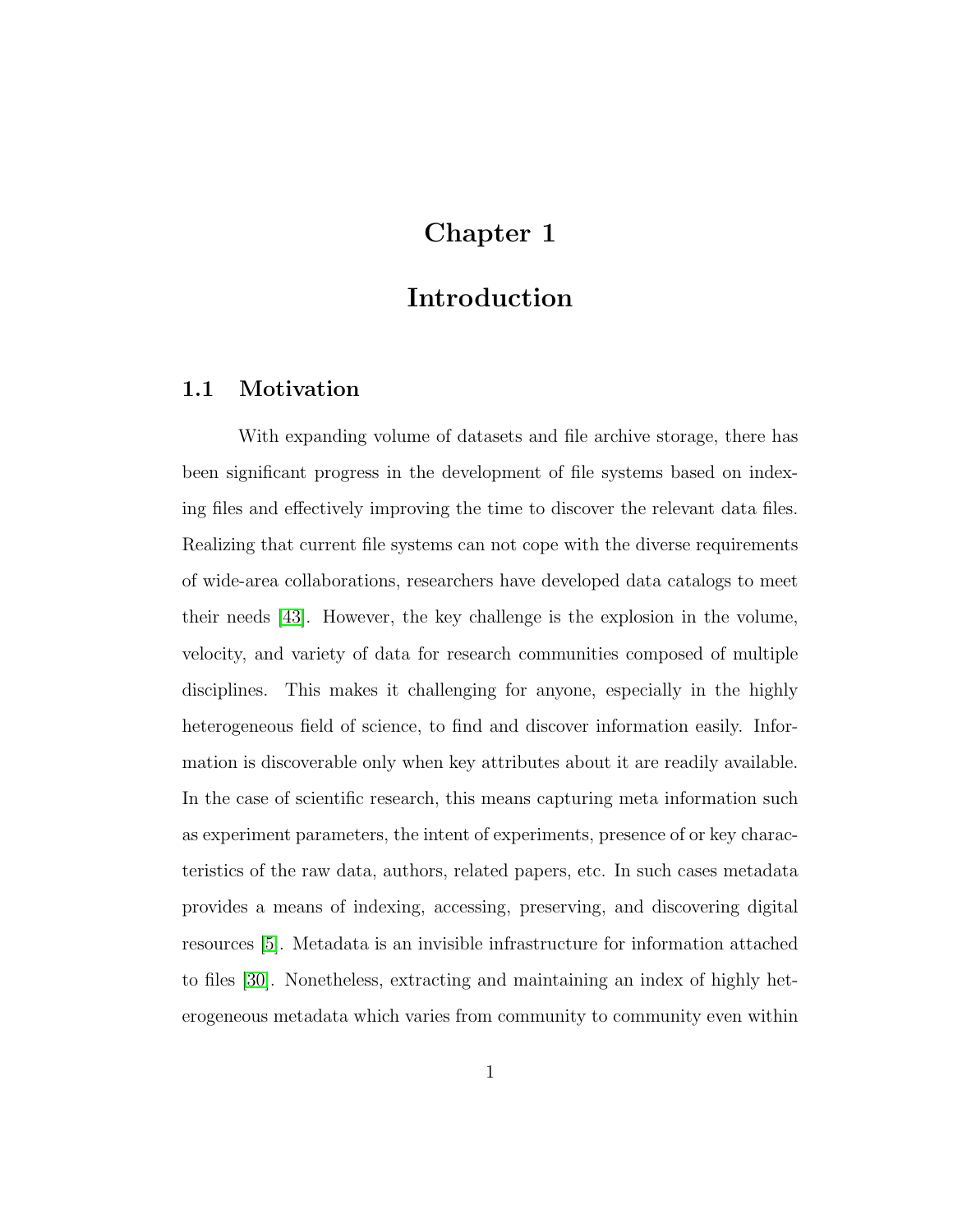# Chapter 1

# Introduction

## 1.1 Motivation

With expanding volume of datasets and file archive storage, there has been significant progress in the development of file systems based on indexing files and effectively improving the time to discover the relevant data files. Realizing that current file systems can not cope with the diverse requirements of wide-area collaborations, researchers have developed data catalogs to meet their needs [43]. However, the key challenge is the explosion in the volume, velocity, and variety of data for research communities composed of multiple disciplines. This makes it challenging for anyone, especially in the highly heterogeneous field of science, to find and discover information easily. Information is discoverable only when key attributes about it are readily available. In the case of scientific research, this means capturing meta information such as experiment parameters, the intent of experiments, presence of or key characteristics of the raw data, authors, related papers, etc. In such cases metadata provides a means of indexing, accessing, preserving, and discovering digital resources [5]. Metadata is an invisible infrastructure for information attached to files [30]. Nonetheless, extracting and maintaining an index of highly heterogeneous metadata which varies from community to community even within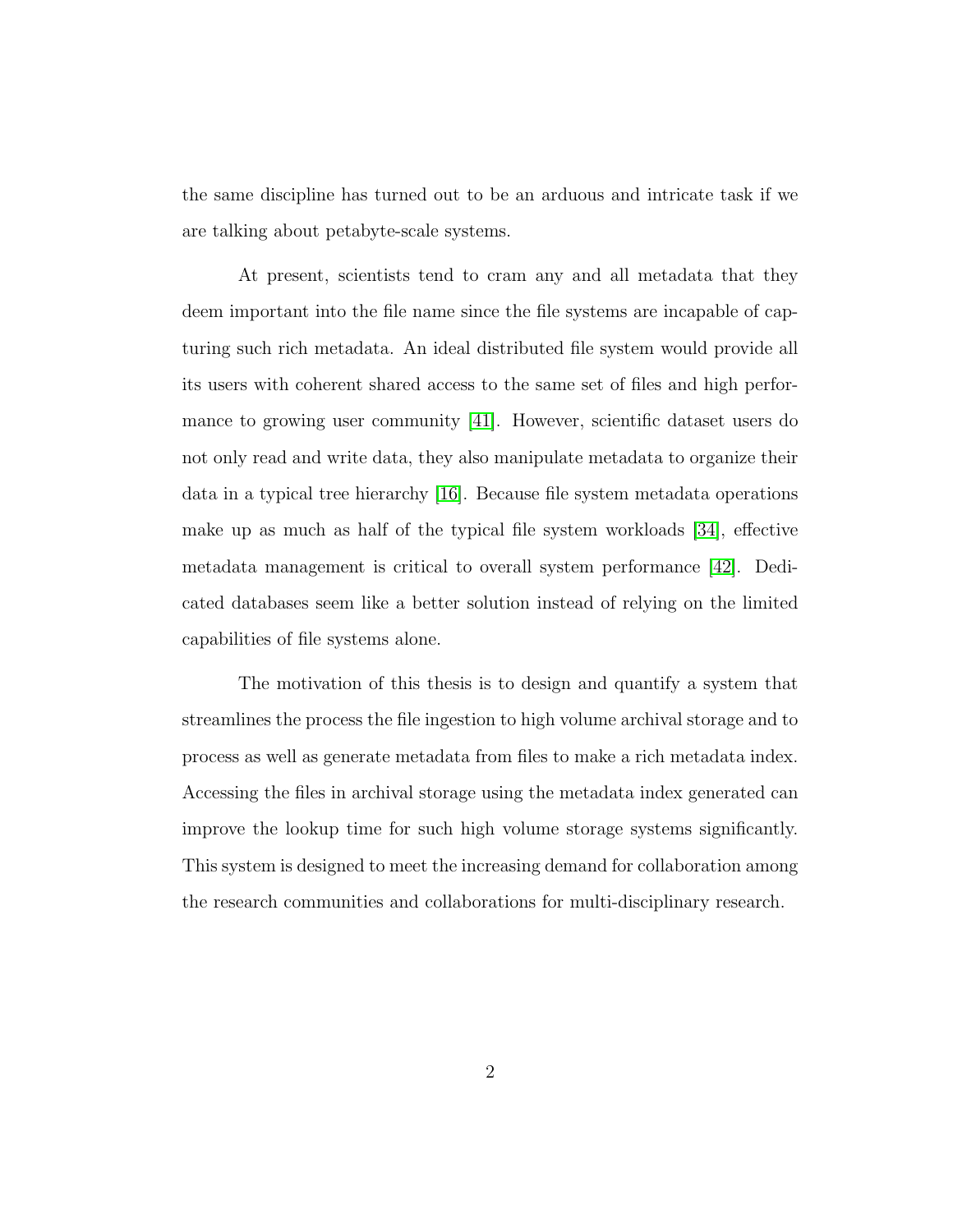the same discipline has turned out to be an arduous and intricate task if we are talking about petabyte-scale systems.

At present, scientists tend to cram any and all metadata that they deem important into the file name since the file systems are incapable of capturing such rich metadata. An ideal distributed file system would provide all its users with coherent shared access to the same set of files and high performance to growing user community [41]. However, scientific dataset users do not only read and write data, they also manipulate metadata to organize their data in a typical tree hierarchy [16]. Because file system metadata operations make up as much as half of the typical file system workloads [34], effective metadata management is critical to overall system performance [42]. Dedicated databases seem like a better solution instead of relying on the limited capabilities of file systems alone.

The motivation of this thesis is to design and quantify a system that streamlines the process the file ingestion to high volume archival storage and to process as well as generate metadata from files to make a rich metadata index. Accessing the files in archival storage using the metadata index generated can improve the lookup time for such high volume storage systems significantly. This system is designed to meet the increasing demand for collaboration among the research communities and collaborations for multi-disciplinary research.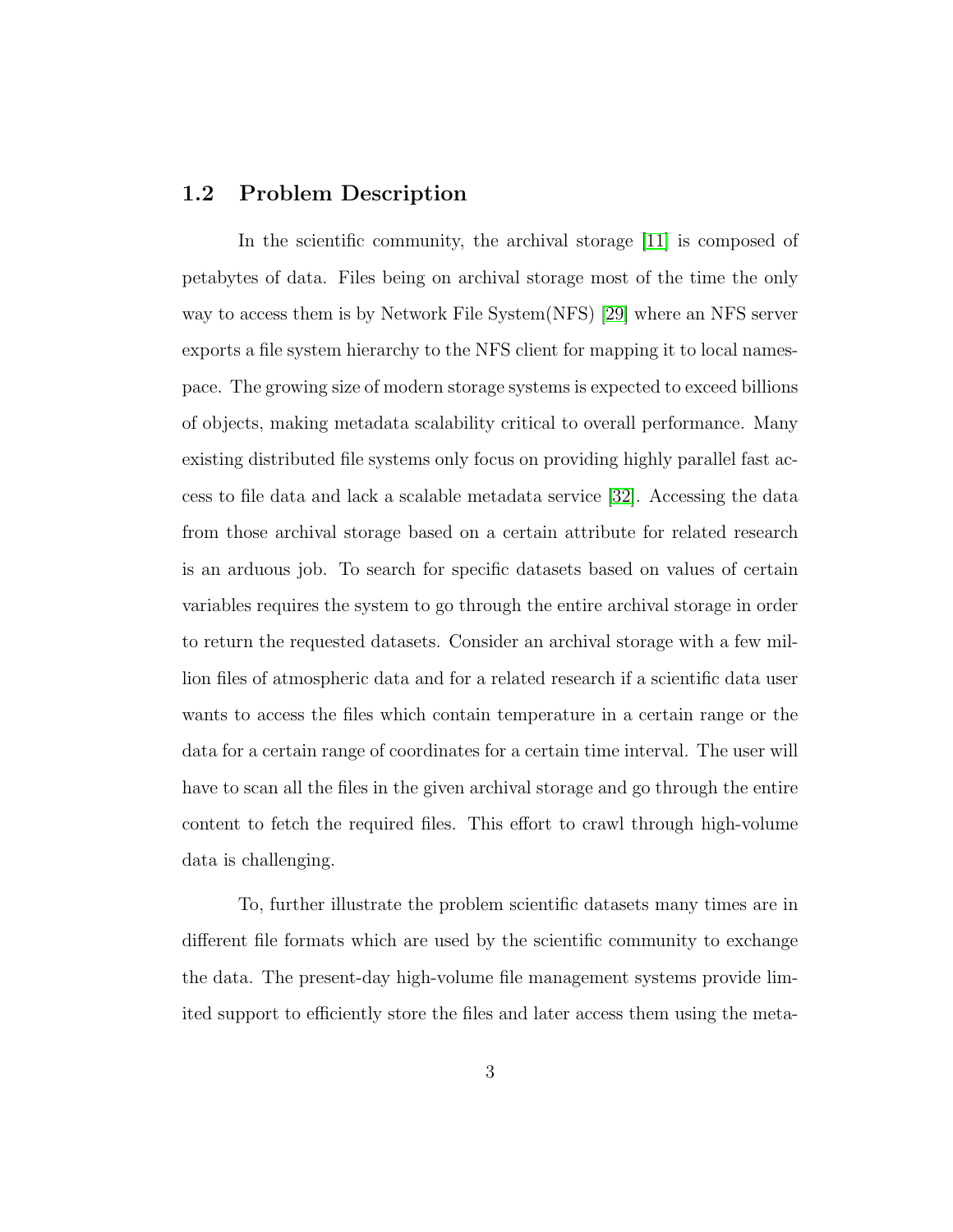### 1.2 Problem Description

In the scientific community, the archival storage [11] is composed of petabytes of data. Files being on archival storage most of the time the only way to access them is by Network File System(NFS) [29] where an NFS server exports a file system hierarchy to the NFS client for mapping it to local namespace. The growing size of modern storage systems is expected to exceed billions of objects, making metadata scalability critical to overall performance. Many existing distributed file systems only focus on providing highly parallel fast access to file data and lack a scalable metadata service [32]. Accessing the data from those archival storage based on a certain attribute for related research is an arduous job. To search for specific datasets based on values of certain variables requires the system to go through the entire archival storage in order to return the requested datasets. Consider an archival storage with a few million files of atmospheric data and for a related research if a scientific data user wants to access the files which contain temperature in a certain range or the data for a certain range of coordinates for a certain time interval. The user will have to scan all the files in the given archival storage and go through the entire content to fetch the required files. This effort to crawl through high-volume data is challenging.

To, further illustrate the problem scientific datasets many times are in different file formats which are used by the scientific community to exchange the data. The present-day high-volume file management systems provide limited support to efficiently store the files and later access them using the meta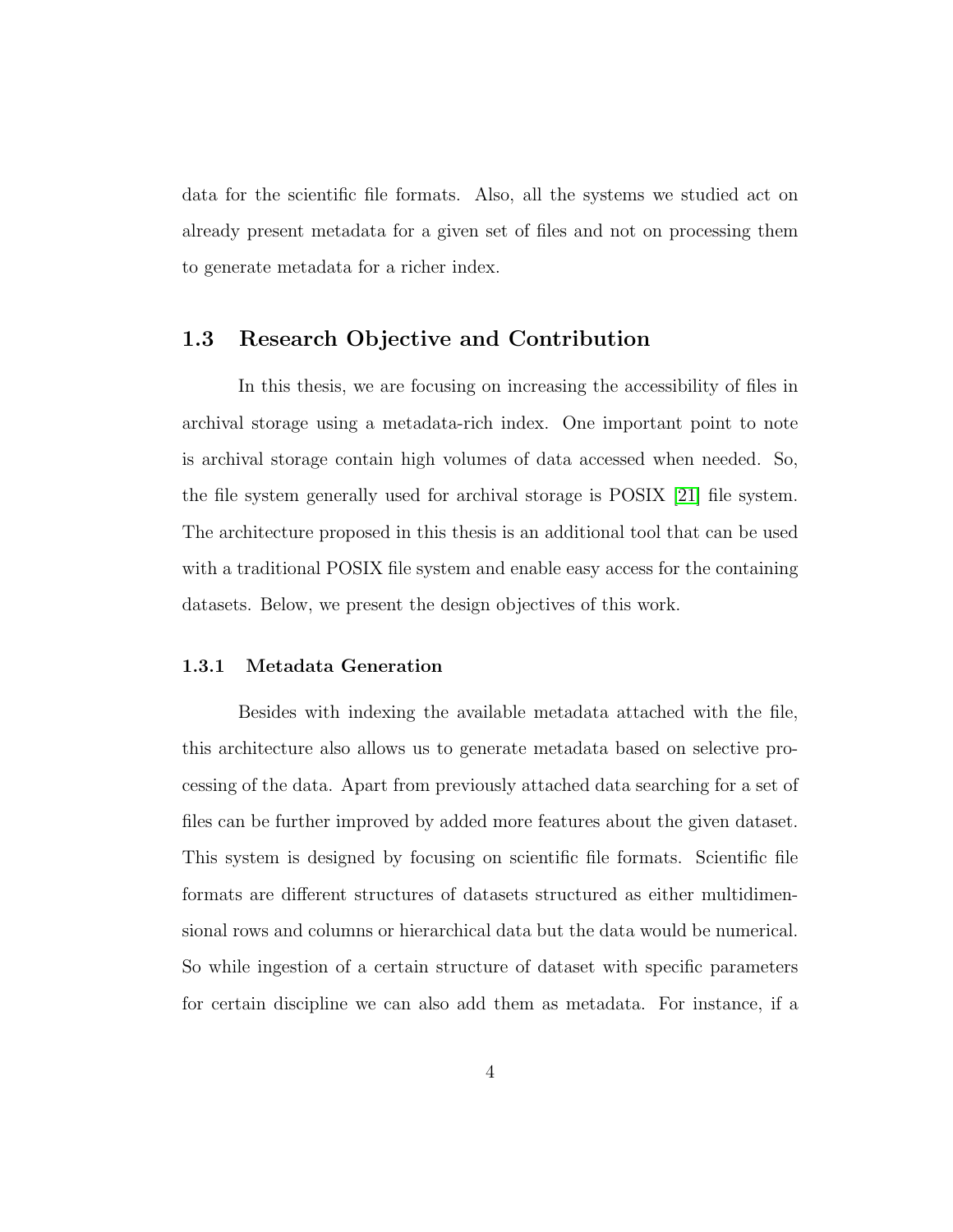data for the scientific file formats. Also, all the systems we studied act on already present metadata for a given set of files and not on processing them to generate metadata for a richer index.

## 1.3 Research Objective and Contribution

In this thesis, we are focusing on increasing the accessibility of files in archival storage using a metadata-rich index. One important point to note is archival storage contain high volumes of data accessed when needed. So, the file system generally used for archival storage is POSIX [21] file system. The architecture proposed in this thesis is an additional tool that can be used with a traditional POSIX file system and enable easy access for the containing datasets. Below, we present the design objectives of this work.

#### 1.3.1 Metadata Generation

Besides with indexing the available metadata attached with the file, this architecture also allows us to generate metadata based on selective processing of the data. Apart from previously attached data searching for a set of files can be further improved by added more features about the given dataset. This system is designed by focusing on scientific file formats. Scientific file formats are different structures of datasets structured as either multidimensional rows and columns or hierarchical data but the data would be numerical. So while ingestion of a certain structure of dataset with specific parameters for certain discipline we can also add them as metadata. For instance, if a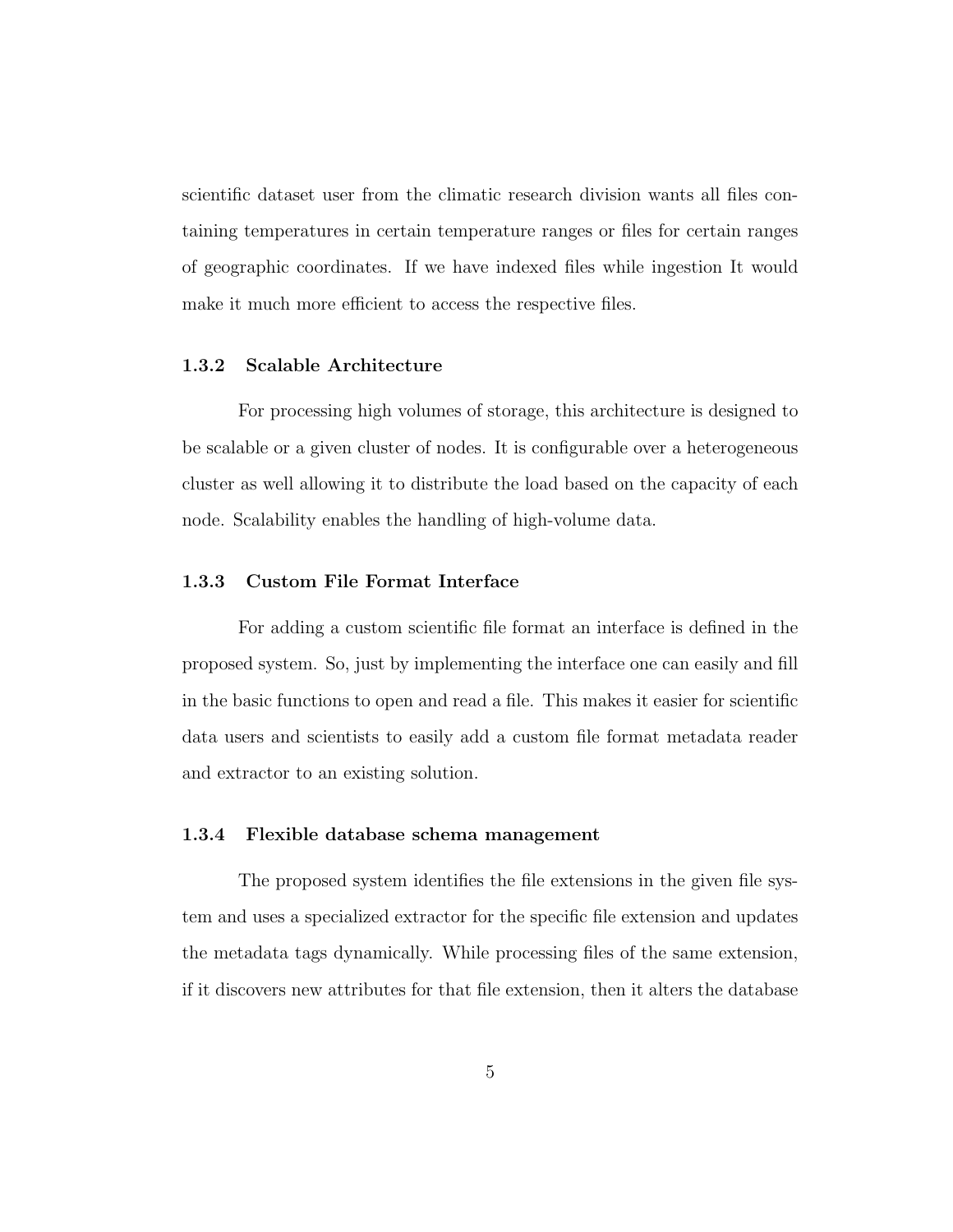scientific dataset user from the climatic research division wants all files containing temperatures in certain temperature ranges or files for certain ranges of geographic coordinates. If we have indexed files while ingestion It would make it much more efficient to access the respective files.

#### 1.3.2 Scalable Architecture

For processing high volumes of storage, this architecture is designed to be scalable or a given cluster of nodes. It is configurable over a heterogeneous cluster as well allowing it to distribute the load based on the capacity of each node. Scalability enables the handling of high-volume data.

#### 1.3.3 Custom File Format Interface

For adding a custom scientific file format an interface is defined in the proposed system. So, just by implementing the interface one can easily and fill in the basic functions to open and read a file. This makes it easier for scientific data users and scientists to easily add a custom file format metadata reader and extractor to an existing solution.

#### 1.3.4 Flexible database schema management

The proposed system identifies the file extensions in the given file system and uses a specialized extractor for the specific file extension and updates the metadata tags dynamically. While processing files of the same extension, if it discovers new attributes for that file extension, then it alters the database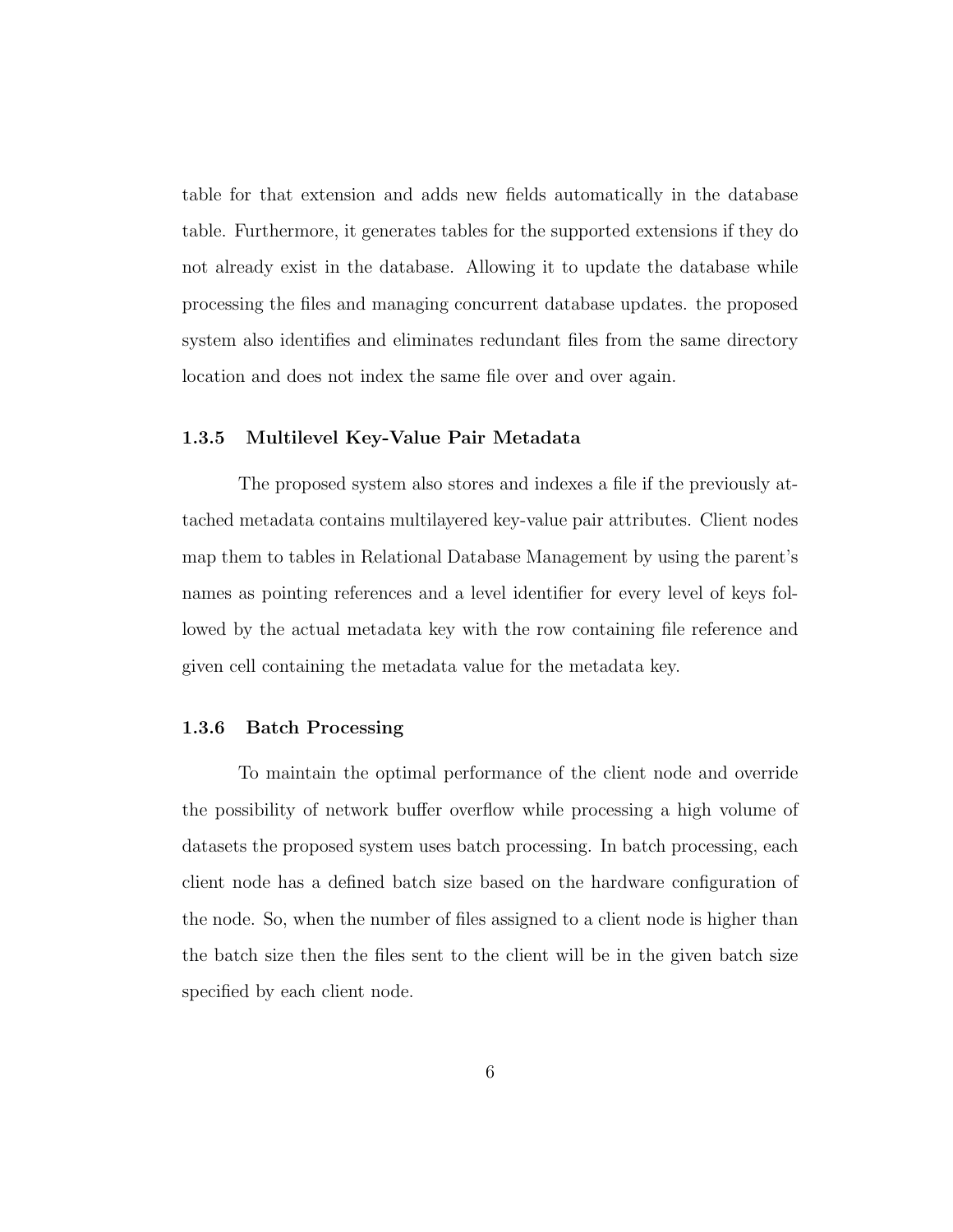table for that extension and adds new fields automatically in the database table. Furthermore, it generates tables for the supported extensions if they do not already exist in the database. Allowing it to update the database while processing the files and managing concurrent database updates. the proposed system also identifies and eliminates redundant files from the same directory location and does not index the same file over and over again.

#### 1.3.5 Multilevel Key-Value Pair Metadata

The proposed system also stores and indexes a file if the previously attached metadata contains multilayered key-value pair attributes. Client nodes map them to tables in Relational Database Management by using the parent's names as pointing references and a level identifier for every level of keys followed by the actual metadata key with the row containing file reference and given cell containing the metadata value for the metadata key.

#### 1.3.6 Batch Processing

To maintain the optimal performance of the client node and override the possibility of network buffer overflow while processing a high volume of datasets the proposed system uses batch processing. In batch processing, each client node has a defined batch size based on the hardware configuration of the node. So, when the number of files assigned to a client node is higher than the batch size then the files sent to the client will be in the given batch size specified by each client node.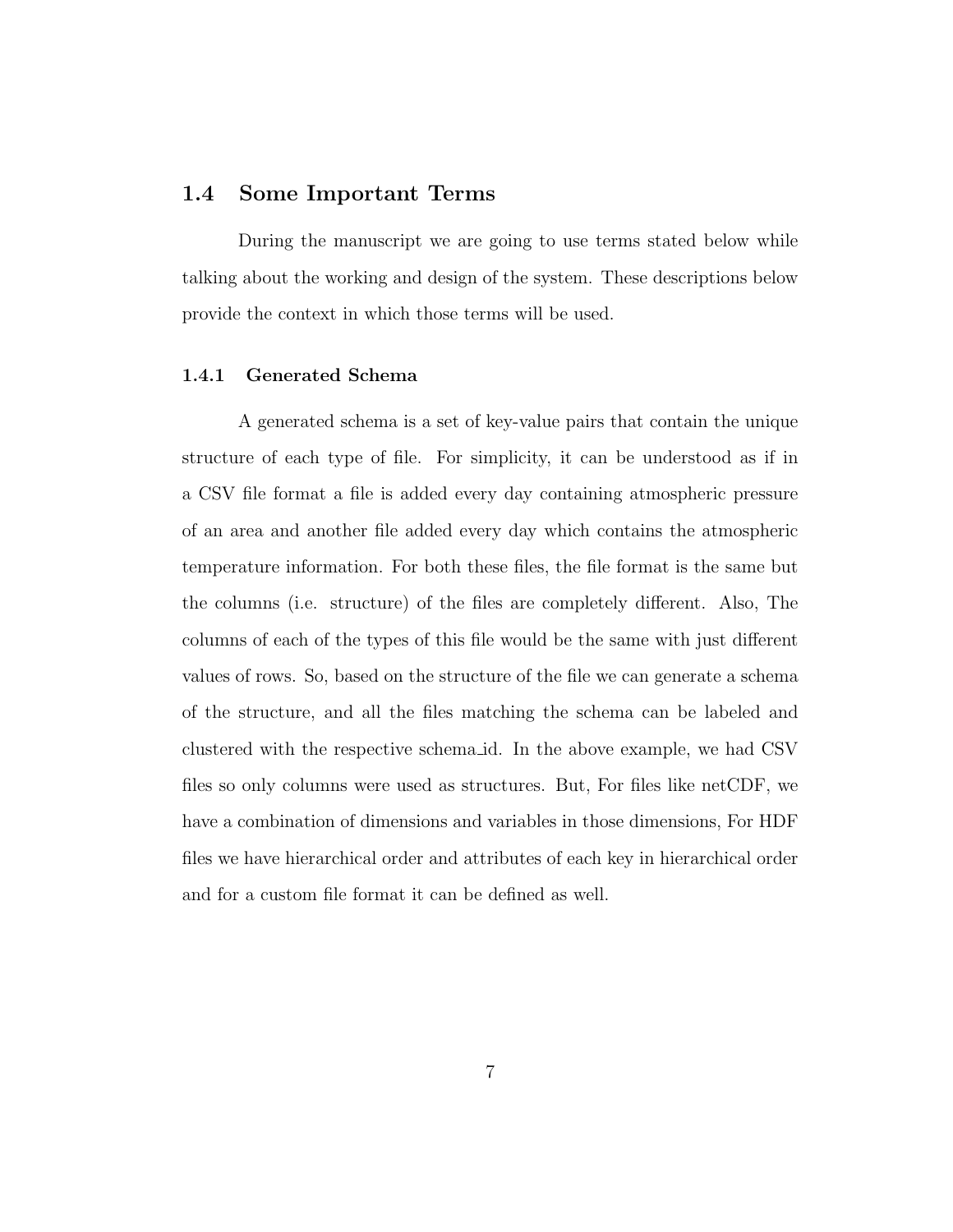#### 1.4 Some Important Terms

During the manuscript we are going to use terms stated below while talking about the working and design of the system. These descriptions below provide the context in which those terms will be used.

#### 1.4.1 Generated Schema

A generated schema is a set of key-value pairs that contain the unique structure of each type of file. For simplicity, it can be understood as if in a CSV file format a file is added every day containing atmospheric pressure of an area and another file added every day which contains the atmospheric temperature information. For both these files, the file format is the same but the columns (i.e. structure) of the files are completely different. Also, The columns of each of the types of this file would be the same with just different values of rows. So, based on the structure of the file we can generate a schema of the structure, and all the files matching the schema can be labeled and clustered with the respective schema id. In the above example, we had CSV files so only columns were used as structures. But, For files like netCDF, we have a combination of dimensions and variables in those dimensions, For HDF files we have hierarchical order and attributes of each key in hierarchical order and for a custom file format it can be defined as well.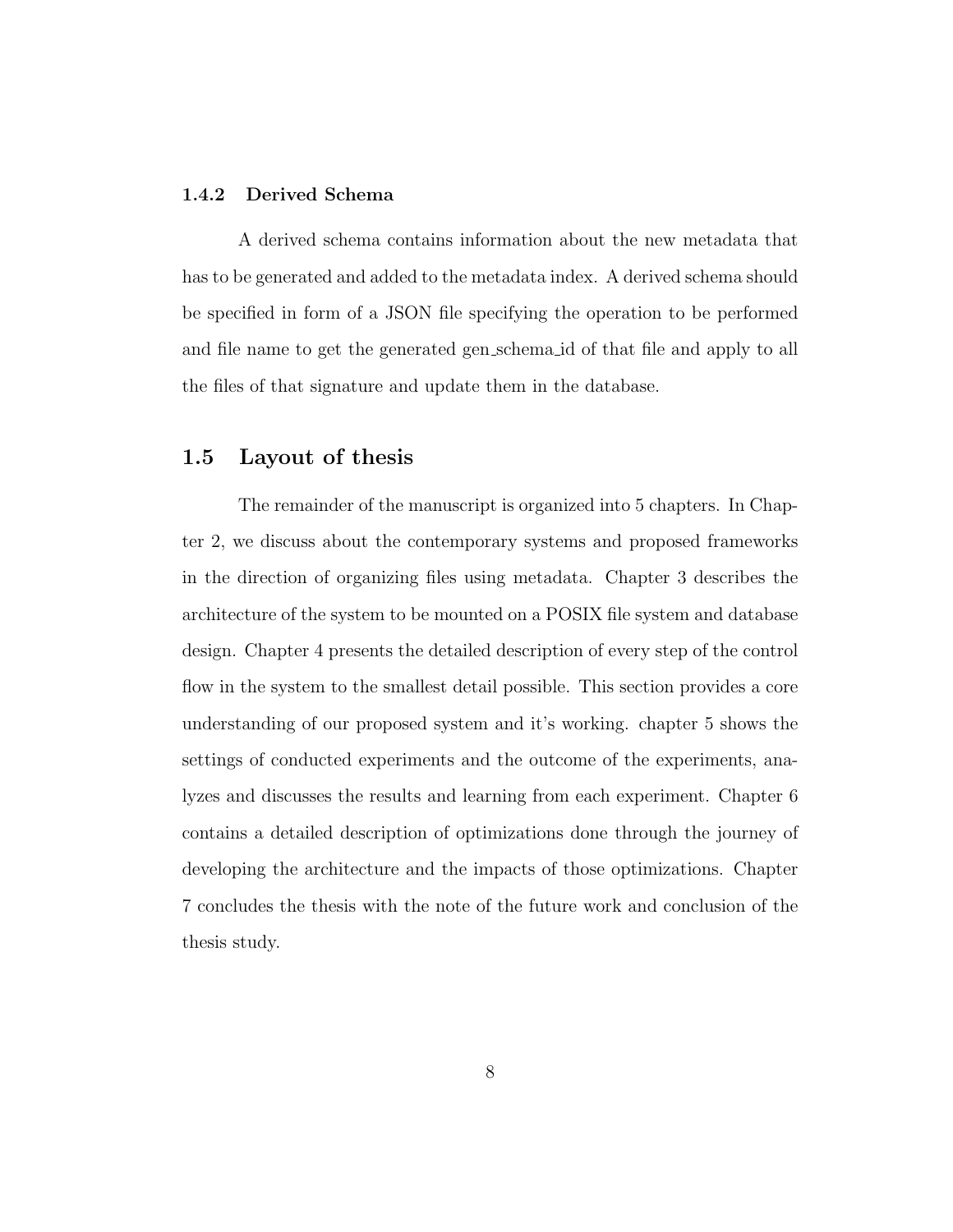#### 1.4.2 Derived Schema

A derived schema contains information about the new metadata that has to be generated and added to the metadata index. A derived schema should be specified in form of a JSON file specifying the operation to be performed and file name to get the generated gen schema id of that file and apply to all the files of that signature and update them in the database.

## 1.5 Layout of thesis

The remainder of the manuscript is organized into 5 chapters. In Chapter 2, we discuss about the contemporary systems and proposed frameworks in the direction of organizing files using metadata. Chapter 3 describes the architecture of the system to be mounted on a POSIX file system and database design. Chapter 4 presents the detailed description of every step of the control flow in the system to the smallest detail possible. This section provides a core understanding of our proposed system and it's working. chapter 5 shows the settings of conducted experiments and the outcome of the experiments, analyzes and discusses the results and learning from each experiment. Chapter 6 contains a detailed description of optimizations done through the journey of developing the architecture and the impacts of those optimizations. Chapter 7 concludes the thesis with the note of the future work and conclusion of the thesis study.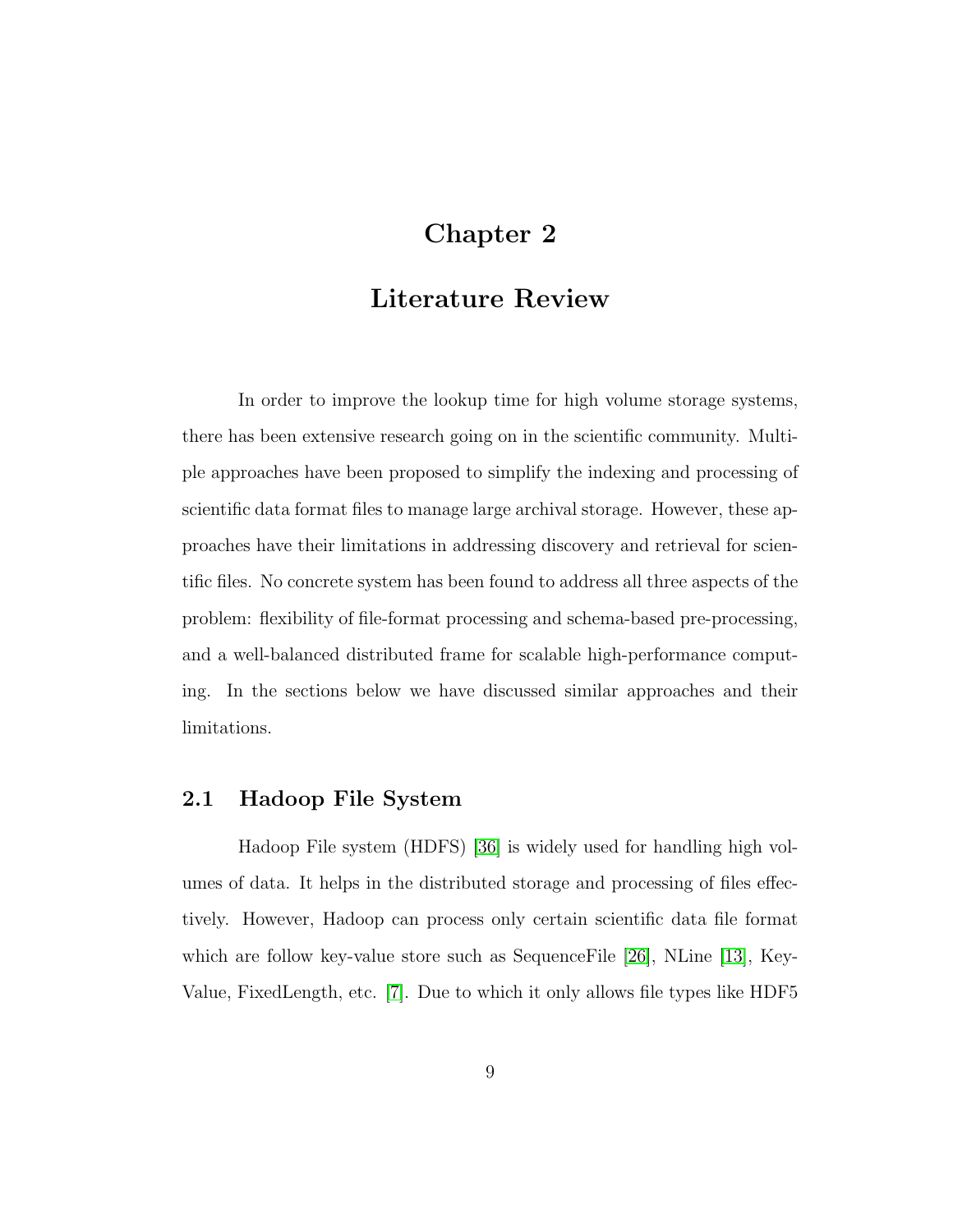# Chapter 2

# Literature Review

In order to improve the lookup time for high volume storage systems, there has been extensive research going on in the scientific community. Multiple approaches have been proposed to simplify the indexing and processing of scientific data format files to manage large archival storage. However, these approaches have their limitations in addressing discovery and retrieval for scientific files. No concrete system has been found to address all three aspects of the problem: flexibility of file-format processing and schema-based pre-processing, and a well-balanced distributed frame for scalable high-performance computing. In the sections below we have discussed similar approaches and their limitations.

## 2.1 Hadoop File System

Hadoop File system (HDFS) [36] is widely used for handling high volumes of data. It helps in the distributed storage and processing of files effectively. However, Hadoop can process only certain scientific data file format which are follow key-value store such as SequenceFile [26], NLine [13], Key-Value, FixedLength, etc. [7]. Due to which it only allows file types like HDF5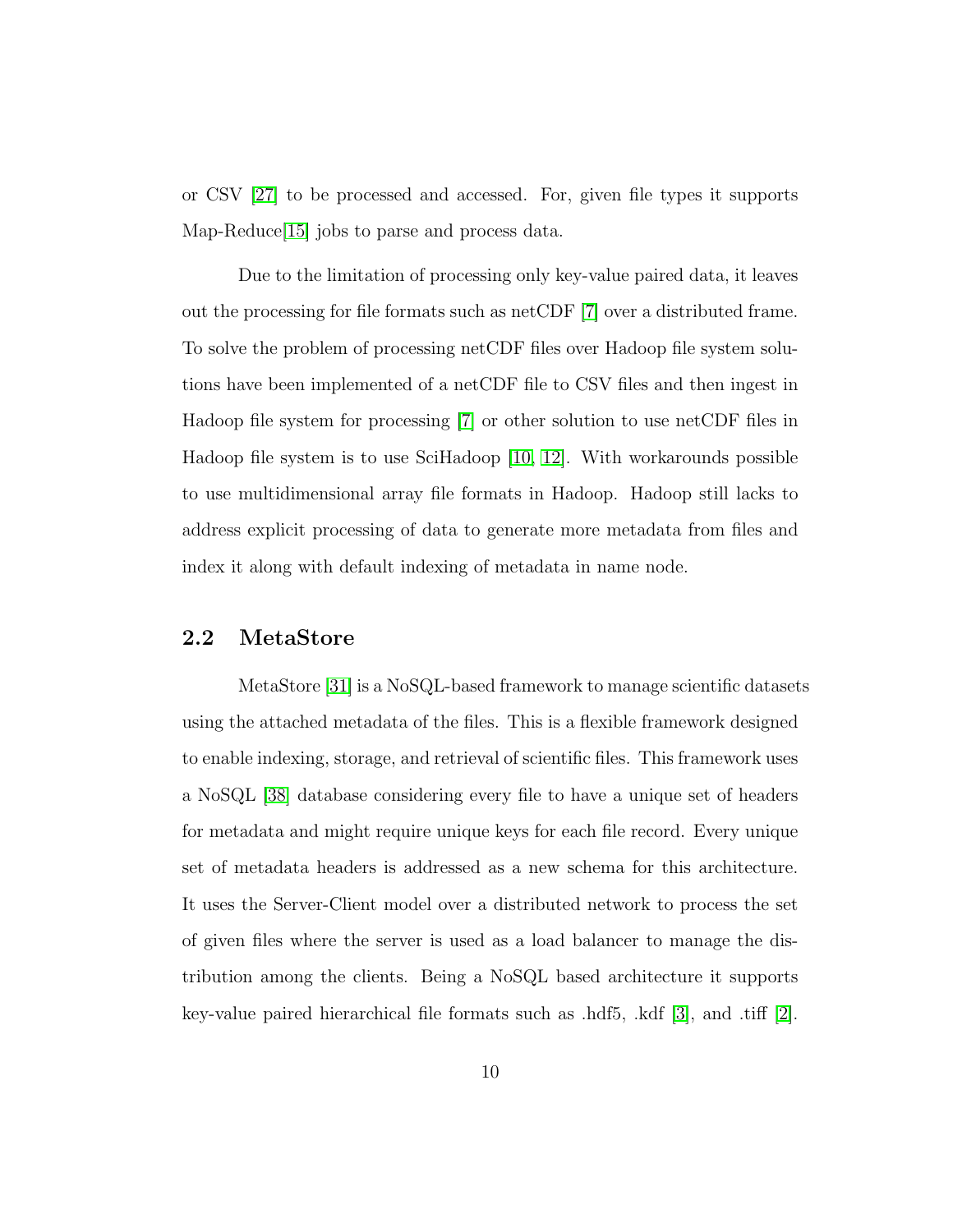or CSV [27] to be processed and accessed. For, given file types it supports Map-Reduce<sup>[15]</sup> jobs to parse and process data.

Due to the limitation of processing only key-value paired data, it leaves out the processing for file formats such as netCDF [7] over a distributed frame. To solve the problem of processing netCDF files over Hadoop file system solutions have been implemented of a netCDF file to CSV files and then ingest in Hadoop file system for processing [7] or other solution to use netCDF files in Hadoop file system is to use SciHadoop [10, 12]. With workarounds possible to use multidimensional array file formats in Hadoop. Hadoop still lacks to address explicit processing of data to generate more metadata from files and index it along with default indexing of metadata in name node.

## 2.2 MetaStore

MetaStore [31] is a NoSQL-based framework to manage scientific datasets using the attached metadata of the files. This is a flexible framework designed to enable indexing, storage, and retrieval of scientific files. This framework uses a NoSQL [38] database considering every file to have a unique set of headers for metadata and might require unique keys for each file record. Every unique set of metadata headers is addressed as a new schema for this architecture. It uses the Server-Client model over a distributed network to process the set of given files where the server is used as a load balancer to manage the distribution among the clients. Being a NoSQL based architecture it supports key-value paired hierarchical file formats such as .hdf5, .kdf [3], and .tiff [2].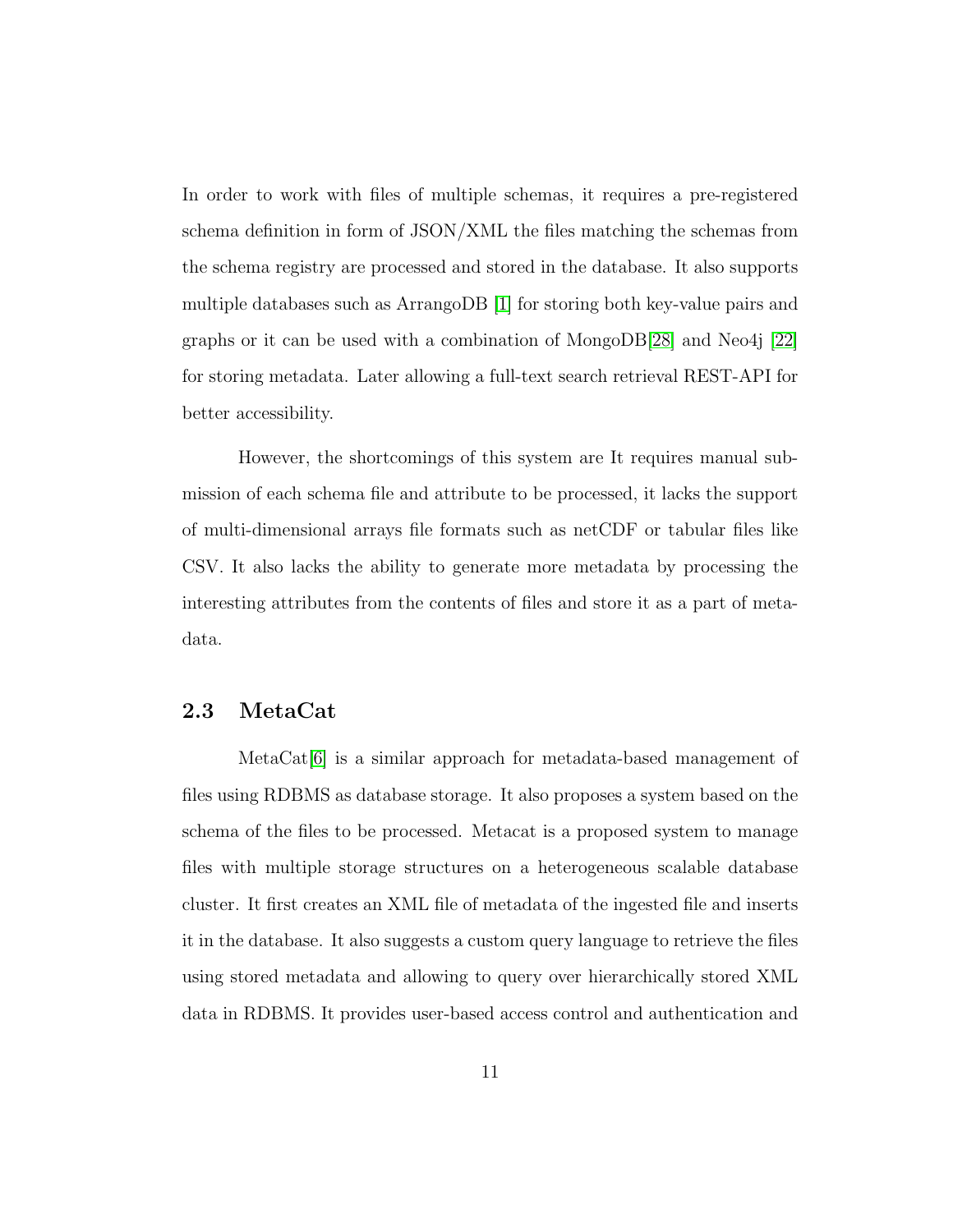In order to work with files of multiple schemas, it requires a pre-registered schema definition in form of JSON/XML the files matching the schemas from the schema registry are processed and stored in the database. It also supports multiple databases such as ArrangoDB [1] for storing both key-value pairs and graphs or it can be used with a combination of MongoDB[28] and Neo4j [22] for storing metadata. Later allowing a full-text search retrieval REST-API for better accessibility.

However, the shortcomings of this system are It requires manual submission of each schema file and attribute to be processed, it lacks the support of multi-dimensional arrays file formats such as netCDF or tabular files like CSV. It also lacks the ability to generate more metadata by processing the interesting attributes from the contents of files and store it as a part of metadata.

### 2.3 MetaCat

MetaCat<sup>[6]</sup> is a similar approach for metadata-based management of files using RDBMS as database storage. It also proposes a system based on the schema of the files to be processed. Metacat is a proposed system to manage files with multiple storage structures on a heterogeneous scalable database cluster. It first creates an XML file of metadata of the ingested file and inserts it in the database. It also suggests a custom query language to retrieve the files using stored metadata and allowing to query over hierarchically stored XML data in RDBMS. It provides user-based access control and authentication and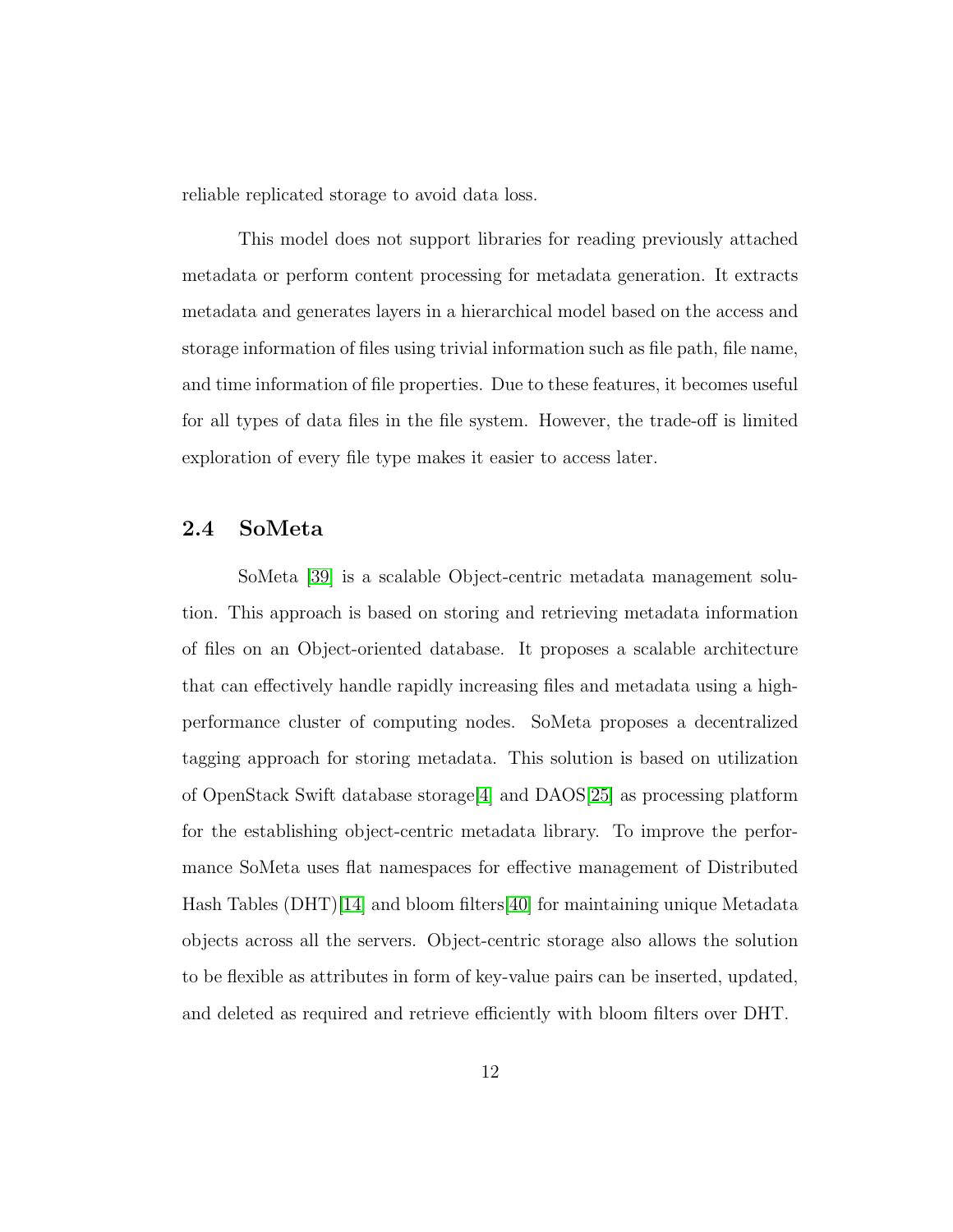reliable replicated storage to avoid data loss.

This model does not support libraries for reading previously attached metadata or perform content processing for metadata generation. It extracts metadata and generates layers in a hierarchical model based on the access and storage information of files using trivial information such as file path, file name, and time information of file properties. Due to these features, it becomes useful for all types of data files in the file system. However, the trade-off is limited exploration of every file type makes it easier to access later.

## 2.4 SoMeta

SoMeta [39] is a scalable Object-centric metadata management solution. This approach is based on storing and retrieving metadata information of files on an Object-oriented database. It proposes a scalable architecture that can effectively handle rapidly increasing files and metadata using a highperformance cluster of computing nodes. SoMeta proposes a decentralized tagging approach for storing metadata. This solution is based on utilization of OpenStack Swift database storage[4] and DAOS[25] as processing platform for the establishing object-centric metadata library. To improve the performance SoMeta uses flat namespaces for effective management of Distributed Hash Tables (DHT)[14] and bloom filters[40] for maintaining unique Metadata objects across all the servers. Object-centric storage also allows the solution to be flexible as attributes in form of key-value pairs can be inserted, updated, and deleted as required and retrieve efficiently with bloom filters over DHT.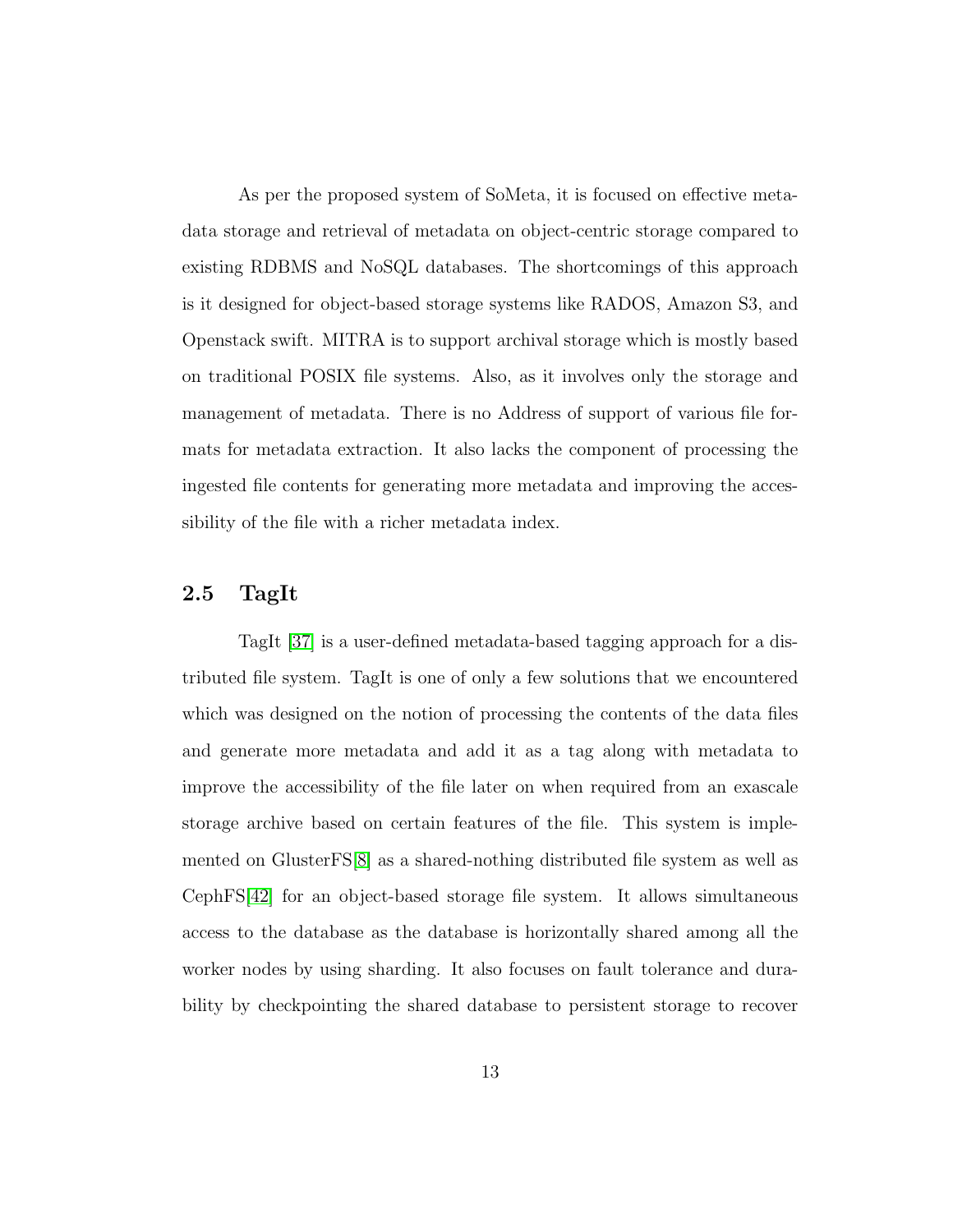As per the proposed system of SoMeta, it is focused on effective metadata storage and retrieval of metadata on object-centric storage compared to existing RDBMS and NoSQL databases. The shortcomings of this approach is it designed for object-based storage systems like RADOS, Amazon S3, and Openstack swift. MITRA is to support archival storage which is mostly based on traditional POSIX file systems. Also, as it involves only the storage and management of metadata. There is no Address of support of various file formats for metadata extraction. It also lacks the component of processing the ingested file contents for generating more metadata and improving the accessibility of the file with a richer metadata index.

## 2.5 TagIt

TagIt [37] is a user-defined metadata-based tagging approach for a distributed file system. TagIt is one of only a few solutions that we encountered which was designed on the notion of processing the contents of the data files and generate more metadata and add it as a tag along with metadata to improve the accessibility of the file later on when required from an exascale storage archive based on certain features of the file. This system is implemented on GlusterFS[8] as a shared-nothing distributed file system as well as CephFS[42] for an object-based storage file system. It allows simultaneous access to the database as the database is horizontally shared among all the worker nodes by using sharding. It also focuses on fault tolerance and durability by checkpointing the shared database to persistent storage to recover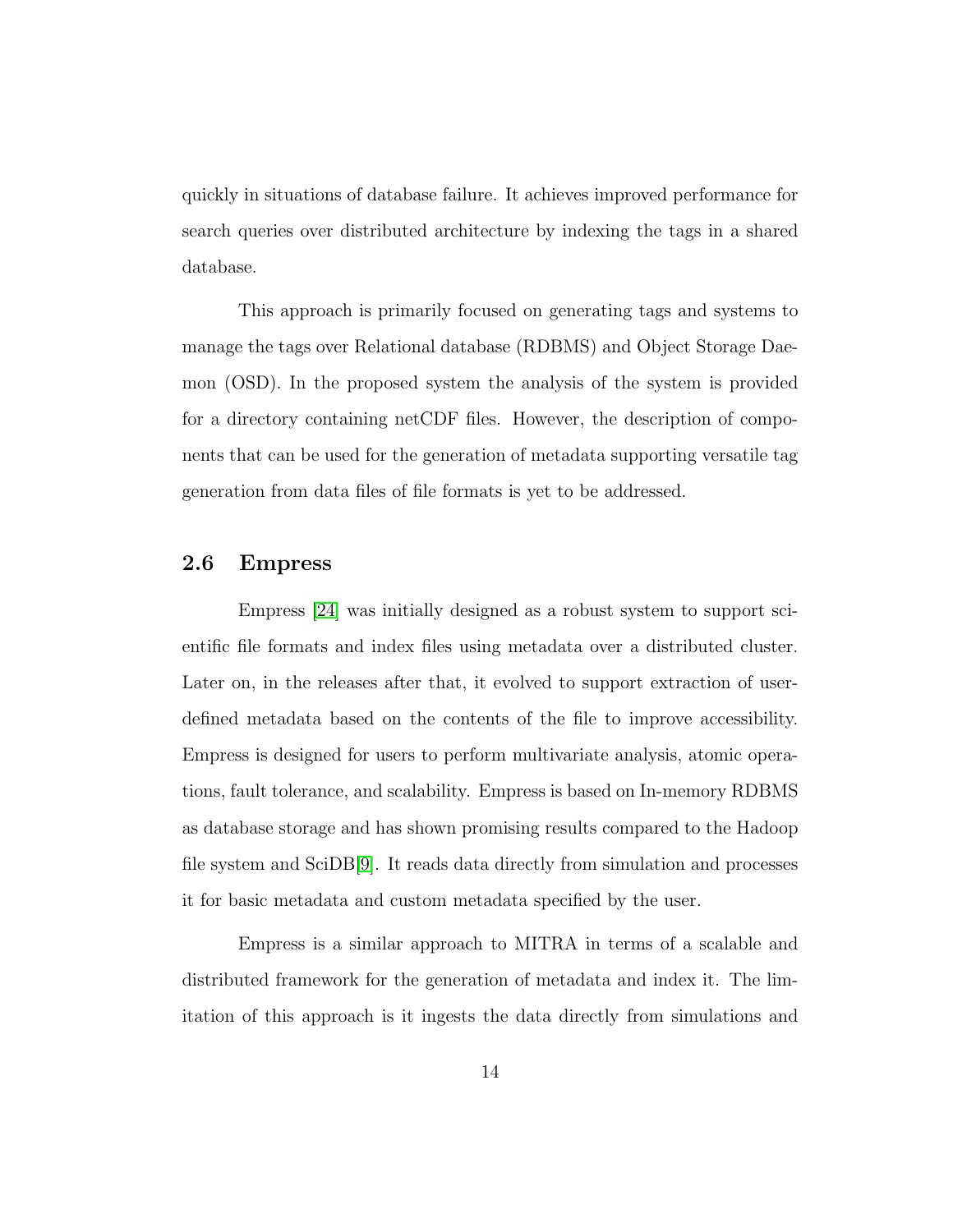quickly in situations of database failure. It achieves improved performance for search queries over distributed architecture by indexing the tags in a shared database.

This approach is primarily focused on generating tags and systems to manage the tags over Relational database (RDBMS) and Object Storage Daemon (OSD). In the proposed system the analysis of the system is provided for a directory containing netCDF files. However, the description of components that can be used for the generation of metadata supporting versatile tag generation from data files of file formats is yet to be addressed.

## 2.6 Empress

Empress [24] was initially designed as a robust system to support scientific file formats and index files using metadata over a distributed cluster. Later on, in the releases after that, it evolved to support extraction of userdefined metadata based on the contents of the file to improve accessibility. Empress is designed for users to perform multivariate analysis, atomic operations, fault tolerance, and scalability. Empress is based on In-memory RDBMS as database storage and has shown promising results compared to the Hadoop file system and SciDB[9]. It reads data directly from simulation and processes it for basic metadata and custom metadata specified by the user.

Empress is a similar approach to MITRA in terms of a scalable and distributed framework for the generation of metadata and index it. The limitation of this approach is it ingests the data directly from simulations and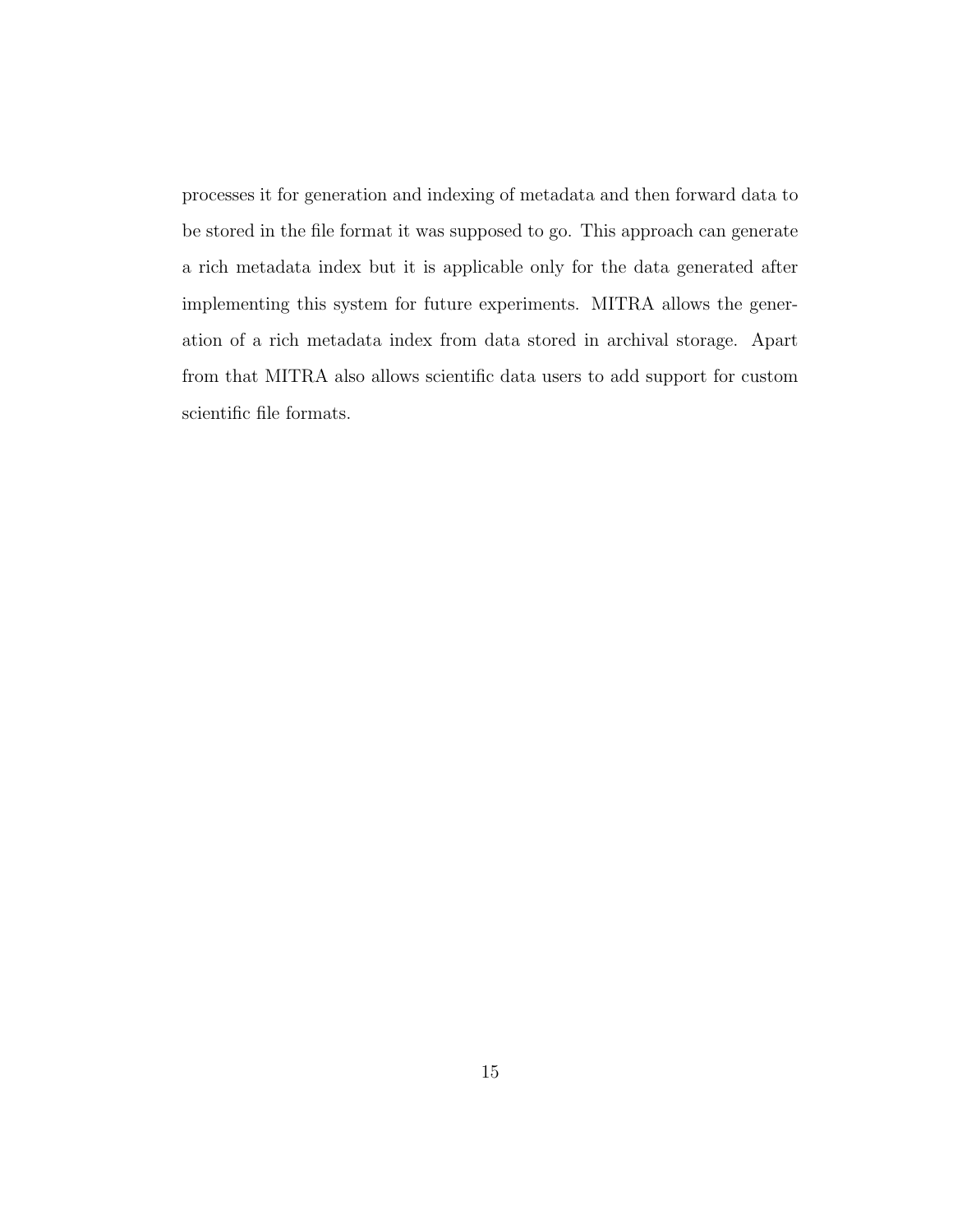processes it for generation and indexing of metadata and then forward data to be stored in the file format it was supposed to go. This approach can generate a rich metadata index but it is applicable only for the data generated after implementing this system for future experiments. MITRA allows the generation of a rich metadata index from data stored in archival storage. Apart from that MITRA also allows scientific data users to add support for custom scientific file formats.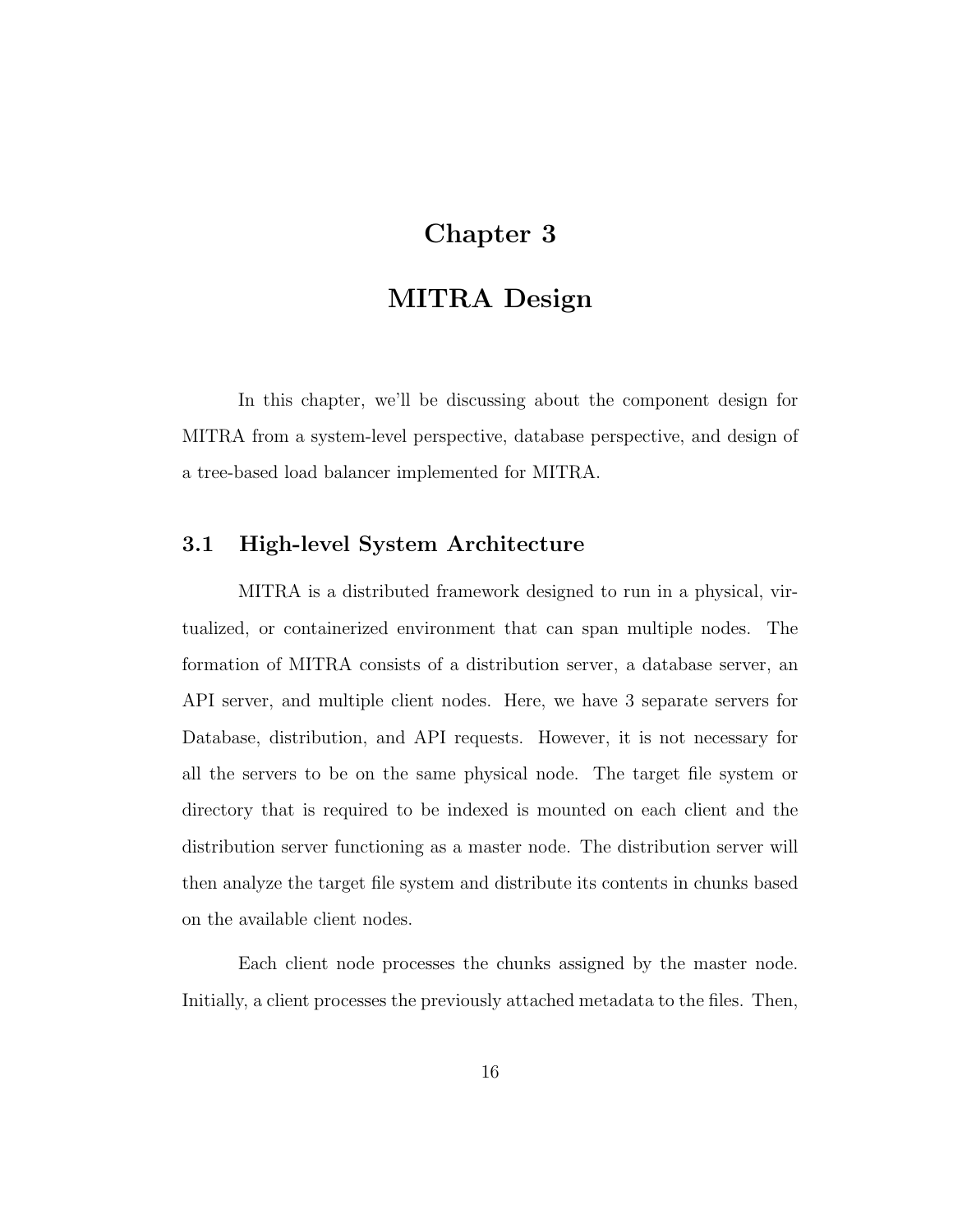# Chapter 3

# MITRA Design

In this chapter, we'll be discussing about the component design for MITRA from a system-level perspective, database perspective, and design of a tree-based load balancer implemented for MITRA.

## 3.1 High-level System Architecture

MITRA is a distributed framework designed to run in a physical, virtualized, or containerized environment that can span multiple nodes. The formation of MITRA consists of a distribution server, a database server, an API server, and multiple client nodes. Here, we have 3 separate servers for Database, distribution, and API requests. However, it is not necessary for all the servers to be on the same physical node. The target file system or directory that is required to be indexed is mounted on each client and the distribution server functioning as a master node. The distribution server will then analyze the target file system and distribute its contents in chunks based on the available client nodes.

Each client node processes the chunks assigned by the master node. Initially, a client processes the previously attached metadata to the files. Then,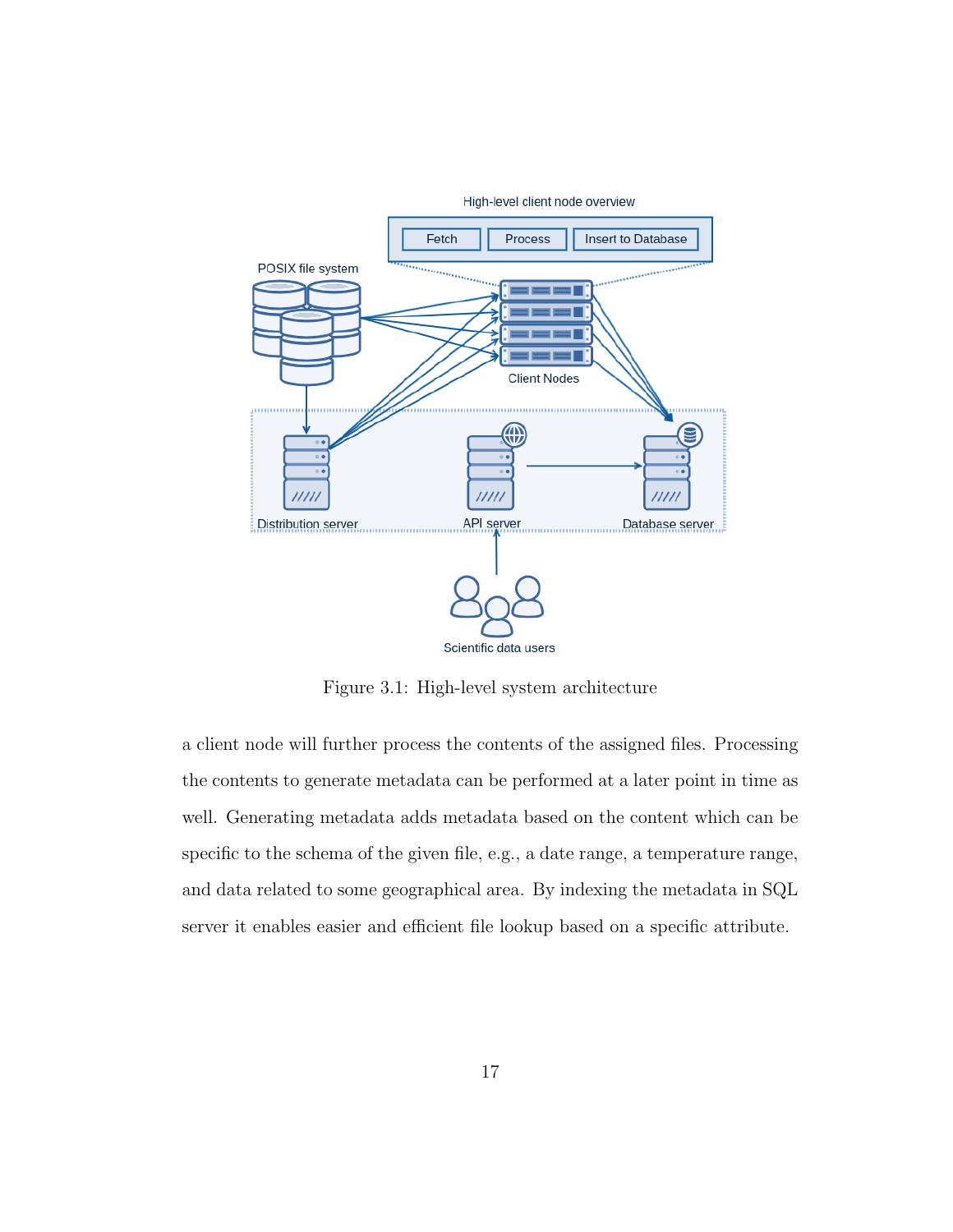

Figure 3.1: High-level system architecture

a client node will further process the contents of the assigned files. Processing the contents to generate metadata can be performed at a later point in time as well. Generating metadata adds metadata based on the content which can be specific to the schema of the given file, e.g., a date range, a temperature range, and data related to some geographical area. By indexing the metadata in SQL server it enables easier and efficient file lookup based on a specific attribute.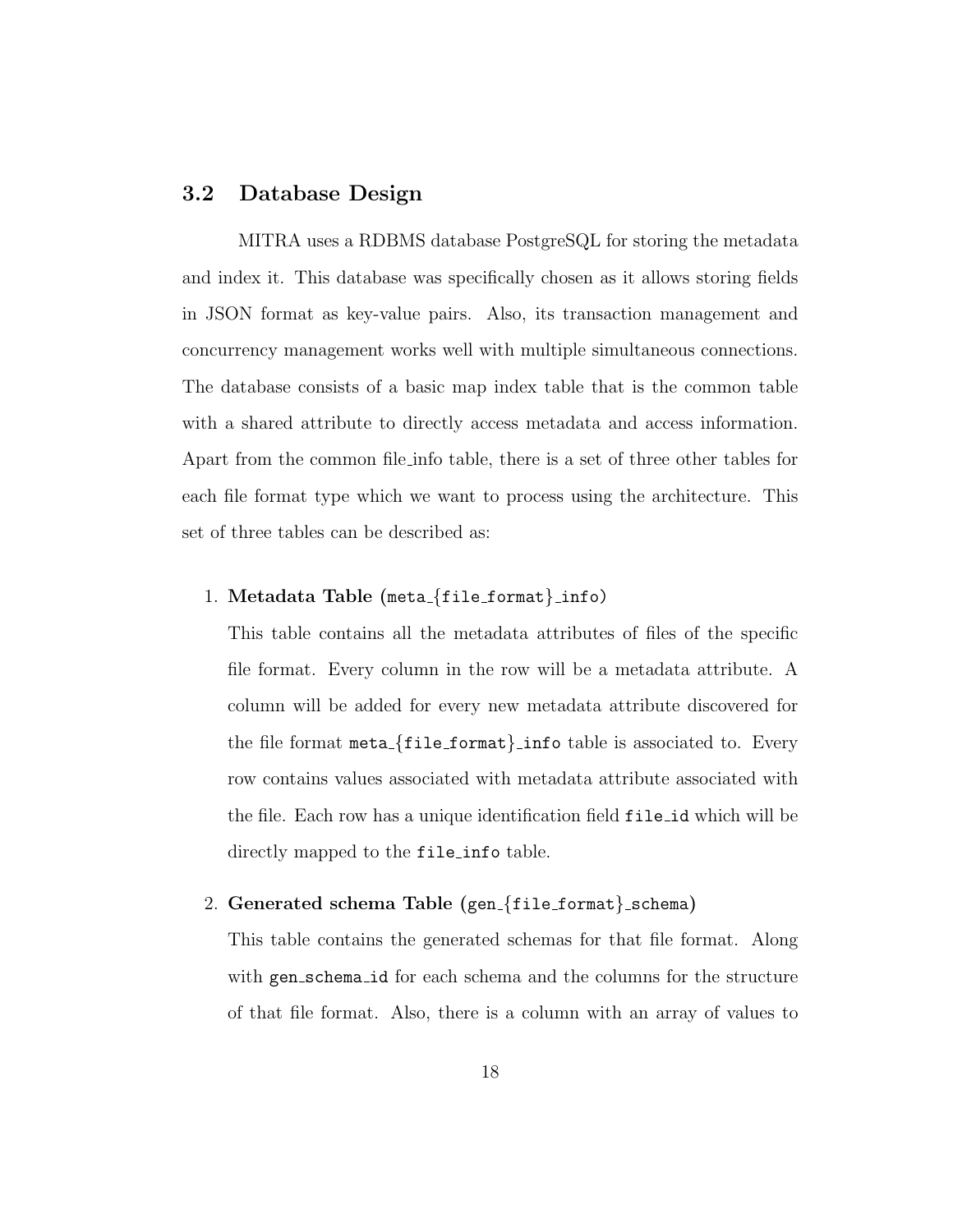## 3.2 Database Design

MITRA uses a RDBMS database PostgreSQL for storing the metadata and index it. This database was specifically chosen as it allows storing fields in JSON format as key-value pairs. Also, its transaction management and concurrency management works well with multiple simultaneous connections. The database consists of a basic map index table that is the common table with a shared attribute to directly access metadata and access information. Apart from the common file info table, there is a set of three other tables for each file format type which we want to process using the architecture. This set of three tables can be described as:

#### 1. Metadata Table (meta {file format} info)

This table contains all the metadata attributes of files of the specific file format. Every column in the row will be a metadata attribute. A column will be added for every new metadata attribute discovered for the file format  $meta_{\text{file.format}}$  info table is associated to. Every row contains values associated with metadata attribute associated with the file. Each row has a unique identification field file id which will be directly mapped to the file info table.

2. Generated schema Table (gen<sub>-{file\_format}</sub>\_schema)

This table contains the generated schemas for that file format. Along with gen schema id for each schema and the columns for the structure of that file format. Also, there is a column with an array of values to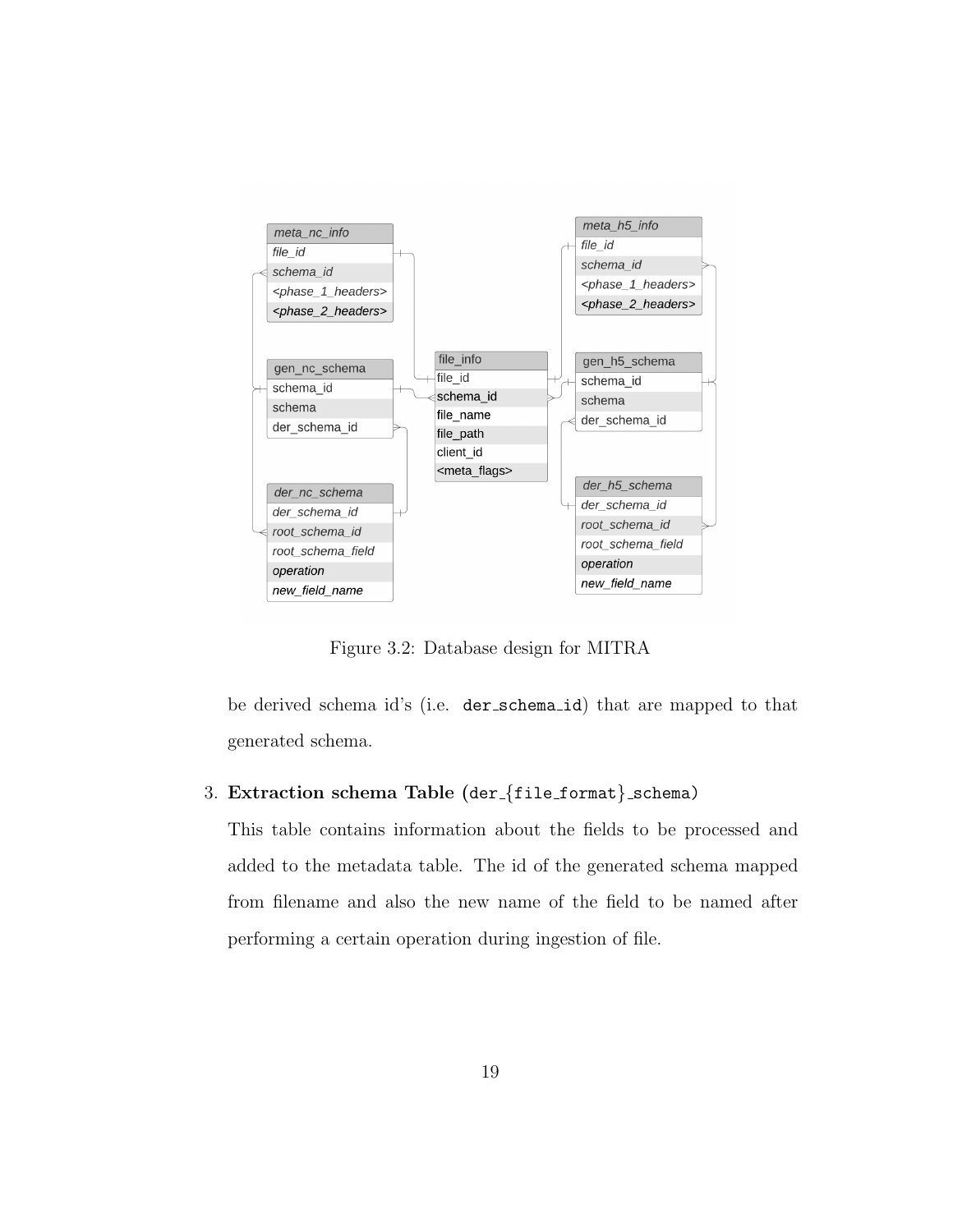

Figure 3.2: Database design for MITRA

be derived schema id's (i.e. der schema id) that are mapped to that generated schema.

### 3. Extraction schema Table (der\_{file\_format}\_schema)

This table contains information about the fields to be processed and added to the metadata table. The id of the generated schema mapped from filename and also the new name of the field to be named after performing a certain operation during ingestion of file.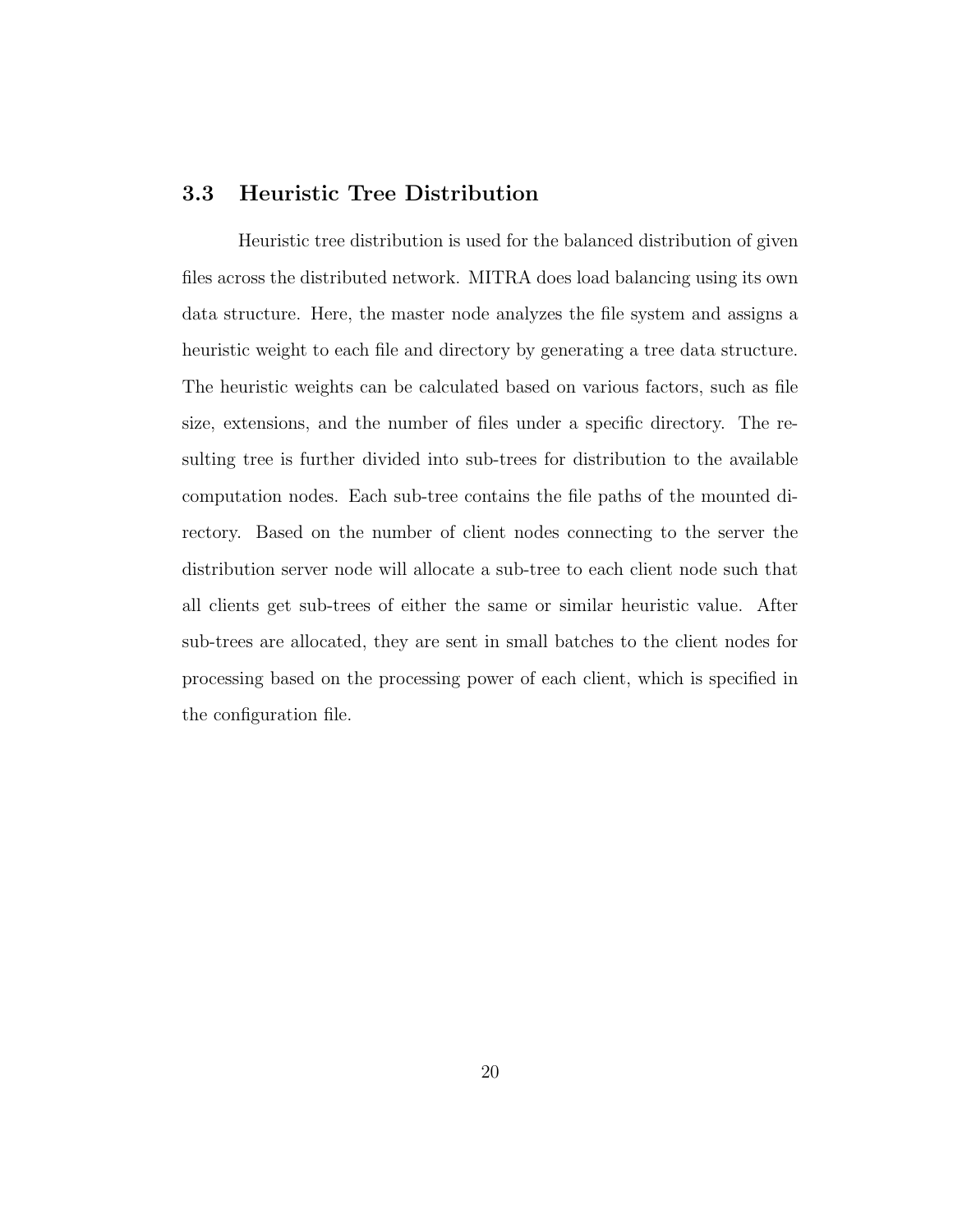### 3.3 Heuristic Tree Distribution

Heuristic tree distribution is used for the balanced distribution of given files across the distributed network. MITRA does load balancing using its own data structure. Here, the master node analyzes the file system and assigns a heuristic weight to each file and directory by generating a tree data structure. The heuristic weights can be calculated based on various factors, such as file size, extensions, and the number of files under a specific directory. The resulting tree is further divided into sub-trees for distribution to the available computation nodes. Each sub-tree contains the file paths of the mounted directory. Based on the number of client nodes connecting to the server the distribution server node will allocate a sub-tree to each client node such that all clients get sub-trees of either the same or similar heuristic value. After sub-trees are allocated, they are sent in small batches to the client nodes for processing based on the processing power of each client, which is specified in the configuration file.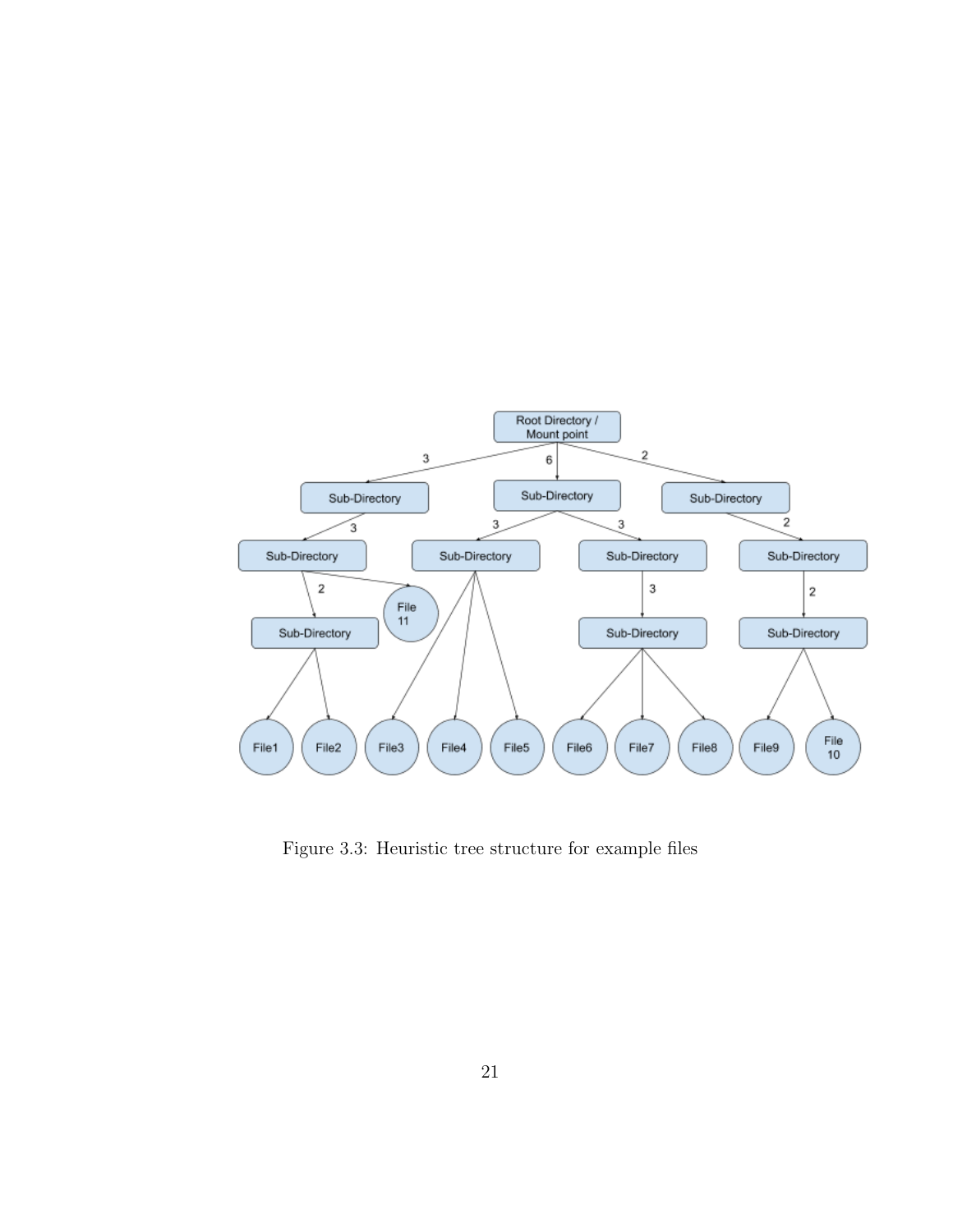

Figure 3.3: Heuristic tree structure for example files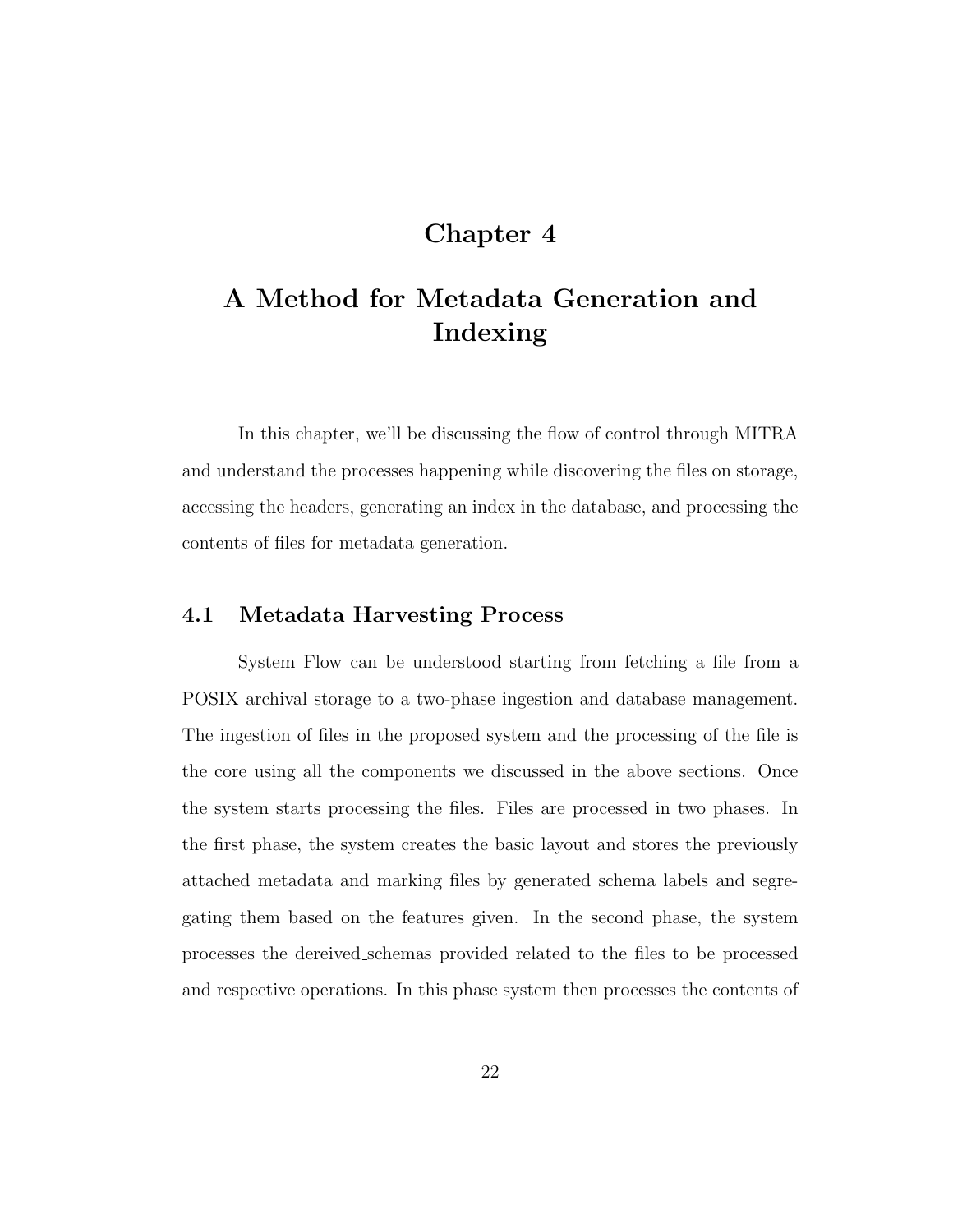# Chapter 4

# A Method for Metadata Generation and Indexing

In this chapter, we'll be discussing the flow of control through MITRA and understand the processes happening while discovering the files on storage, accessing the headers, generating an index in the database, and processing the contents of files for metadata generation.

## 4.1 Metadata Harvesting Process

System Flow can be understood starting from fetching a file from a POSIX archival storage to a two-phase ingestion and database management. The ingestion of files in the proposed system and the processing of the file is the core using all the components we discussed in the above sections. Once the system starts processing the files. Files are processed in two phases. In the first phase, the system creates the basic layout and stores the previously attached metadata and marking files by generated schema labels and segregating them based on the features given. In the second phase, the system processes the dereived schemas provided related to the files to be processed and respective operations. In this phase system then processes the contents of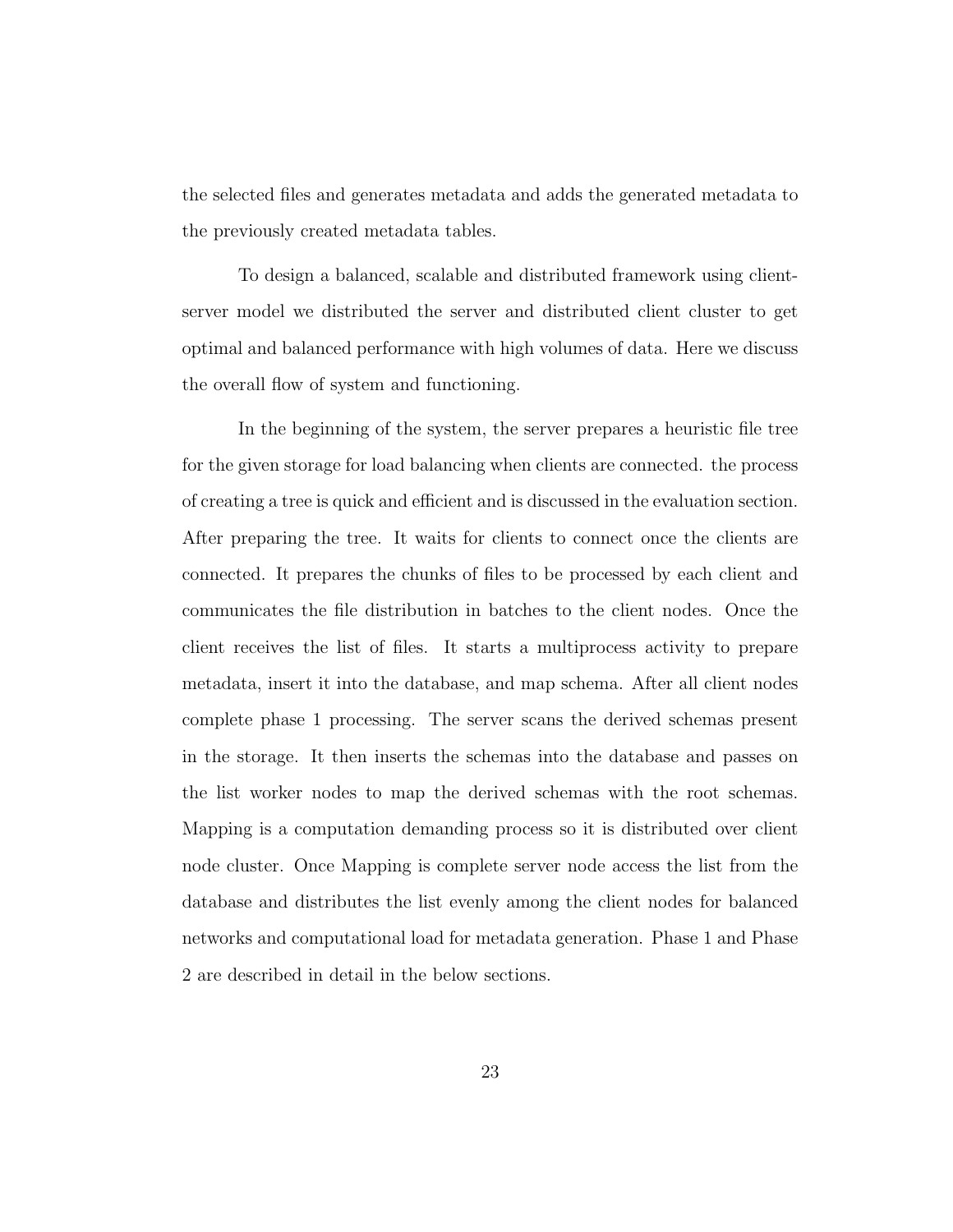the selected files and generates metadata and adds the generated metadata to the previously created metadata tables.

To design a balanced, scalable and distributed framework using clientserver model we distributed the server and distributed client cluster to get optimal and balanced performance with high volumes of data. Here we discuss the overall flow of system and functioning.

In the beginning of the system, the server prepares a heuristic file tree for the given storage for load balancing when clients are connected. the process of creating a tree is quick and efficient and is discussed in the evaluation section. After preparing the tree. It waits for clients to connect once the clients are connected. It prepares the chunks of files to be processed by each client and communicates the file distribution in batches to the client nodes. Once the client receives the list of files. It starts a multiprocess activity to prepare metadata, insert it into the database, and map schema. After all client nodes complete phase 1 processing. The server scans the derived schemas present in the storage. It then inserts the schemas into the database and passes on the list worker nodes to map the derived schemas with the root schemas. Mapping is a computation demanding process so it is distributed over client node cluster. Once Mapping is complete server node access the list from the database and distributes the list evenly among the client nodes for balanced networks and computational load for metadata generation. Phase 1 and Phase 2 are described in detail in the below sections.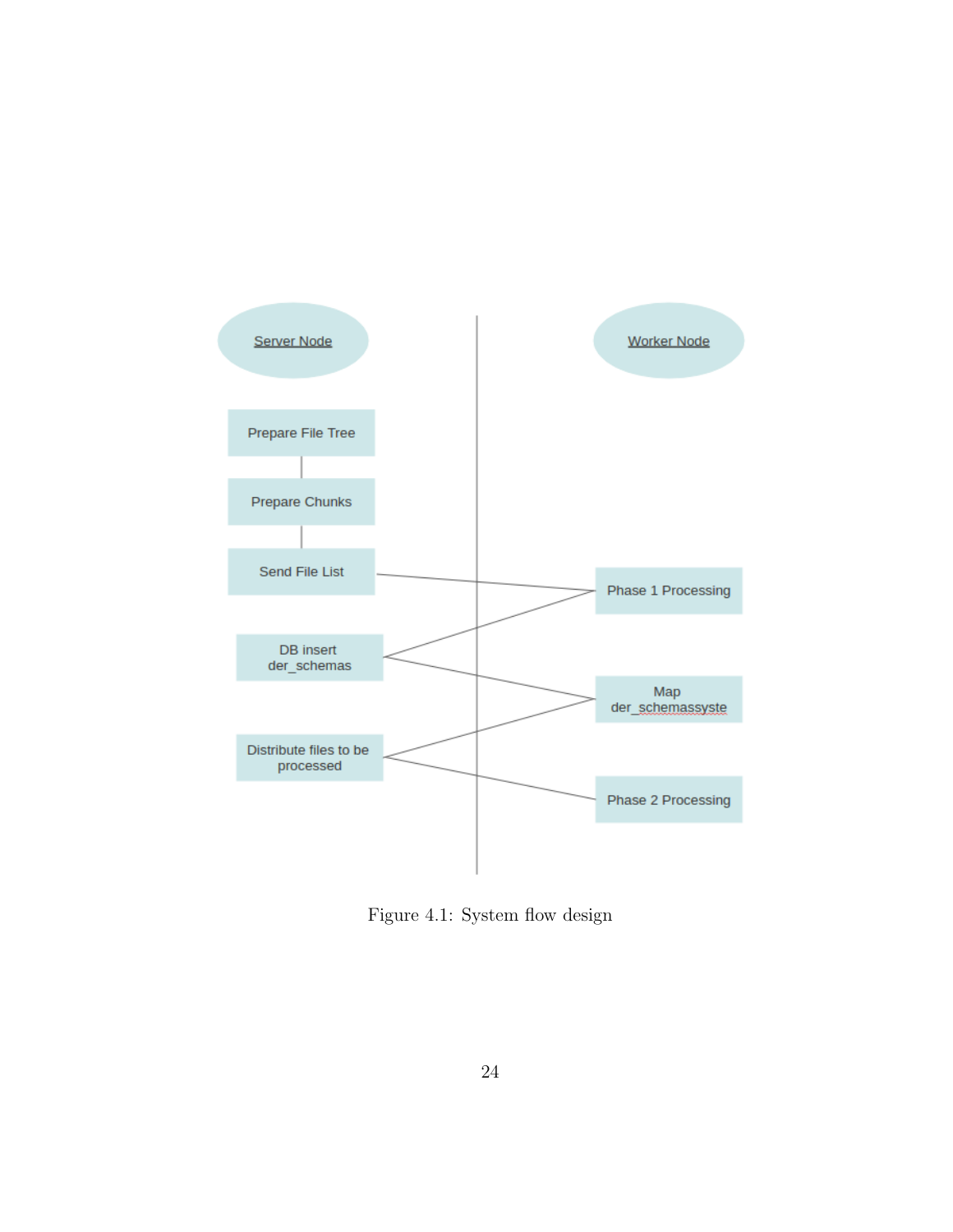

Figure 4.1: System flow design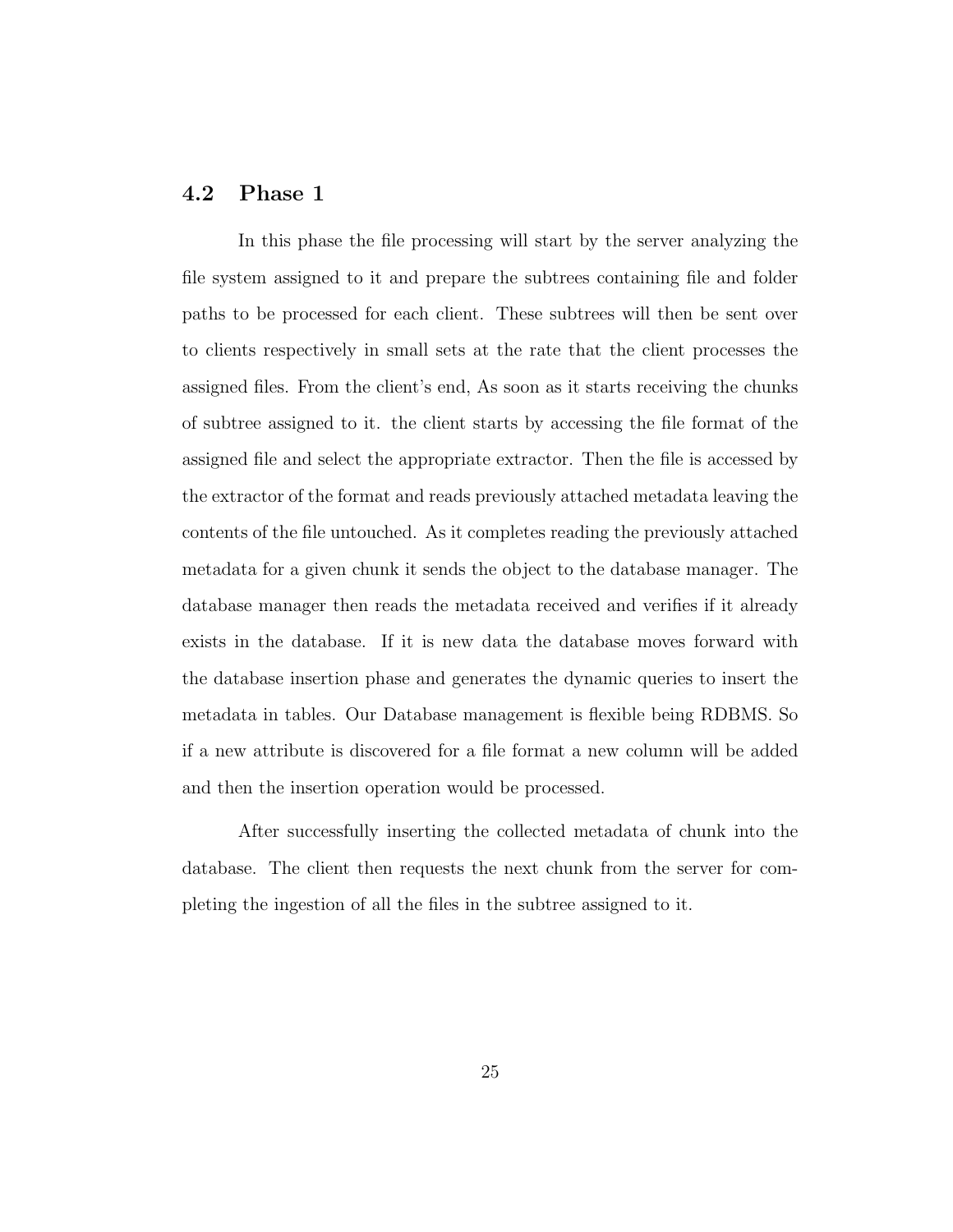# 4.2 Phase 1

In this phase the file processing will start by the server analyzing the file system assigned to it and prepare the subtrees containing file and folder paths to be processed for each client. These subtrees will then be sent over to clients respectively in small sets at the rate that the client processes the assigned files. From the client's end, As soon as it starts receiving the chunks of subtree assigned to it. the client starts by accessing the file format of the assigned file and select the appropriate extractor. Then the file is accessed by the extractor of the format and reads previously attached metadata leaving the contents of the file untouched. As it completes reading the previously attached metadata for a given chunk it sends the object to the database manager. The database manager then reads the metadata received and verifies if it already exists in the database. If it is new data the database moves forward with the database insertion phase and generates the dynamic queries to insert the metadata in tables. Our Database management is flexible being RDBMS. So if a new attribute is discovered for a file format a new column will be added and then the insertion operation would be processed.

After successfully inserting the collected metadata of chunk into the database. The client then requests the next chunk from the server for completing the ingestion of all the files in the subtree assigned to it.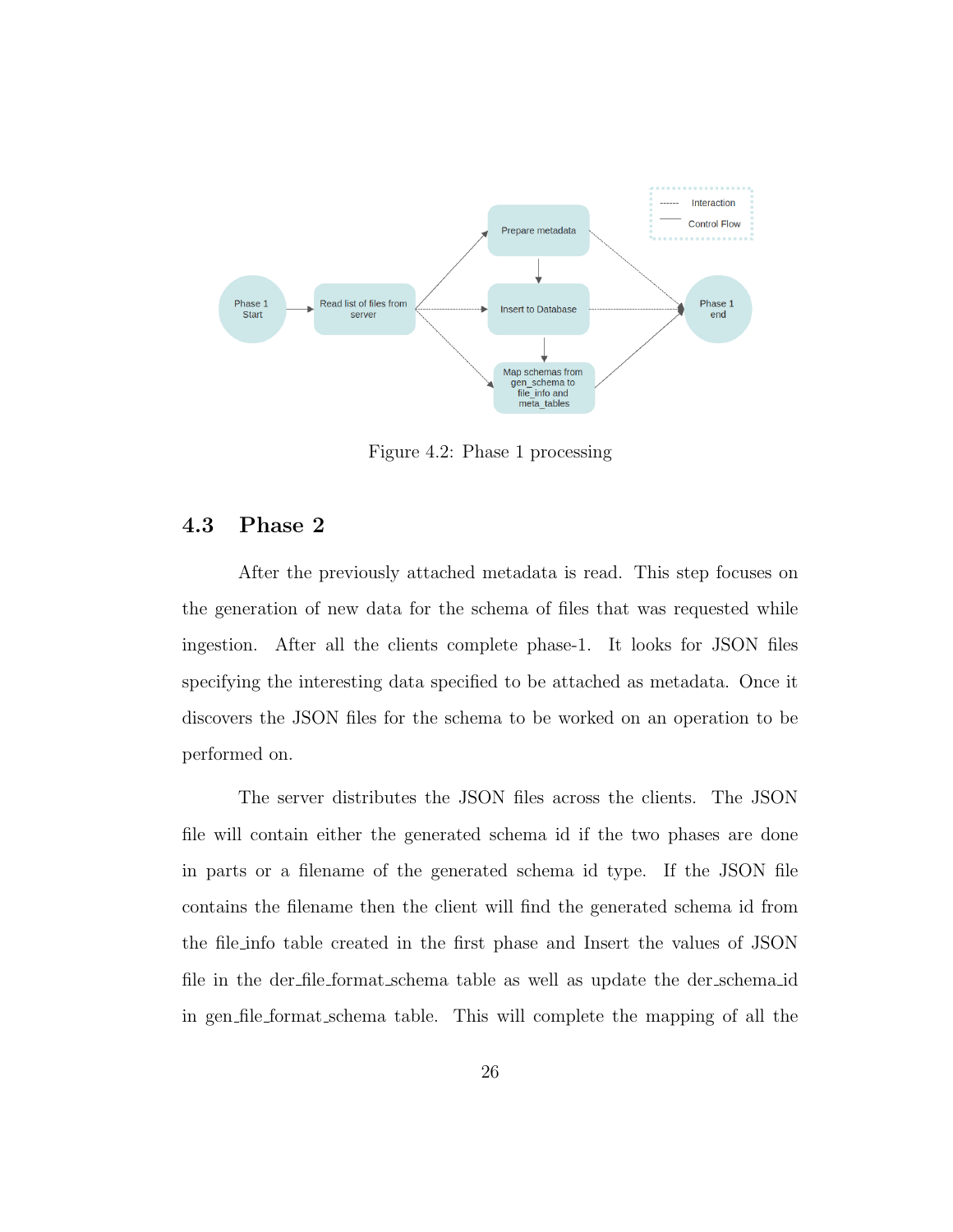

Figure 4.2: Phase 1 processing

# 4.3 Phase 2

After the previously attached metadata is read. This step focuses on the generation of new data for the schema of files that was requested while ingestion. After all the clients complete phase-1. It looks for JSON files specifying the interesting data specified to be attached as metadata. Once it discovers the JSON files for the schema to be worked on an operation to be performed on.

The server distributes the JSON files across the clients. The JSON file will contain either the generated schema id if the two phases are done in parts or a filename of the generated schema id type. If the JSON file contains the filename then the client will find the generated schema id from the file info table created in the first phase and Insert the values of JSON file in the der file format schema table as well as update the der schema id in gen file format schema table. This will complete the mapping of all the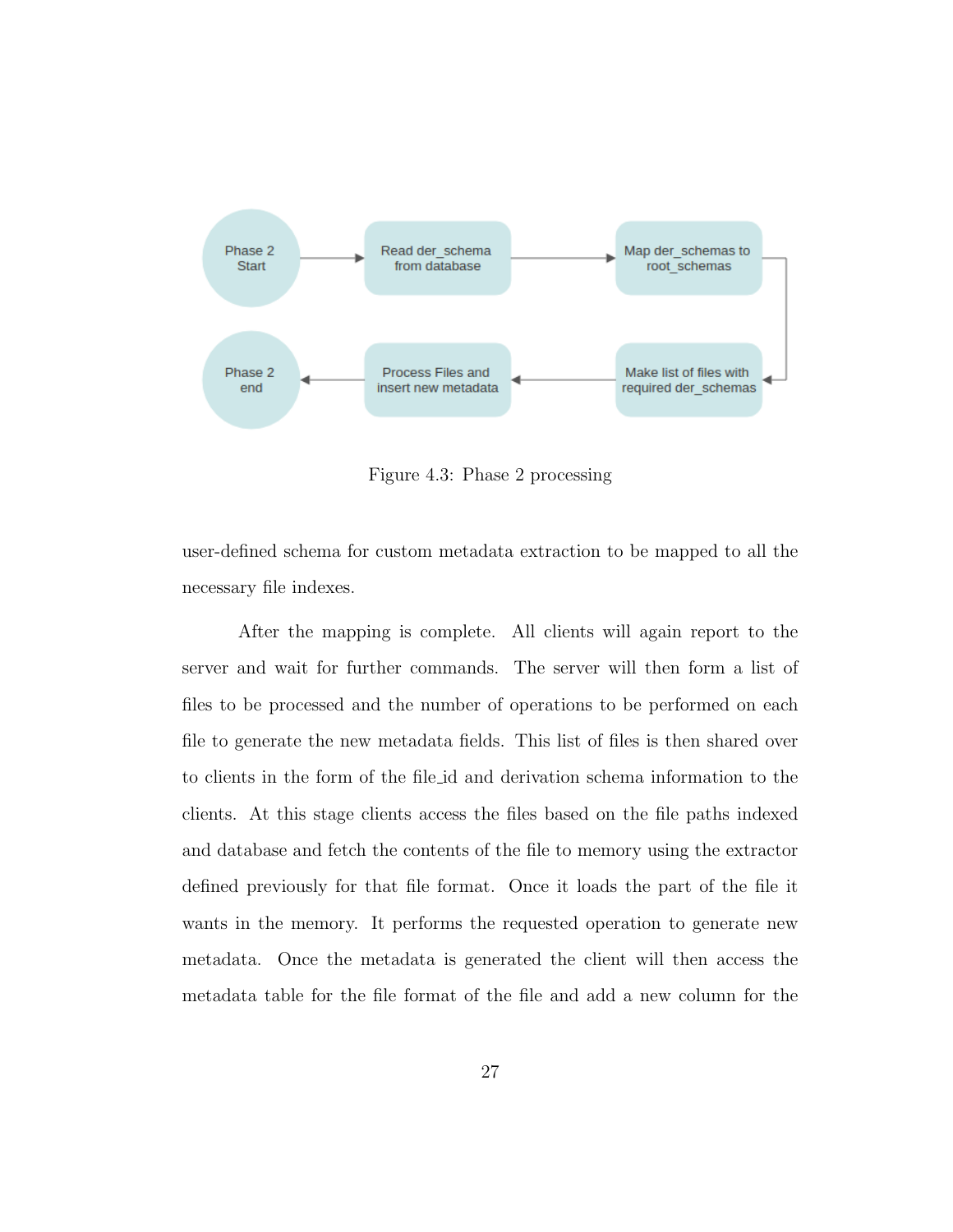

Figure 4.3: Phase 2 processing

user-defined schema for custom metadata extraction to be mapped to all the necessary file indexes.

After the mapping is complete. All clients will again report to the server and wait for further commands. The server will then form a list of files to be processed and the number of operations to be performed on each file to generate the new metadata fields. This list of files is then shared over to clients in the form of the file id and derivation schema information to the clients. At this stage clients access the files based on the file paths indexed and database and fetch the contents of the file to memory using the extractor defined previously for that file format. Once it loads the part of the file it wants in the memory. It performs the requested operation to generate new metadata. Once the metadata is generated the client will then access the metadata table for the file format of the file and add a new column for the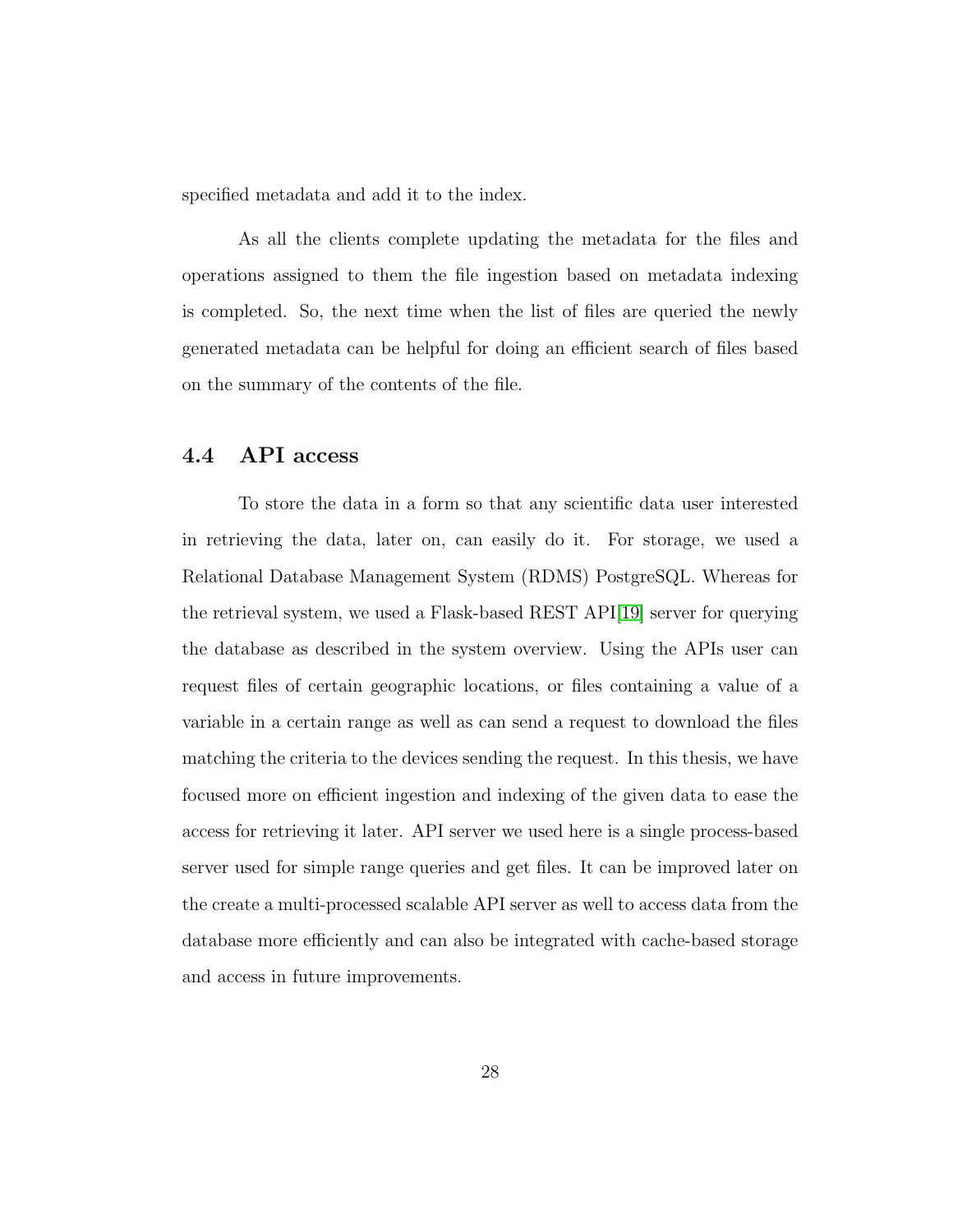specified metadata and add it to the index.

As all the clients complete updating the metadata for the files and operations assigned to them the file ingestion based on metadata indexing is completed. So, the next time when the list of files are queried the newly generated metadata can be helpful for doing an efficient search of files based on the summary of the contents of the file.

### 4.4 API access

To store the data in a form so that any scientific data user interested in retrieving the data, later on, can easily do it. For storage, we used a Relational Database Management System (RDMS) PostgreSQL. Whereas for the retrieval system, we used a Flask-based REST API[19] server for querying the database as described in the system overview. Using the APIs user can request files of certain geographic locations, or files containing a value of a variable in a certain range as well as can send a request to download the files matching the criteria to the devices sending the request. In this thesis, we have focused more on efficient ingestion and indexing of the given data to ease the access for retrieving it later. API server we used here is a single process-based server used for simple range queries and get files. It can be improved later on the create a multi-processed scalable API server as well to access data from the database more efficiently and can also be integrated with cache-based storage and access in future improvements.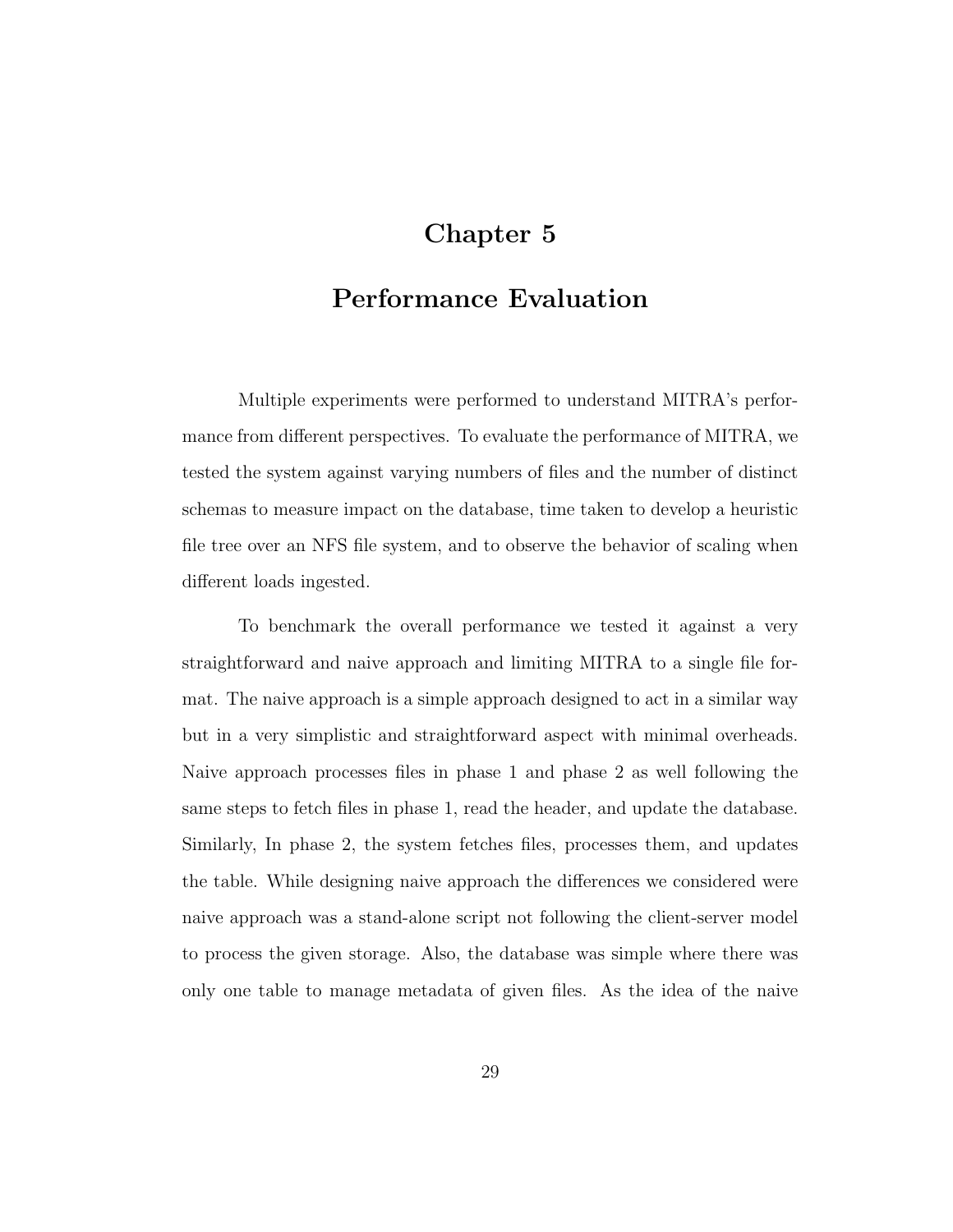# Chapter 5

# Performance Evaluation

Multiple experiments were performed to understand MITRA's performance from different perspectives. To evaluate the performance of MITRA, we tested the system against varying numbers of files and the number of distinct schemas to measure impact on the database, time taken to develop a heuristic file tree over an NFS file system, and to observe the behavior of scaling when different loads ingested.

To benchmark the overall performance we tested it against a very straightforward and naive approach and limiting MITRA to a single file format. The naive approach is a simple approach designed to act in a similar way but in a very simplistic and straightforward aspect with minimal overheads. Naive approach processes files in phase 1 and phase 2 as well following the same steps to fetch files in phase 1, read the header, and update the database. Similarly, In phase 2, the system fetches files, processes them, and updates the table. While designing naive approach the differences we considered were naive approach was a stand-alone script not following the client-server model to process the given storage. Also, the database was simple where there was only one table to manage metadata of given files. As the idea of the naive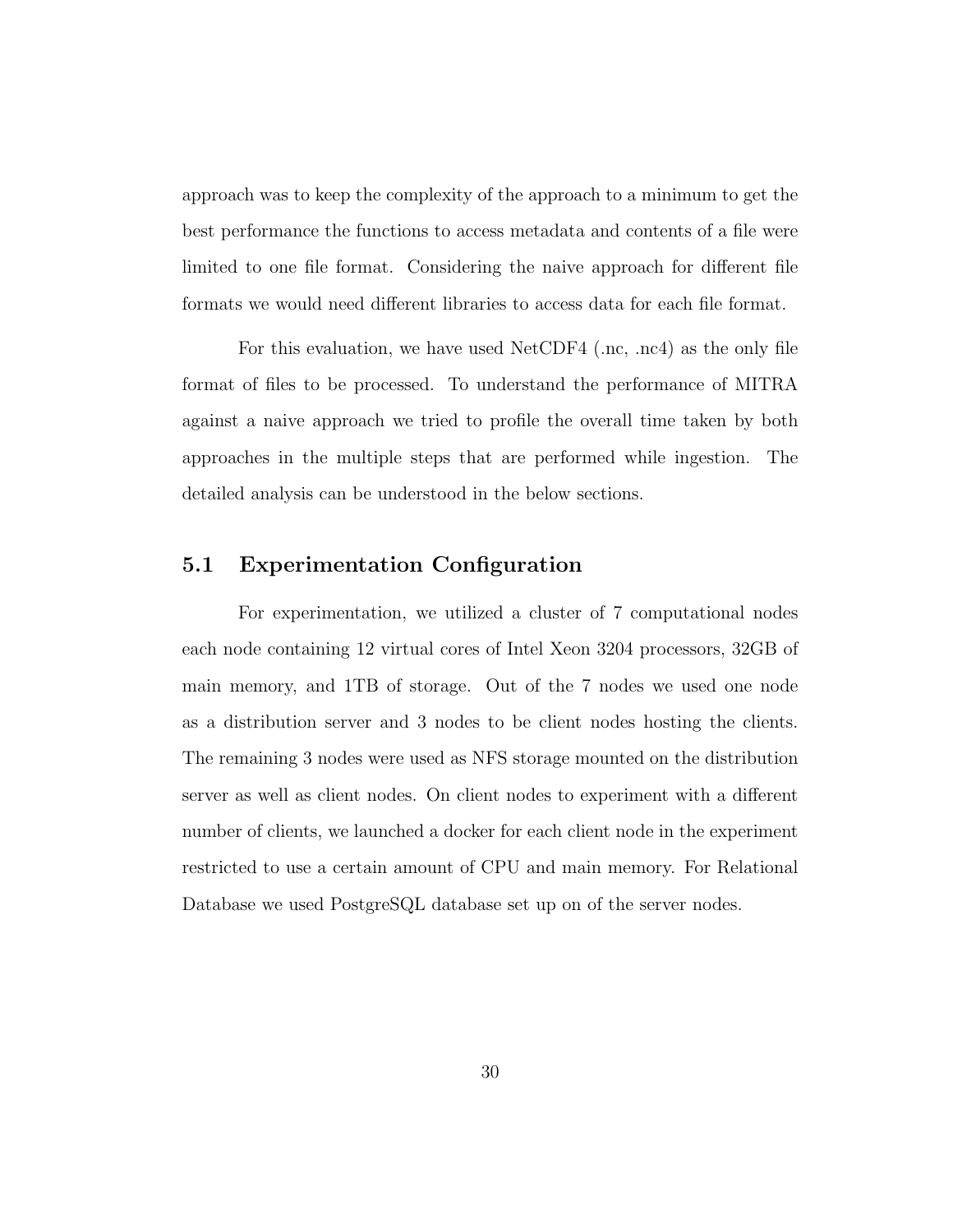approach was to keep the complexity of the approach to a minimum to get the best performance the functions to access metadata and contents of a file were limited to one file format. Considering the naive approach for different file formats we would need different libraries to access data for each file format.

For this evaluation, we have used NetCDF4 (.nc, .nc4) as the only file format of files to be processed. To understand the performance of MITRA against a naive approach we tried to profile the overall time taken by both approaches in the multiple steps that are performed while ingestion. The detailed analysis can be understood in the below sections.

# 5.1 Experimentation Configuration

For experimentation, we utilized a cluster of 7 computational nodes each node containing 12 virtual cores of Intel Xeon 3204 processors, 32GB of main memory, and 1TB of storage. Out of the 7 nodes we used one node as a distribution server and 3 nodes to be client nodes hosting the clients. The remaining 3 nodes were used as NFS storage mounted on the distribution server as well as client nodes. On client nodes to experiment with a different number of clients, we launched a docker for each client node in the experiment restricted to use a certain amount of CPU and main memory. For Relational Database we used PostgreSQL database set up on of the server nodes.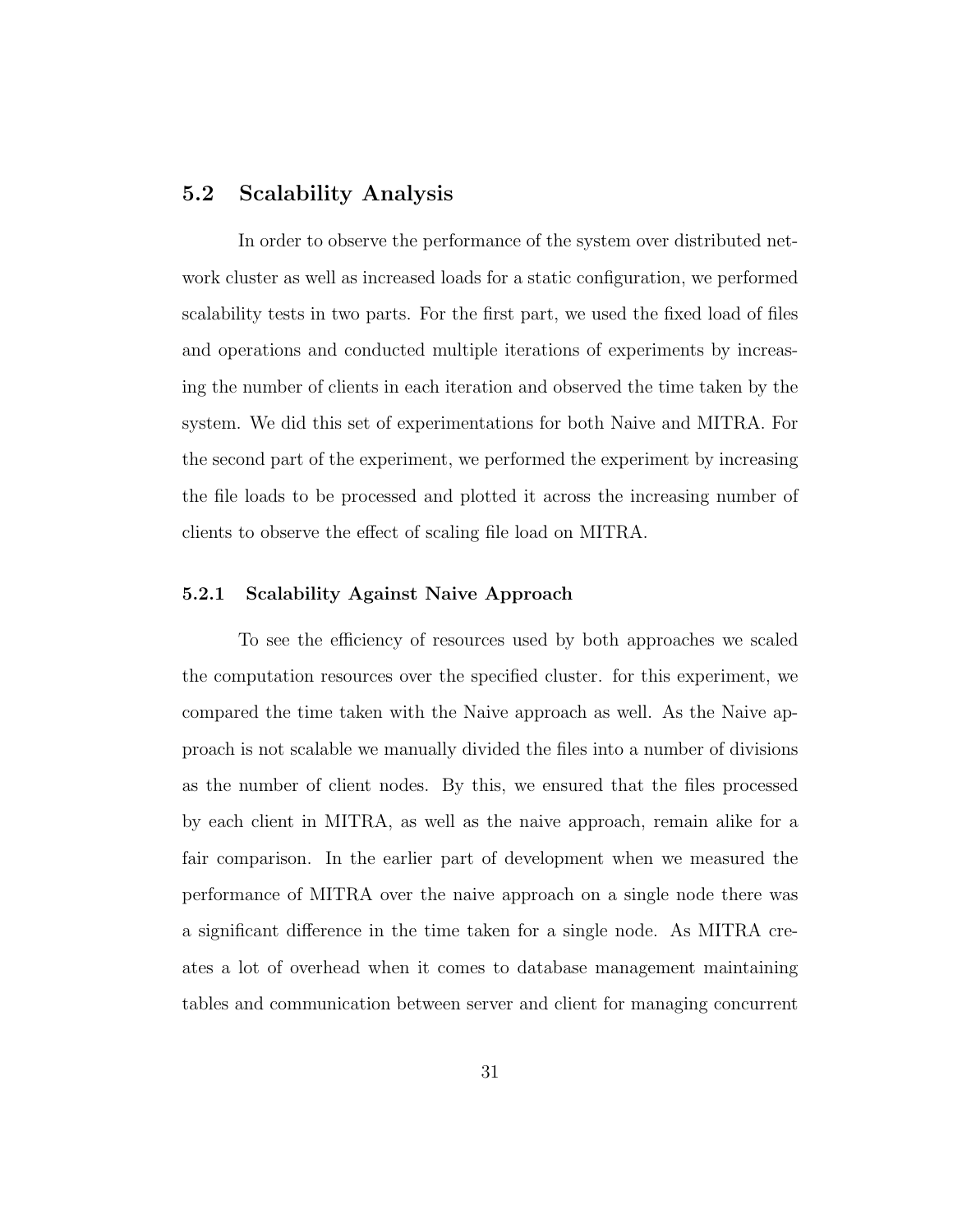#### 5.2 Scalability Analysis

In order to observe the performance of the system over distributed network cluster as well as increased loads for a static configuration, we performed scalability tests in two parts. For the first part, we used the fixed load of files and operations and conducted multiple iterations of experiments by increasing the number of clients in each iteration and observed the time taken by the system. We did this set of experimentations for both Naive and MITRA. For the second part of the experiment, we performed the experiment by increasing the file loads to be processed and plotted it across the increasing number of clients to observe the effect of scaling file load on MITRA.

#### 5.2.1 Scalability Against Naive Approach

To see the efficiency of resources used by both approaches we scaled the computation resources over the specified cluster. for this experiment, we compared the time taken with the Naive approach as well. As the Naive approach is not scalable we manually divided the files into a number of divisions as the number of client nodes. By this, we ensured that the files processed by each client in MITRA, as well as the naive approach, remain alike for a fair comparison. In the earlier part of development when we measured the performance of MITRA over the naive approach on a single node there was a significant difference in the time taken for a single node. As MITRA creates a lot of overhead when it comes to database management maintaining tables and communication between server and client for managing concurrent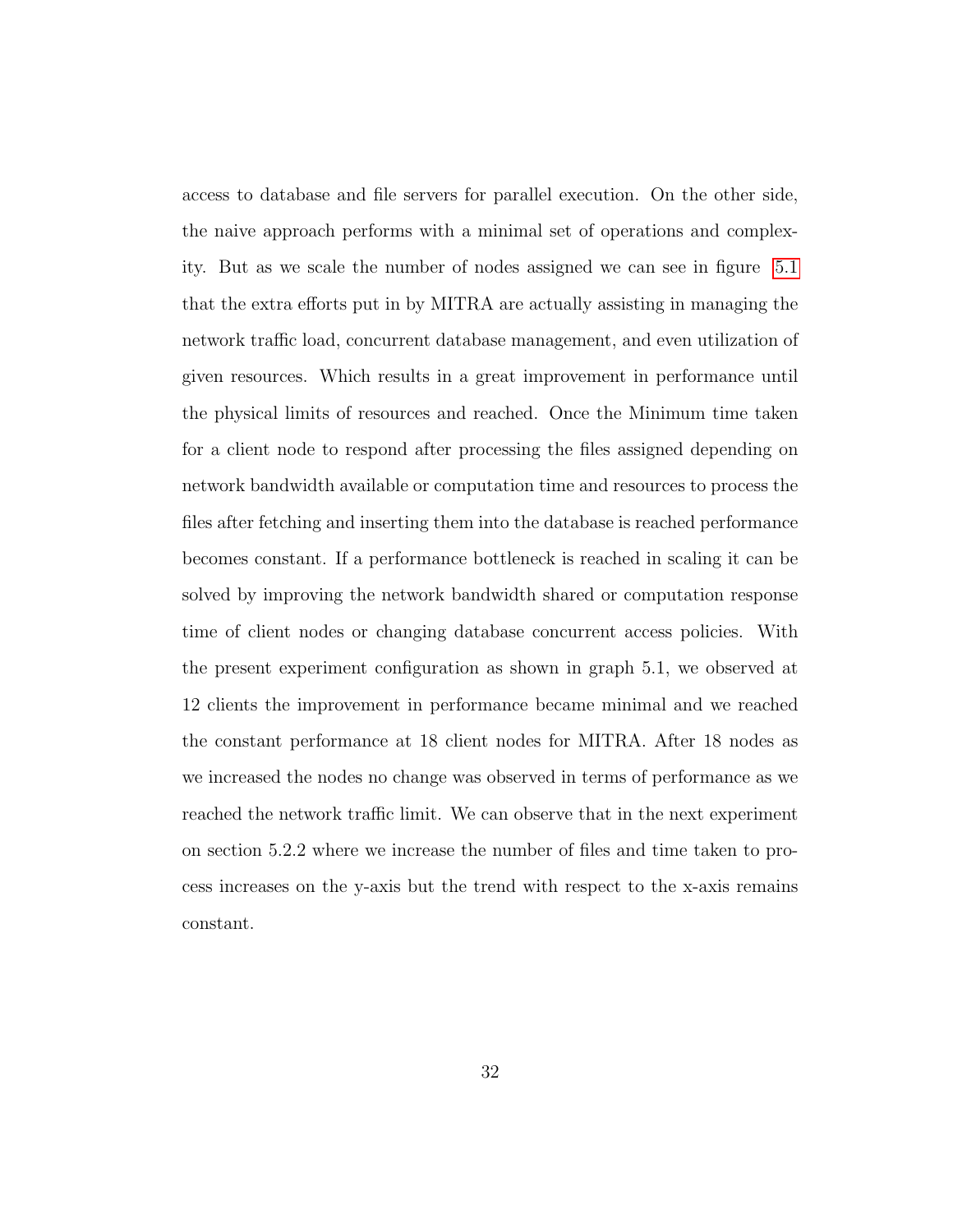access to database and file servers for parallel execution. On the other side, the naive approach performs with a minimal set of operations and complexity. But as we scale the number of nodes assigned we can see in figure 5.1 that the extra efforts put in by MITRA are actually assisting in managing the network traffic load, concurrent database management, and even utilization of given resources. Which results in a great improvement in performance until the physical limits of resources and reached. Once the Minimum time taken for a client node to respond after processing the files assigned depending on network bandwidth available or computation time and resources to process the files after fetching and inserting them into the database is reached performance becomes constant. If a performance bottleneck is reached in scaling it can be solved by improving the network bandwidth shared or computation response time of client nodes or changing database concurrent access policies. With the present experiment configuration as shown in graph 5.1, we observed at 12 clients the improvement in performance became minimal and we reached the constant performance at 18 client nodes for MITRA. After 18 nodes as we increased the nodes no change was observed in terms of performance as we reached the network traffic limit. We can observe that in the next experiment on section 5.2.2 where we increase the number of files and time taken to process increases on the y-axis but the trend with respect to the x-axis remains constant.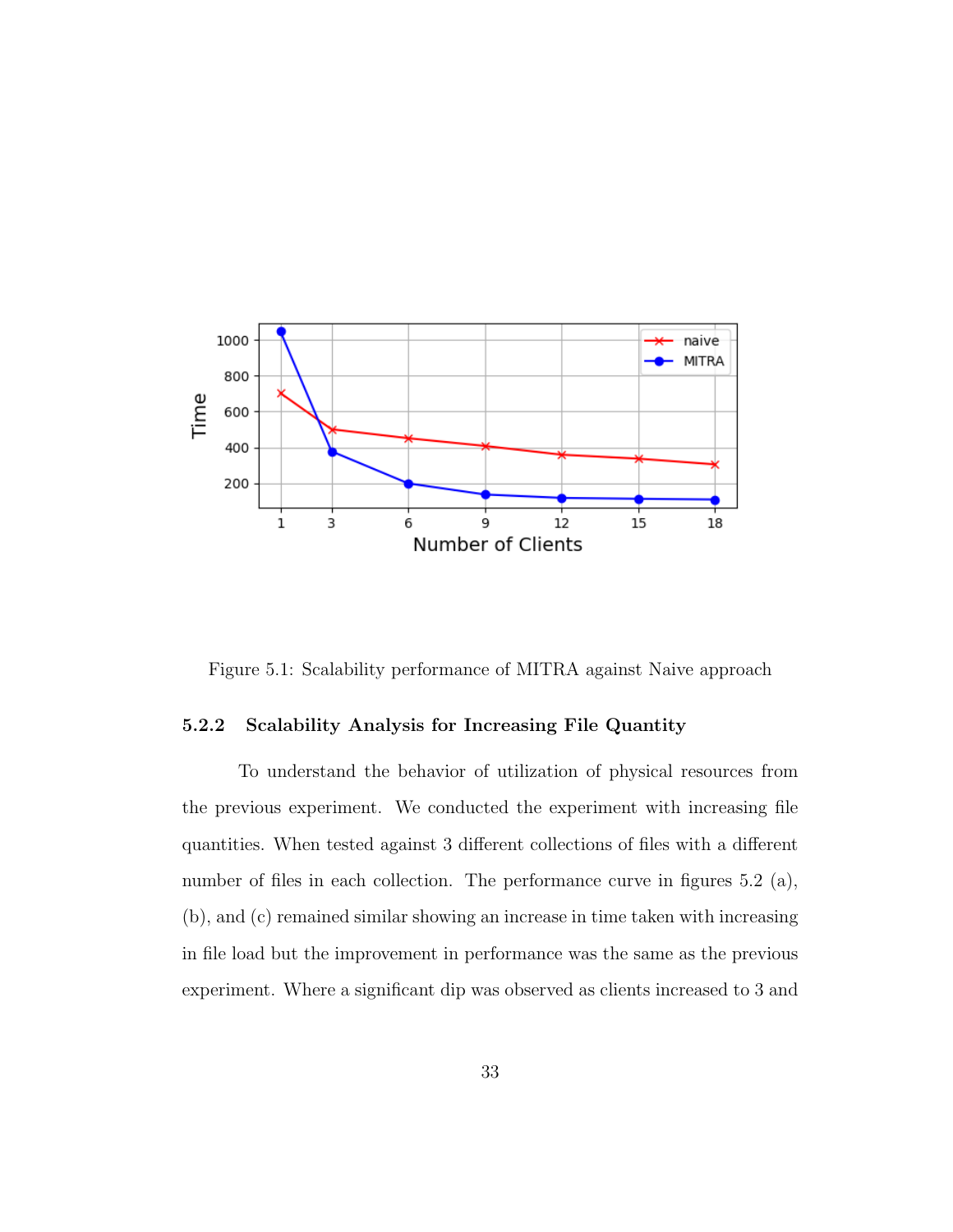

Figure 5.1: Scalability performance of MITRA against Naive approach

#### 5.2.2 Scalability Analysis for Increasing File Quantity

To understand the behavior of utilization of physical resources from the previous experiment. We conducted the experiment with increasing file quantities. When tested against 3 different collections of files with a different number of files in each collection. The performance curve in figures 5.2 (a), (b), and (c) remained similar showing an increase in time taken with increasing in file load but the improvement in performance was the same as the previous experiment. Where a significant dip was observed as clients increased to 3 and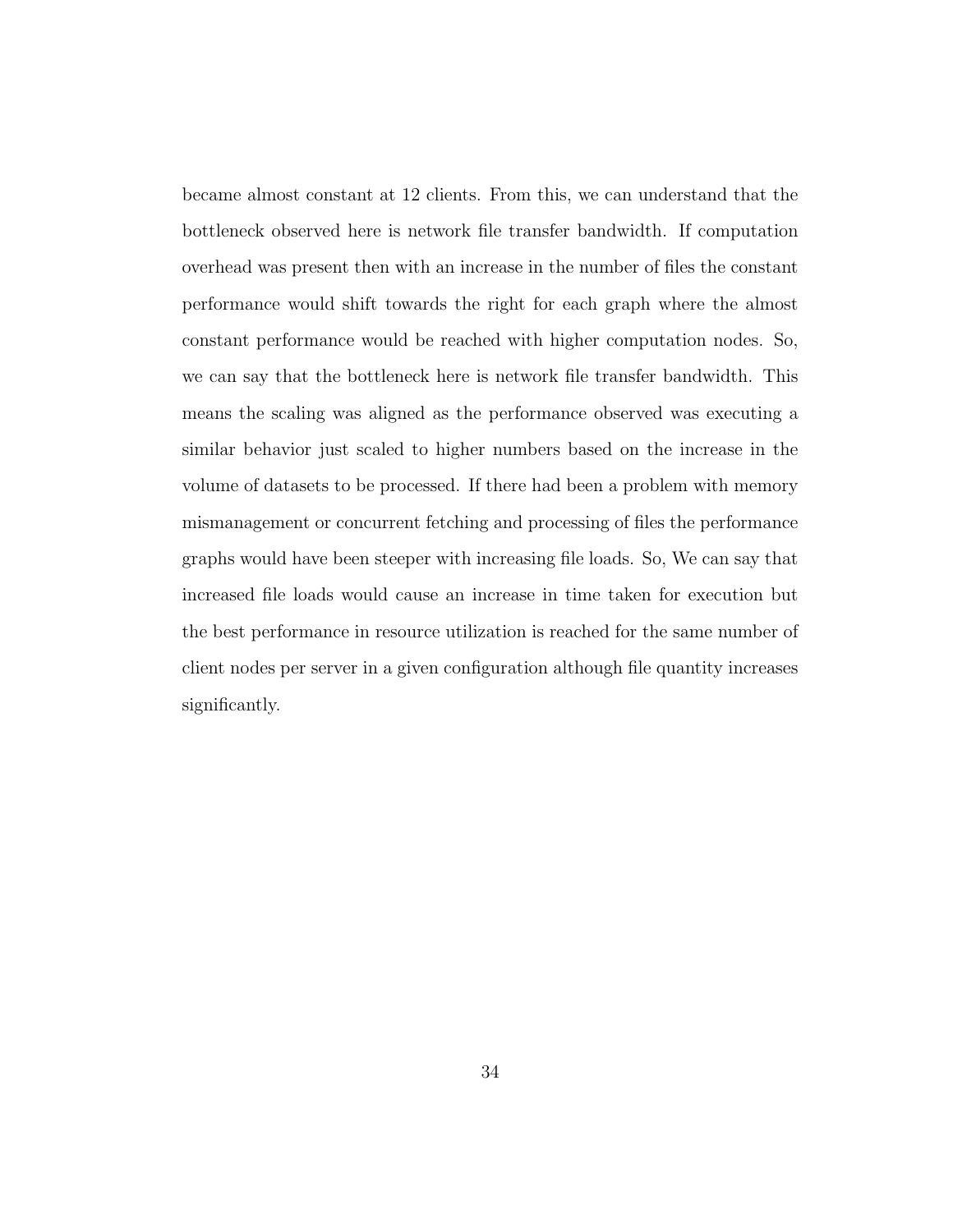became almost constant at 12 clients. From this, we can understand that the bottleneck observed here is network file transfer bandwidth. If computation overhead was present then with an increase in the number of files the constant performance would shift towards the right for each graph where the almost constant performance would be reached with higher computation nodes. So, we can say that the bottleneck here is network file transfer bandwidth. This means the scaling was aligned as the performance observed was executing a similar behavior just scaled to higher numbers based on the increase in the volume of datasets to be processed. If there had been a problem with memory mismanagement or concurrent fetching and processing of files the performance graphs would have been steeper with increasing file loads. So, We can say that increased file loads would cause an increase in time taken for execution but the best performance in resource utilization is reached for the same number of client nodes per server in a given configuration although file quantity increases significantly.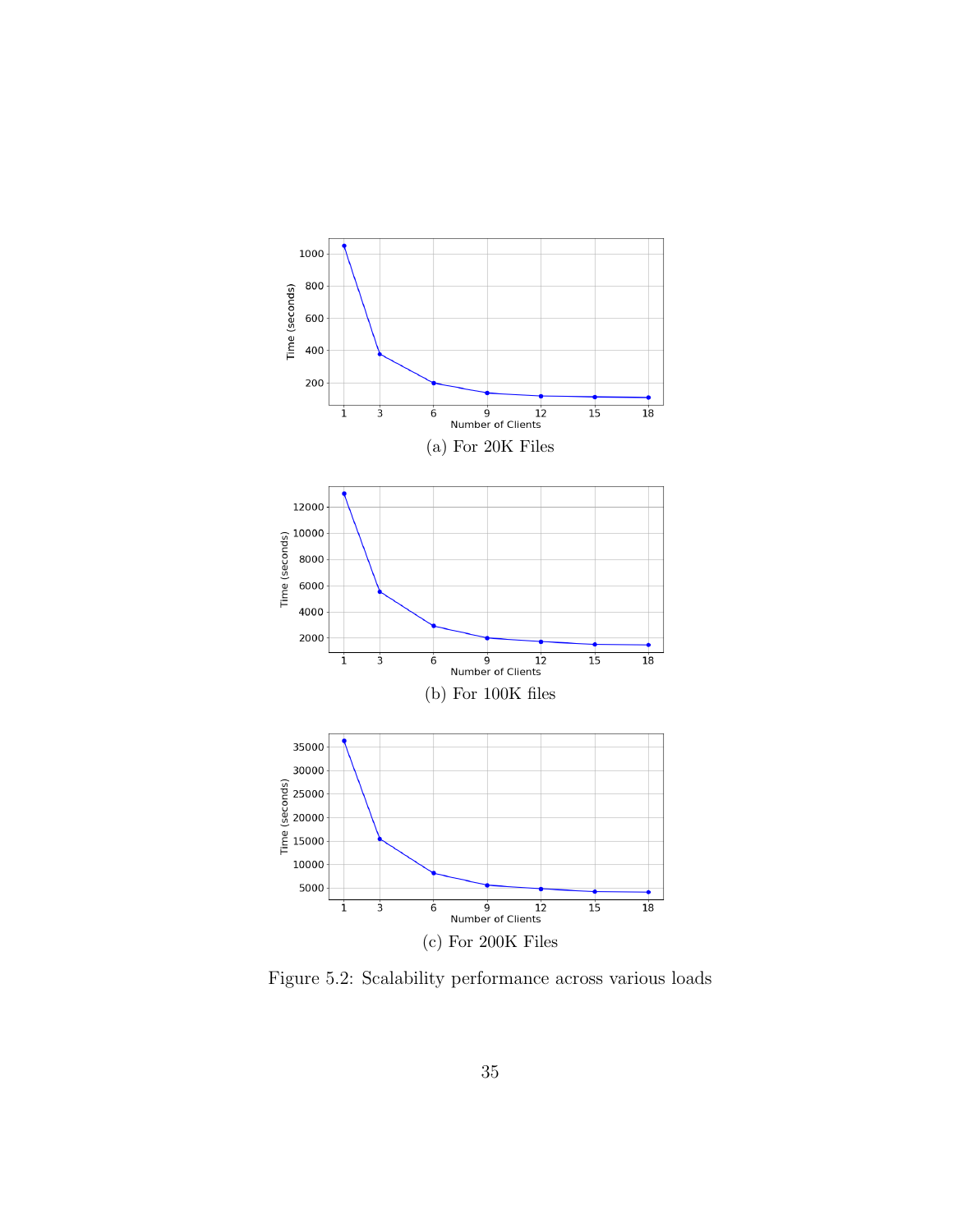

Figure 5.2: Scalability performance across various loads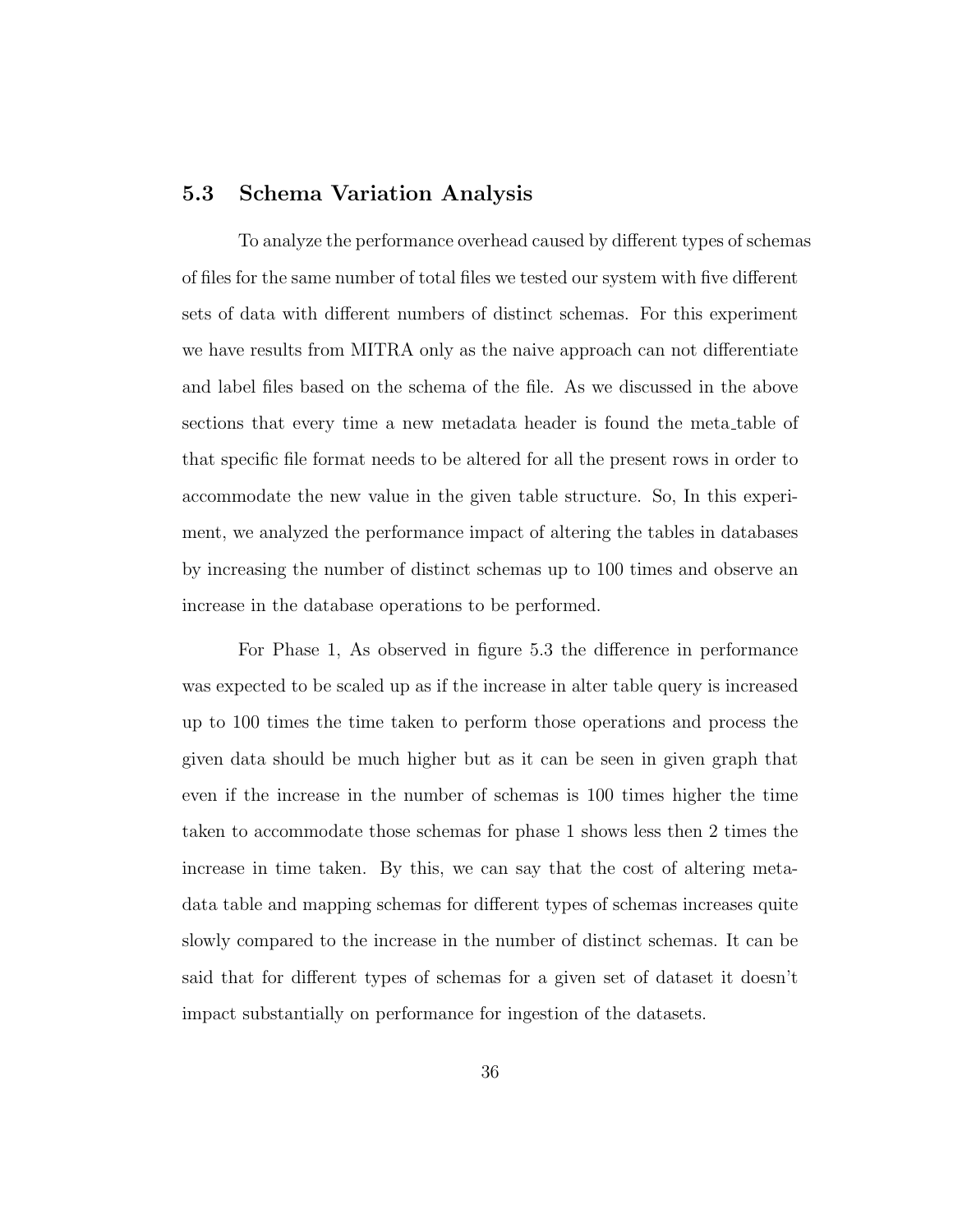#### 5.3 Schema Variation Analysis

To analyze the performance overhead caused by different types of schemas of files for the same number of total files we tested our system with five different sets of data with different numbers of distinct schemas. For this experiment we have results from MITRA only as the naive approach can not differentiate and label files based on the schema of the file. As we discussed in the above sections that every time a new metadata header is found the meta table of that specific file format needs to be altered for all the present rows in order to accommodate the new value in the given table structure. So, In this experiment, we analyzed the performance impact of altering the tables in databases by increasing the number of distinct schemas up to 100 times and observe an increase in the database operations to be performed.

For Phase 1, As observed in figure 5.3 the difference in performance was expected to be scaled up as if the increase in alter table query is increased up to 100 times the time taken to perform those operations and process the given data should be much higher but as it can be seen in given graph that even if the increase in the number of schemas is 100 times higher the time taken to accommodate those schemas for phase 1 shows less then 2 times the increase in time taken. By this, we can say that the cost of altering metadata table and mapping schemas for different types of schemas increases quite slowly compared to the increase in the number of distinct schemas. It can be said that for different types of schemas for a given set of dataset it doesn't impact substantially on performance for ingestion of the datasets.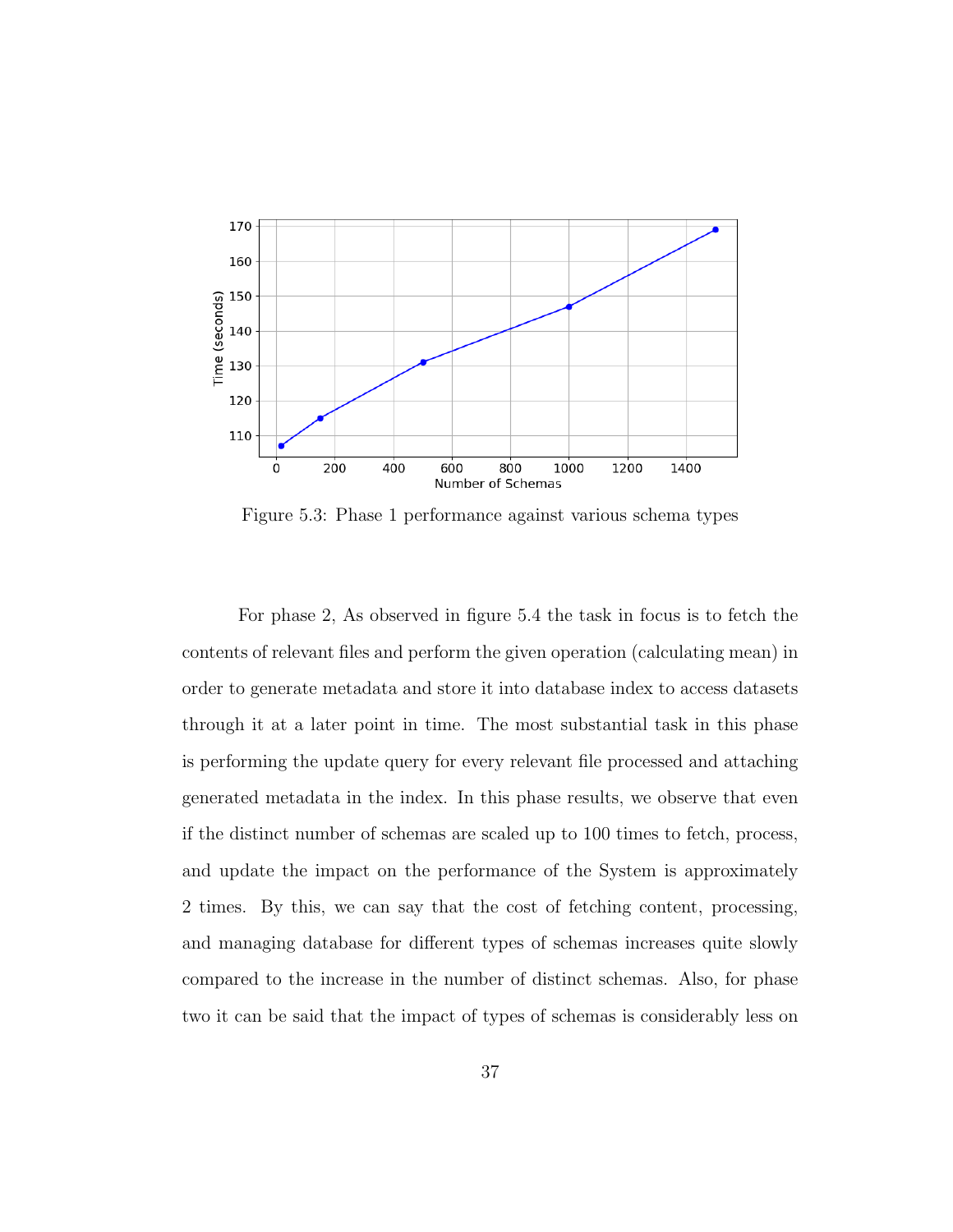

Figure 5.3: Phase 1 performance against various schema types

For phase 2, As observed in figure 5.4 the task in focus is to fetch the contents of relevant files and perform the given operation (calculating mean) in order to generate metadata and store it into database index to access datasets through it at a later point in time. The most substantial task in this phase is performing the update query for every relevant file processed and attaching generated metadata in the index. In this phase results, we observe that even if the distinct number of schemas are scaled up to 100 times to fetch, process, and update the impact on the performance of the System is approximately 2 times. By this, we can say that the cost of fetching content, processing, and managing database for different types of schemas increases quite slowly compared to the increase in the number of distinct schemas. Also, for phase two it can be said that the impact of types of schemas is considerably less on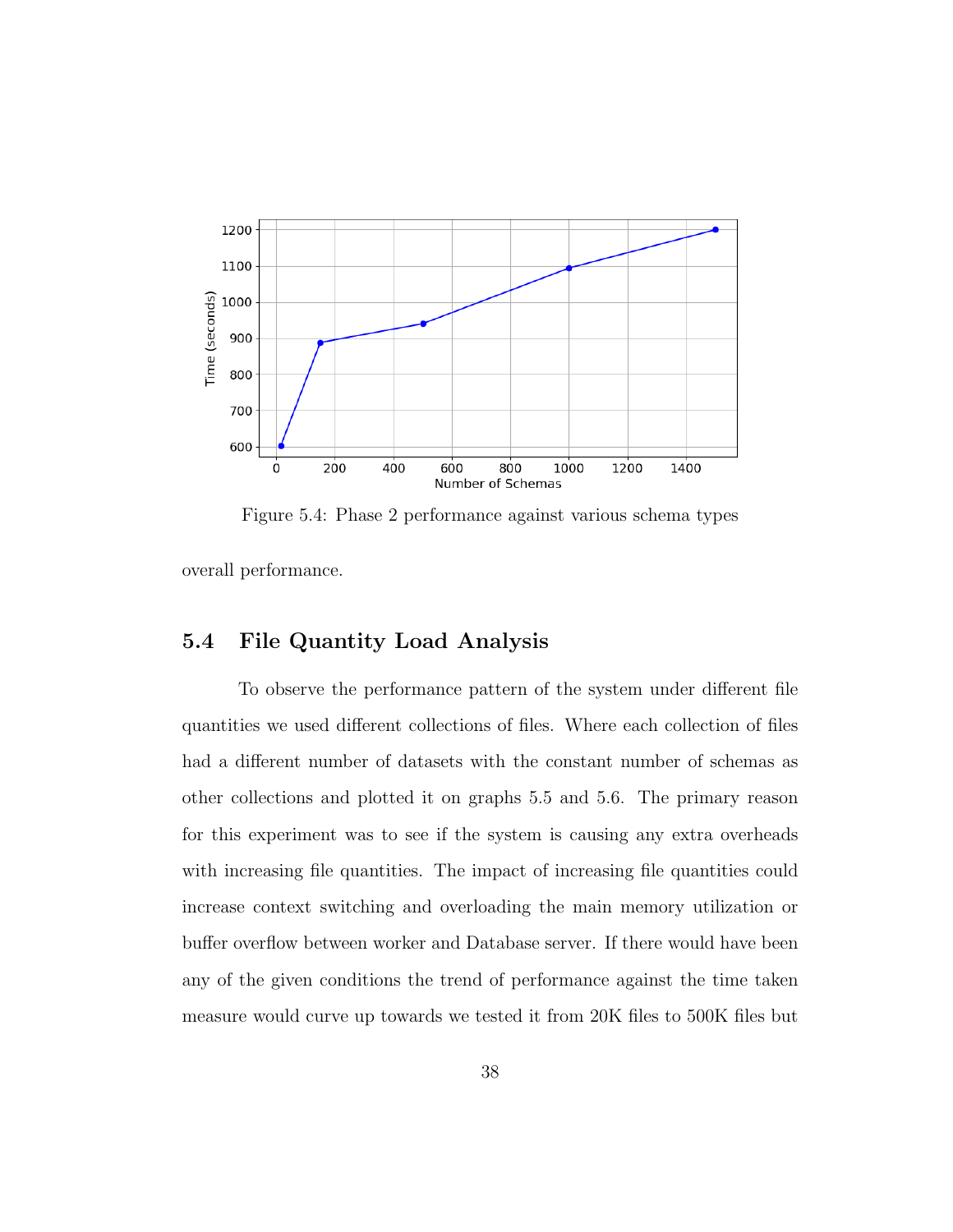

Figure 5.4: Phase 2 performance against various schema types

overall performance.

# 5.4 File Quantity Load Analysis

To observe the performance pattern of the system under different file quantities we used different collections of files. Where each collection of files had a different number of datasets with the constant number of schemas as other collections and plotted it on graphs 5.5 and 5.6. The primary reason for this experiment was to see if the system is causing any extra overheads with increasing file quantities. The impact of increasing file quantities could increase context switching and overloading the main memory utilization or buffer overflow between worker and Database server. If there would have been any of the given conditions the trend of performance against the time taken measure would curve up towards we tested it from 20K files to 500K files but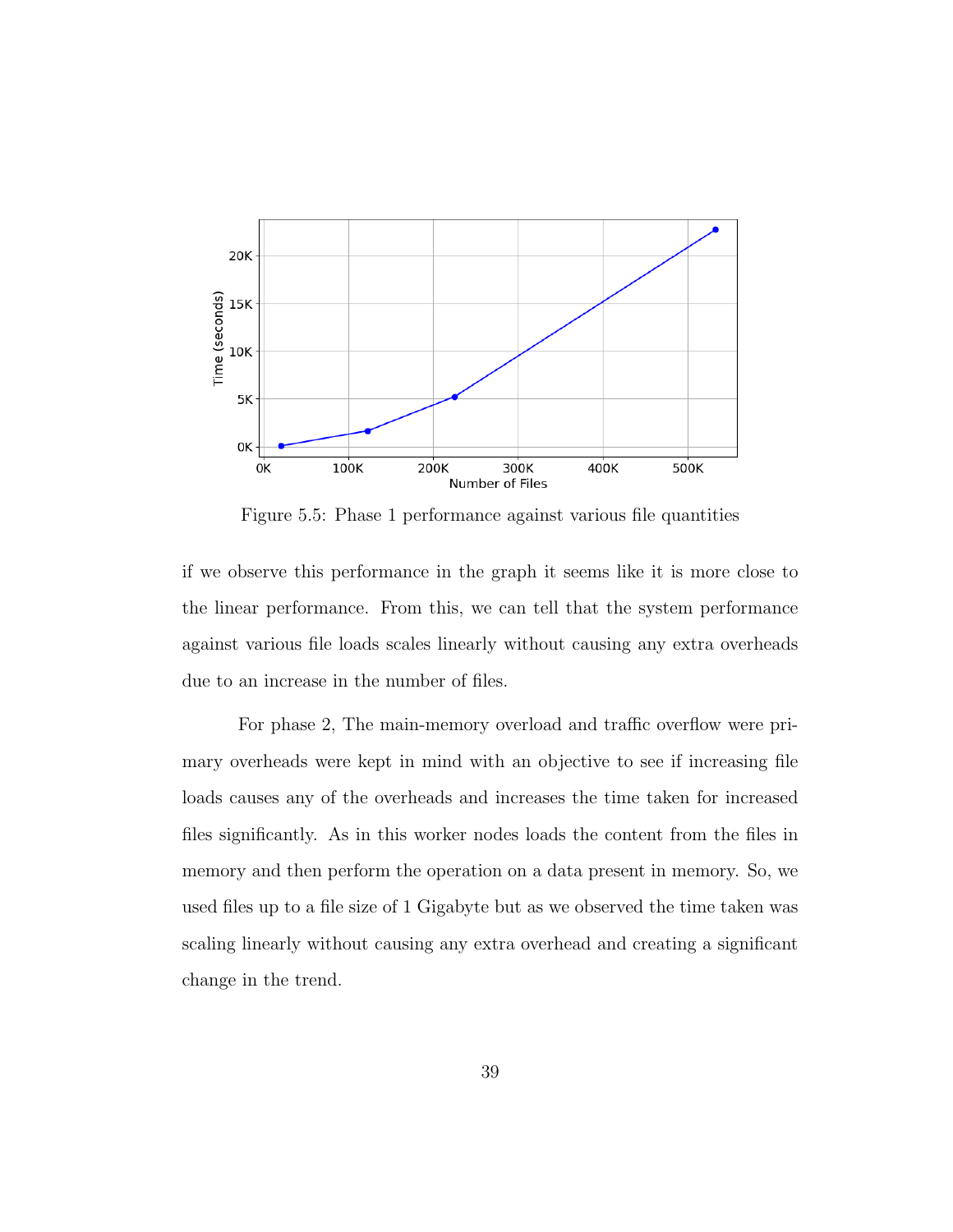

Figure 5.5: Phase 1 performance against various file quantities

if we observe this performance in the graph it seems like it is more close to the linear performance. From this, we can tell that the system performance against various file loads scales linearly without causing any extra overheads due to an increase in the number of files.

For phase 2, The main-memory overload and traffic overflow were primary overheads were kept in mind with an objective to see if increasing file loads causes any of the overheads and increases the time taken for increased files significantly. As in this worker nodes loads the content from the files in memory and then perform the operation on a data present in memory. So, we used files up to a file size of 1 Gigabyte but as we observed the time taken was scaling linearly without causing any extra overhead and creating a significant change in the trend.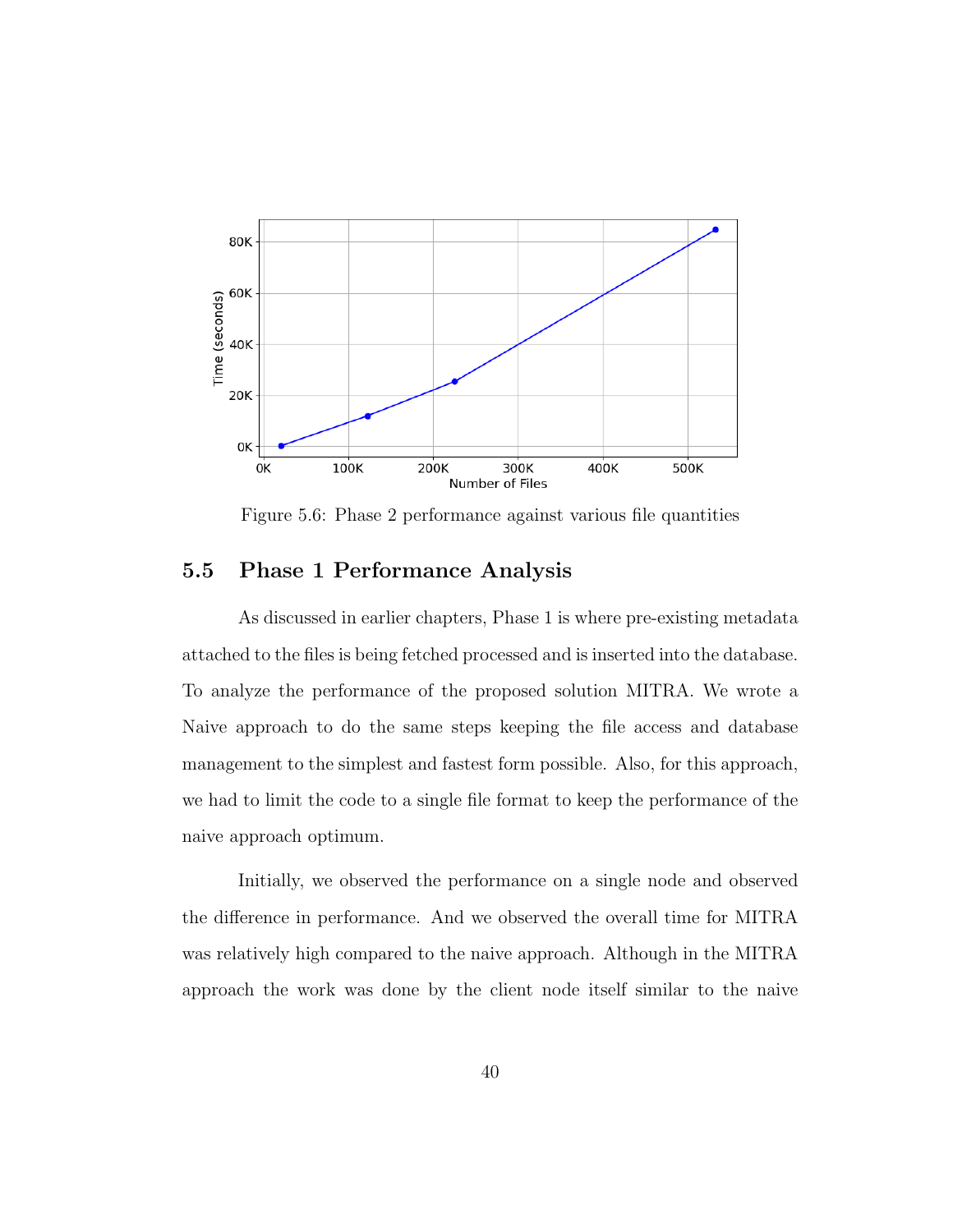

Figure 5.6: Phase 2 performance against various file quantities

# 5.5 Phase 1 Performance Analysis

As discussed in earlier chapters, Phase 1 is where pre-existing metadata attached to the files is being fetched processed and is inserted into the database. To analyze the performance of the proposed solution MITRA. We wrote a Naive approach to do the same steps keeping the file access and database management to the simplest and fastest form possible. Also, for this approach, we had to limit the code to a single file format to keep the performance of the naive approach optimum.

Initially, we observed the performance on a single node and observed the difference in performance. And we observed the overall time for MITRA was relatively high compared to the naive approach. Although in the MITRA approach the work was done by the client node itself similar to the naive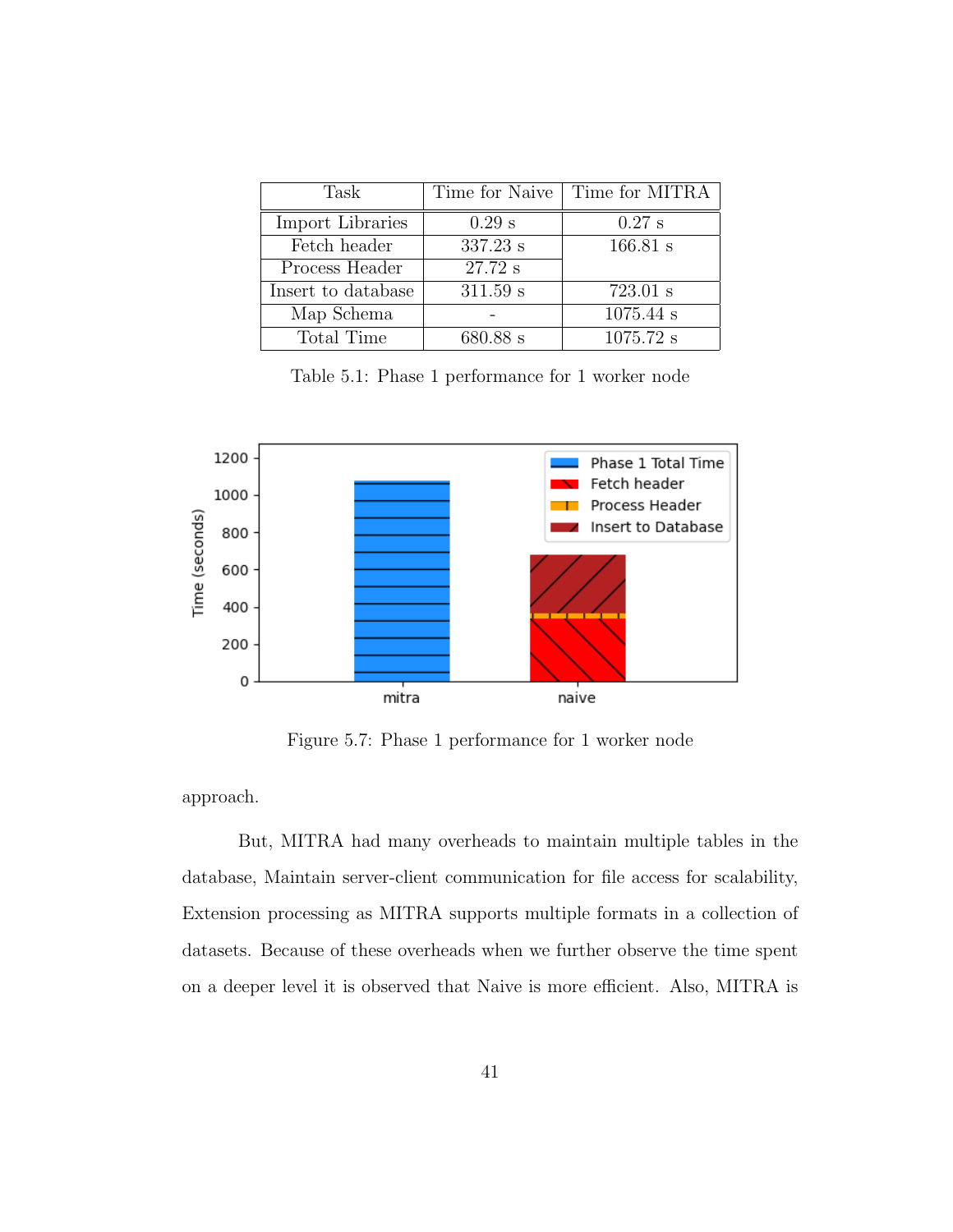| Task               | Time for Naive | Time for MITRA |
|--------------------|----------------|----------------|
| Import Libraries   | $0.29$ s       | $0.27$ s       |
| Fetch header       | 337.23 s       | 166.81 s       |
| Process Header     | 27.72 s        |                |
| Insert to database | 311.59 s       | 723.01 s       |
| Map Schema         |                | $1075.44$ s    |
| Total Time         | 680.88 s       | $1075.72$ s    |

Table 5.1: Phase 1 performance for 1 worker node



Figure 5.7: Phase 1 performance for 1 worker node

approach.

But, MITRA had many overheads to maintain multiple tables in the database, Maintain server-client communication for file access for scalability, Extension processing as MITRA supports multiple formats in a collection of datasets. Because of these overheads when we further observe the time spent on a deeper level it is observed that Naive is more efficient. Also, MITRA is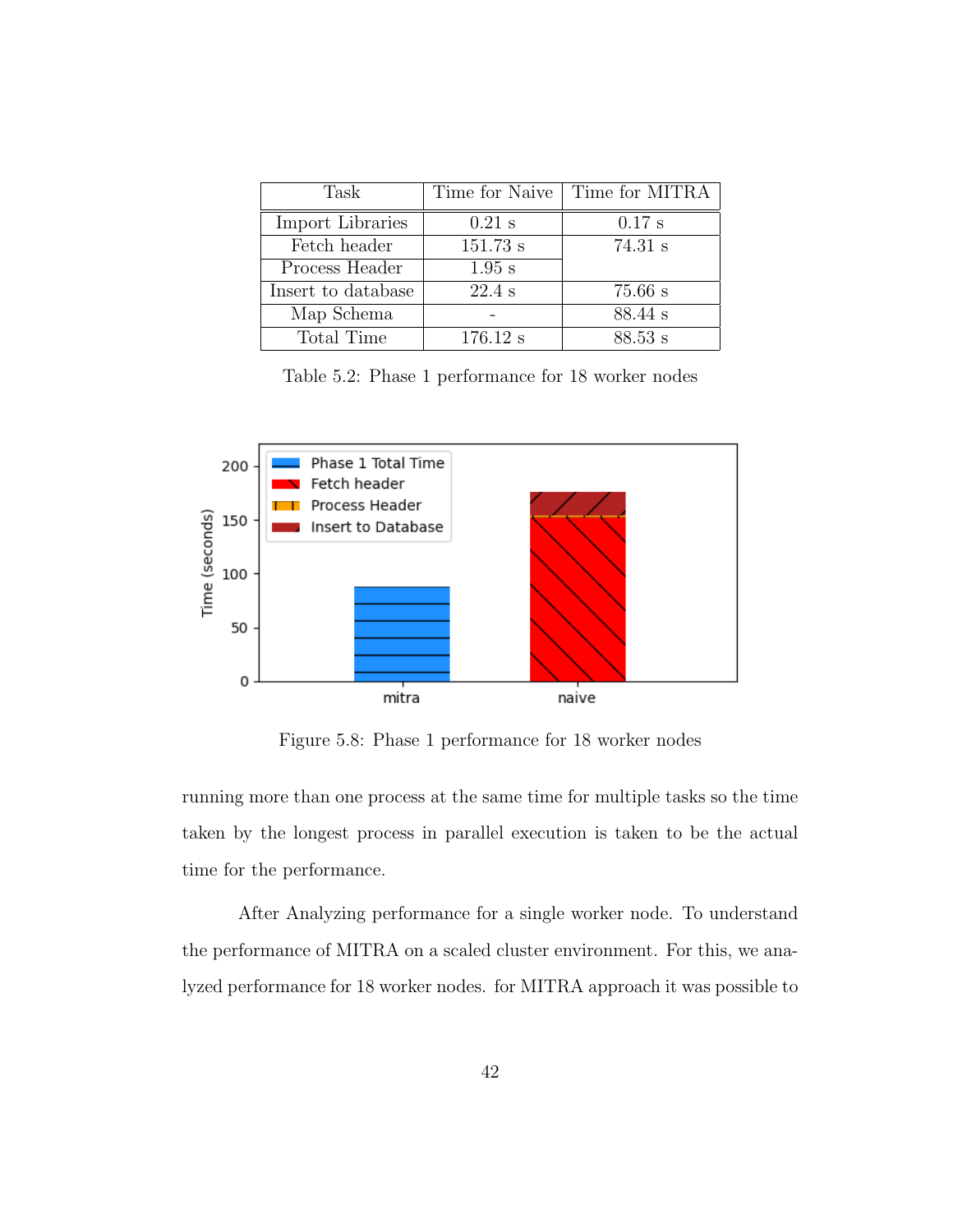| Task               | Time for Naive | Time for MITRA |
|--------------------|----------------|----------------|
| Import Libraries   | $0.21$ s       | $0.17$ s       |
| Fetch header       | 151.73 s       | 74.31 s        |
| Process Header     | $1.95$ s       |                |
| Insert to database | $22.4$ s       | $75.66$ s      |
| Map Schema         |                | 88.44 s        |
| Total Time         | 176.12 s       | 88.53 s        |

Table 5.2: Phase 1 performance for 18 worker nodes



Figure 5.8: Phase 1 performance for 18 worker nodes

running more than one process at the same time for multiple tasks so the time taken by the longest process in parallel execution is taken to be the actual time for the performance.

After Analyzing performance for a single worker node. To understand the performance of MITRA on a scaled cluster environment. For this, we analyzed performance for 18 worker nodes. for MITRA approach it was possible to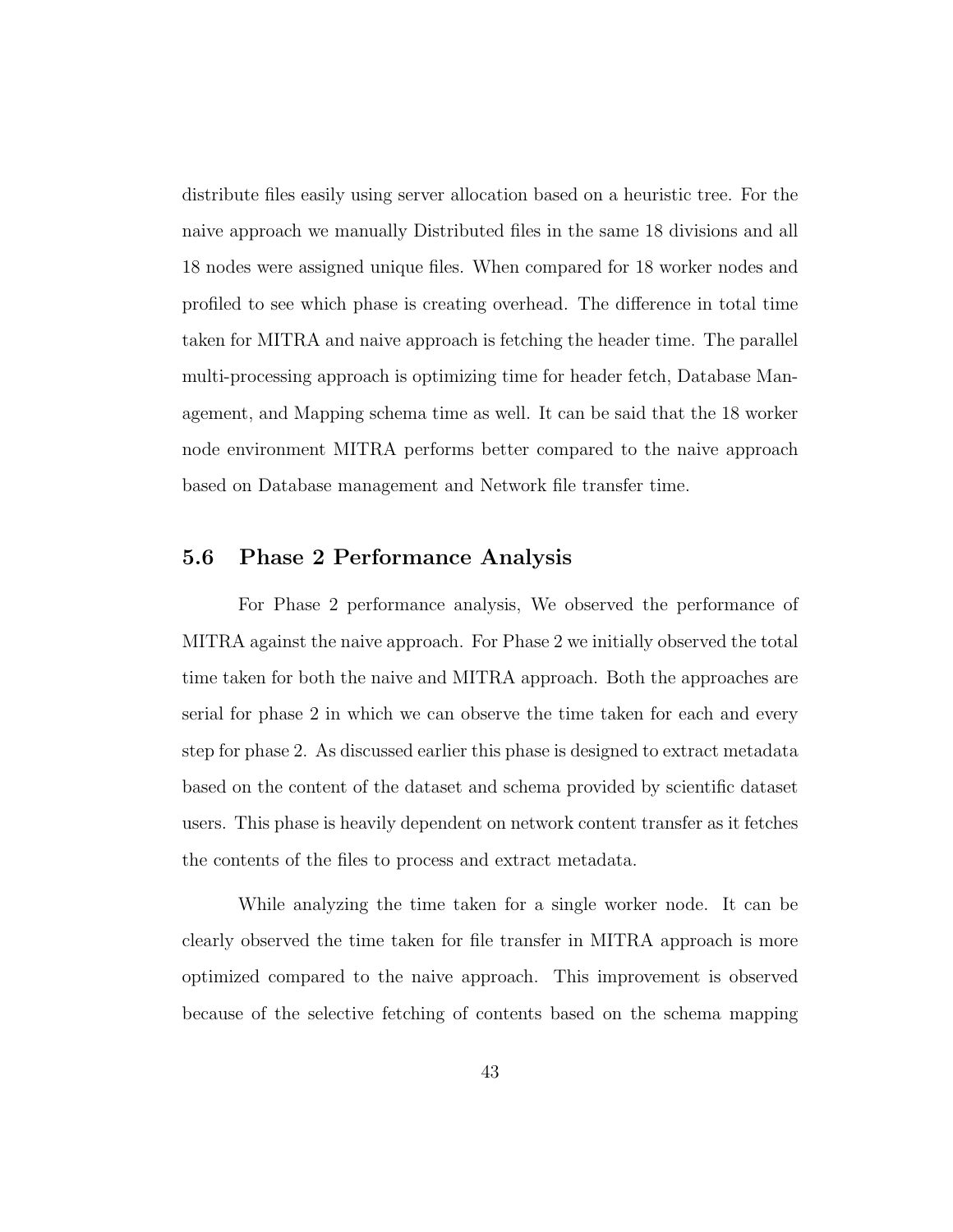distribute files easily using server allocation based on a heuristic tree. For the naive approach we manually Distributed files in the same 18 divisions and all 18 nodes were assigned unique files. When compared for 18 worker nodes and profiled to see which phase is creating overhead. The difference in total time taken for MITRA and naive approach is fetching the header time. The parallel multi-processing approach is optimizing time for header fetch, Database Management, and Mapping schema time as well. It can be said that the 18 worker node environment MITRA performs better compared to the naive approach based on Database management and Network file transfer time.

### 5.6 Phase 2 Performance Analysis

For Phase 2 performance analysis, We observed the performance of MITRA against the naive approach. For Phase 2 we initially observed the total time taken for both the naive and MITRA approach. Both the approaches are serial for phase 2 in which we can observe the time taken for each and every step for phase 2. As discussed earlier this phase is designed to extract metadata based on the content of the dataset and schema provided by scientific dataset users. This phase is heavily dependent on network content transfer as it fetches the contents of the files to process and extract metadata.

While analyzing the time taken for a single worker node. It can be clearly observed the time taken for file transfer in MITRA approach is more optimized compared to the naive approach. This improvement is observed because of the selective fetching of contents based on the schema mapping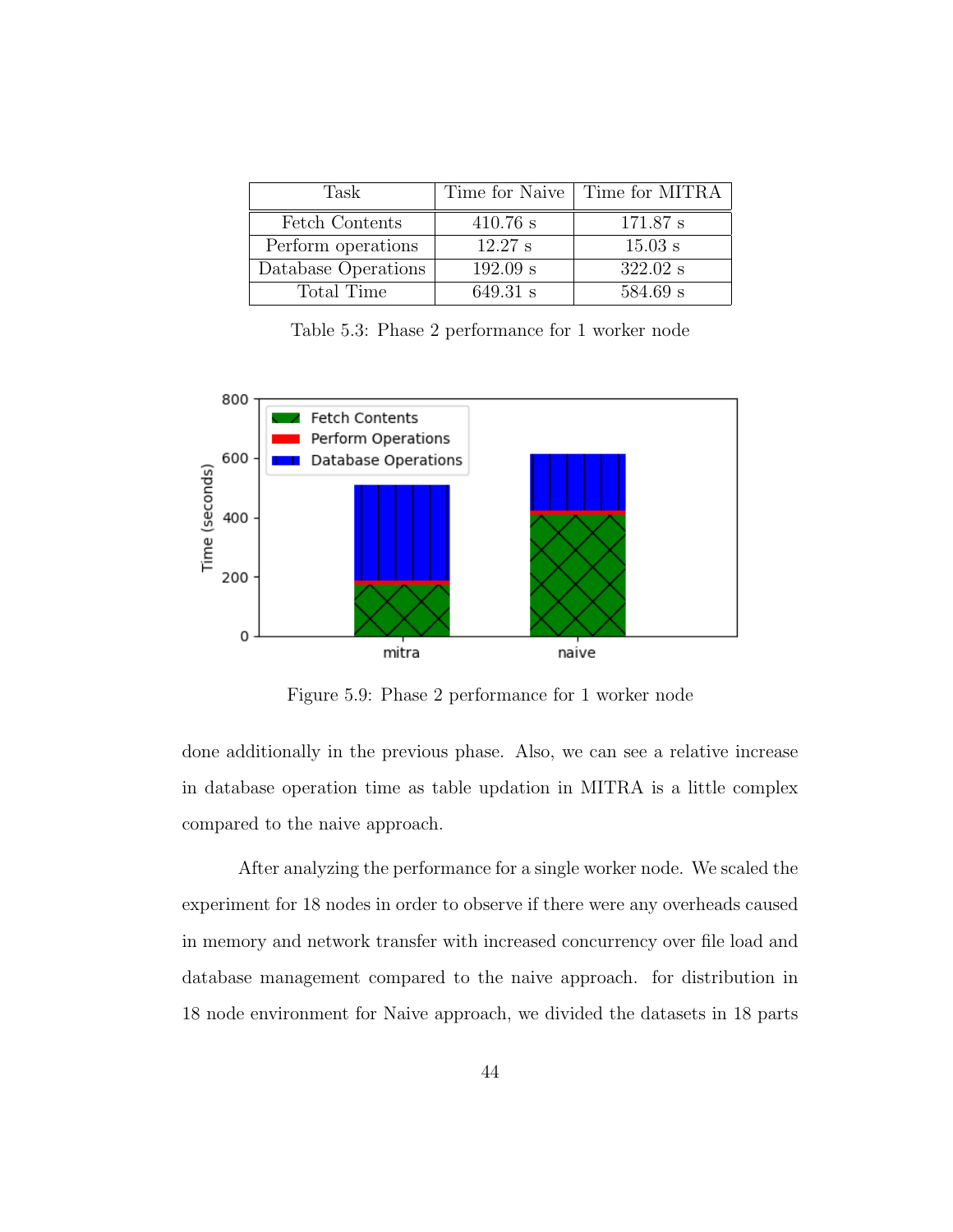| Task                |            | Time for Naive   Time for MITRA |
|---------------------|------------|---------------------------------|
| Fetch Contents      | $410.76$ s | 171.87 s                        |
| Perform operations  | 12.27 s    | $15.03$ s                       |
| Database Operations | 192.09 s   | 322.02 s                        |
| Total Time          | 649.31 s   | $584.69$ s                      |

Table 5.3: Phase 2 performance for 1 worker node



Figure 5.9: Phase 2 performance for 1 worker node

done additionally in the previous phase. Also, we can see a relative increase in database operation time as table updation in MITRA is a little complex compared to the naive approach.

After analyzing the performance for a single worker node. We scaled the experiment for 18 nodes in order to observe if there were any overheads caused in memory and network transfer with increased concurrency over file load and database management compared to the naive approach. for distribution in 18 node environment for Naive approach, we divided the datasets in 18 parts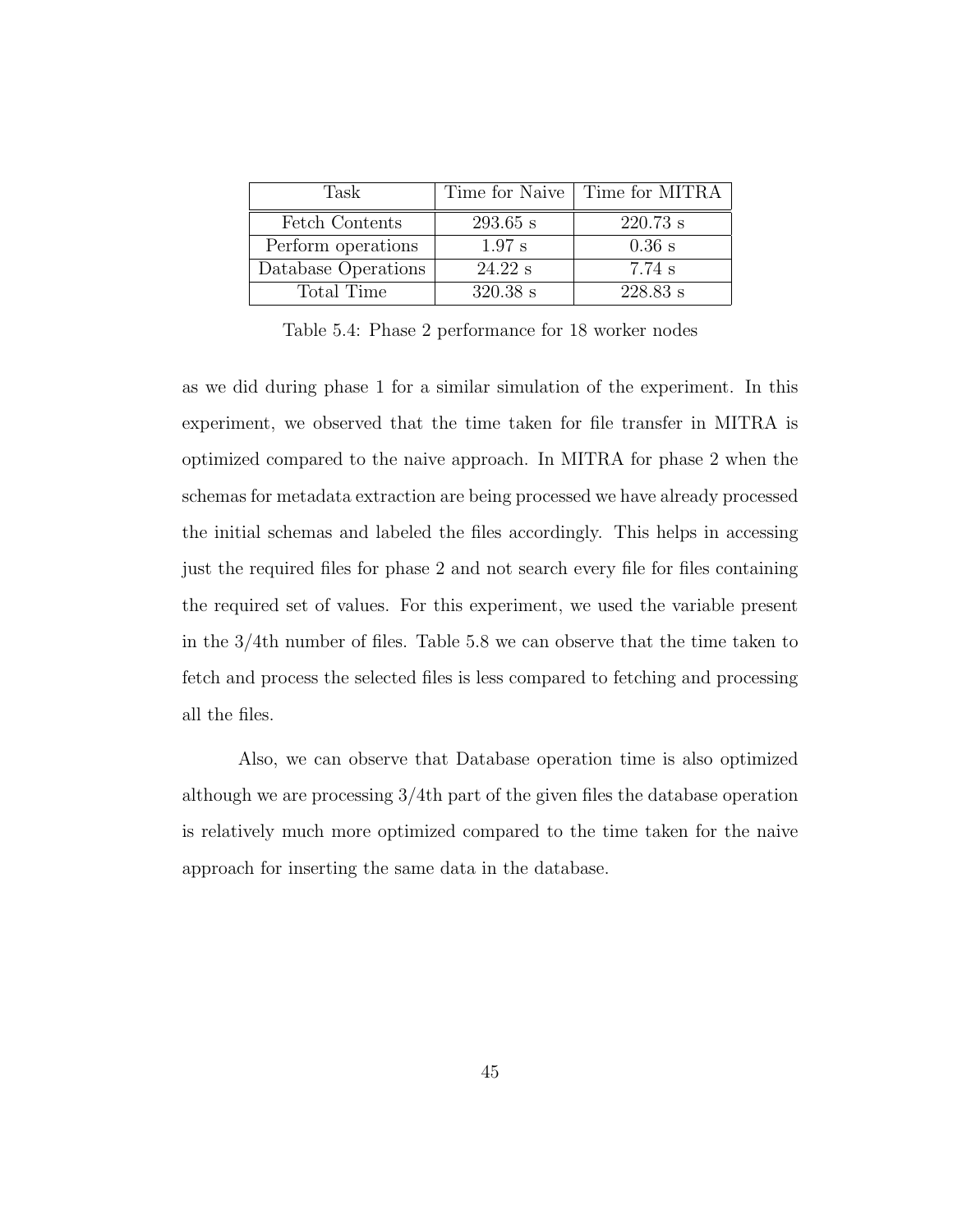| Task                |            | Time for Naive   Time for MITRA |
|---------------------|------------|---------------------------------|
| Fetch Contents      | $293.65$ s | $220.73$ s                      |
| Perform operations  | $1.97$ s   | $0.36$ s                        |
| Database Operations | $24.22$ s  | 7.74 s                          |
| Total Time          | $320.38$ s | $228.83$ s                      |

Table 5.4: Phase 2 performance for 18 worker nodes

as we did during phase 1 for a similar simulation of the experiment. In this experiment, we observed that the time taken for file transfer in MITRA is optimized compared to the naive approach. In MITRA for phase 2 when the schemas for metadata extraction are being processed we have already processed the initial schemas and labeled the files accordingly. This helps in accessing just the required files for phase 2 and not search every file for files containing the required set of values. For this experiment, we used the variable present in the 3/4th number of files. Table 5.8 we can observe that the time taken to fetch and process the selected files is less compared to fetching and processing all the files.

Also, we can observe that Database operation time is also optimized although we are processing 3/4th part of the given files the database operation is relatively much more optimized compared to the time taken for the naive approach for inserting the same data in the database.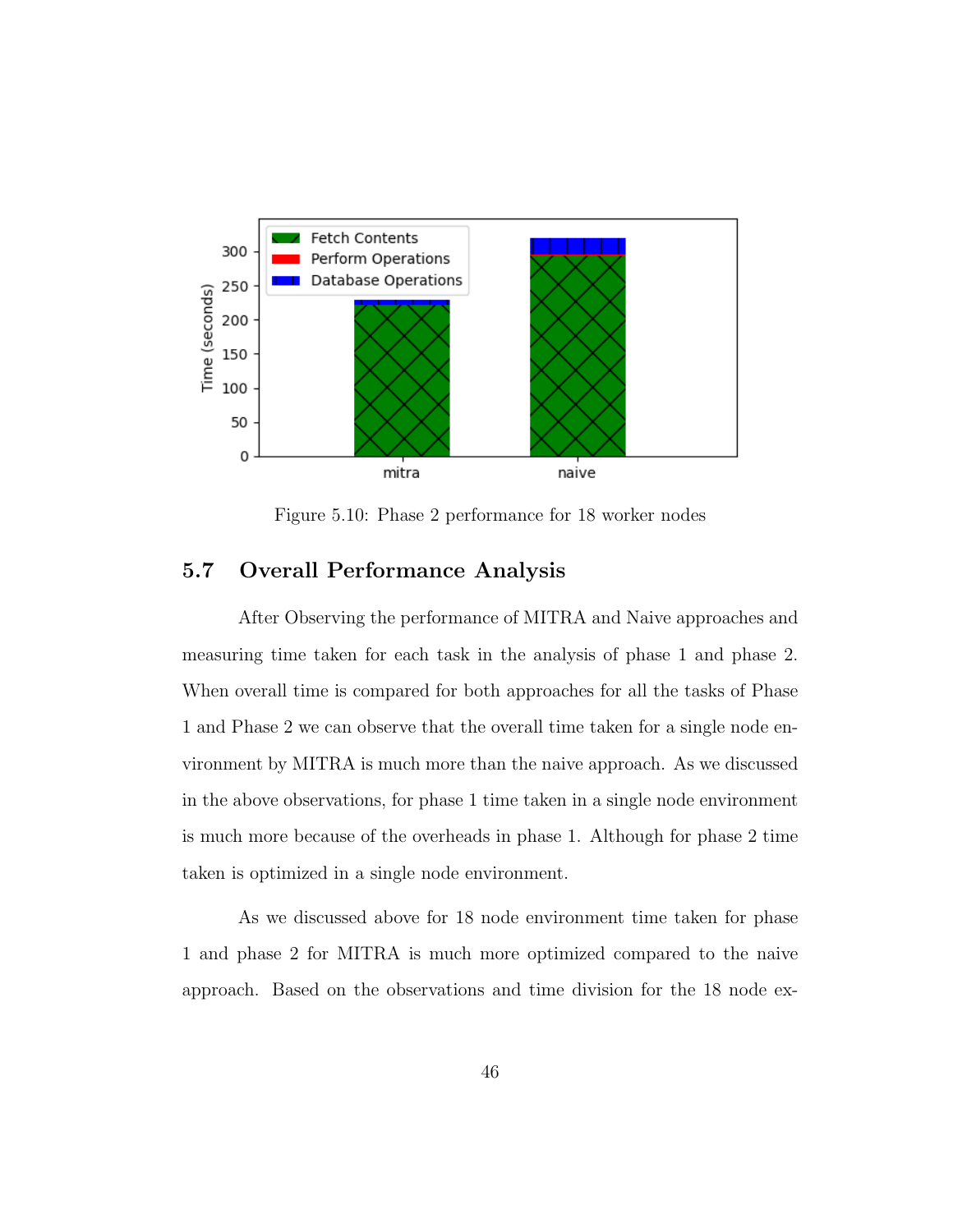

Figure 5.10: Phase 2 performance for 18 worker nodes

# 5.7 Overall Performance Analysis

After Observing the performance of MITRA and Naive approaches and measuring time taken for each task in the analysis of phase 1 and phase 2. When overall time is compared for both approaches for all the tasks of Phase 1 and Phase 2 we can observe that the overall time taken for a single node environment by MITRA is much more than the naive approach. As we discussed in the above observations, for phase 1 time taken in a single node environment is much more because of the overheads in phase 1. Although for phase 2 time taken is optimized in a single node environment.

As we discussed above for 18 node environment time taken for phase 1 and phase 2 for MITRA is much more optimized compared to the naive approach. Based on the observations and time division for the 18 node ex-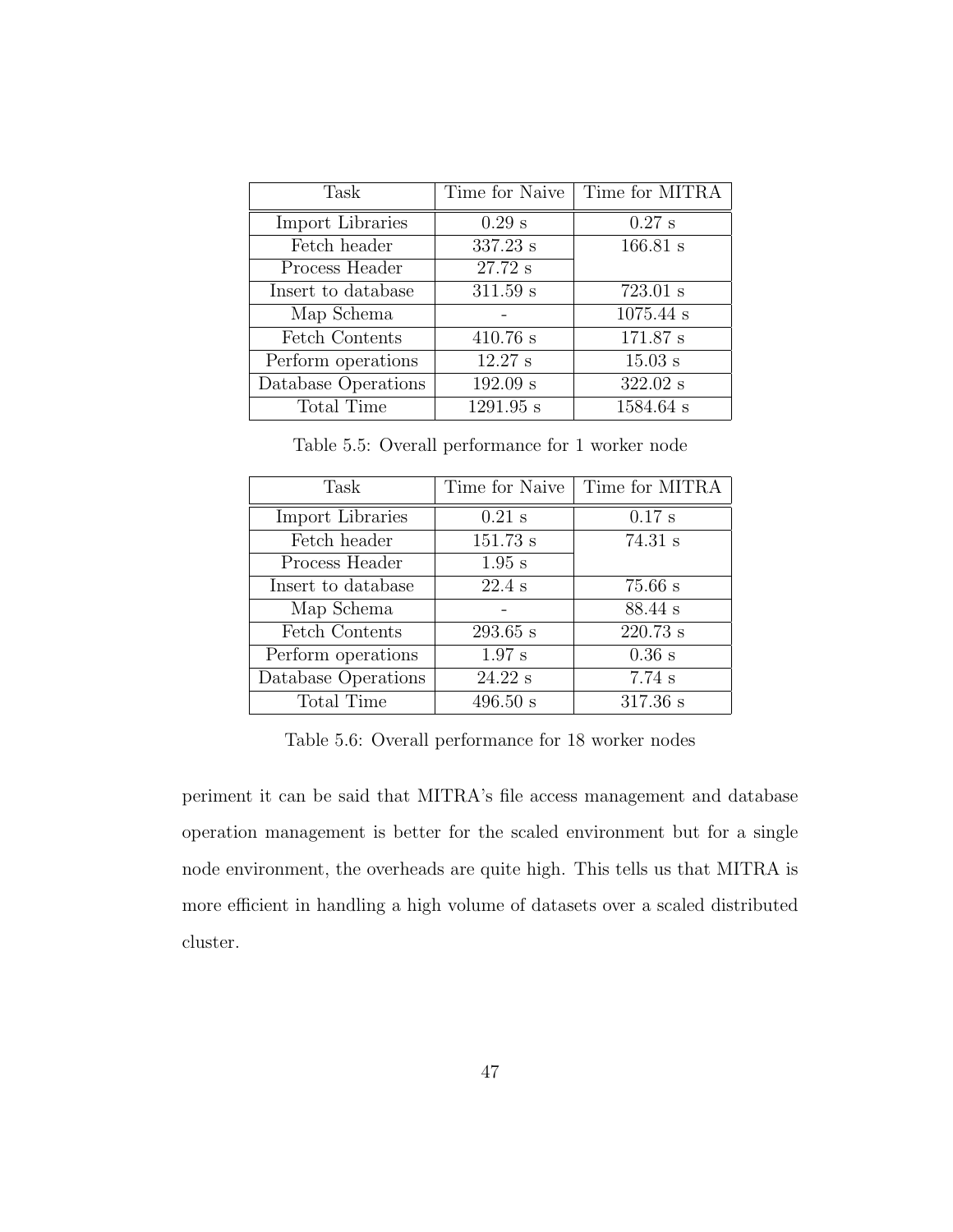| Task                | Time for Naive | Time for MITRA |
|---------------------|----------------|----------------|
| Import Libraries    | $0.29$ s       | $0.27$ s       |
| Fetch header        | 337.23 s       | 166.81 s       |
| Process Header      | 27.72 s        |                |
| Insert to database  | 311.59 s       | 723.01 s       |
| Map Schema          |                | $1075.44$ s    |
| Fetch Contents      | 410.76 s       | 171.87 s       |
| Perform operations  | 12.27 s        | $15.03$ s      |
| Database Operations | 192.09 s       | 322.02 s       |
| Total Time          | 1291.95 s      | 1584.64 s      |

Table 5.5: Overall performance for 1 worker node

| Task                | Time for Naive | Time for MITRA |
|---------------------|----------------|----------------|
| Import Libraries    | $0.21$ s       | $0.17$ s       |
| Fetch header        | 151.73 s       | 74.31 s        |
| Process Header      | $1.95$ s       |                |
| Insert to database  | $22.4$ s       | $75.66$ s      |
| Map Schema          |                | 88.44 s        |
| Fetch Contents      | $293.65$ s     | 220.73 s       |
| Perform operations  | $1.97$ s       | $0.36$ s       |
| Database Operations | 24.22 s        | 7.74s          |
| Total Time          | 496.50 s       | 317.36 s       |

Table 5.6: Overall performance for 18 worker nodes

periment it can be said that MITRA's file access management and database operation management is better for the scaled environment but for a single node environment, the overheads are quite high. This tells us that MITRA is more efficient in handling a high volume of datasets over a scaled distributed cluster.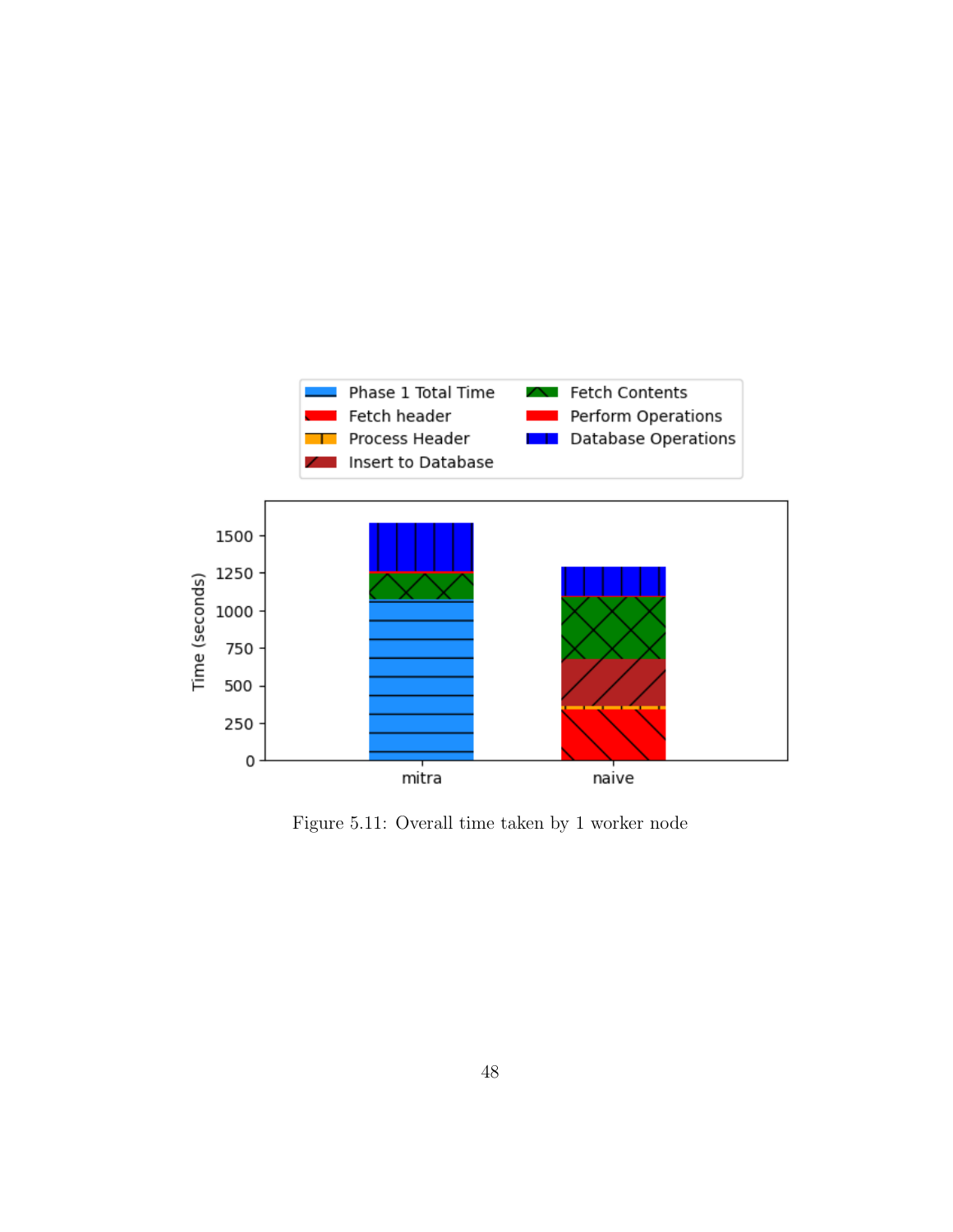

Figure 5.11: Overall time taken by 1 worker node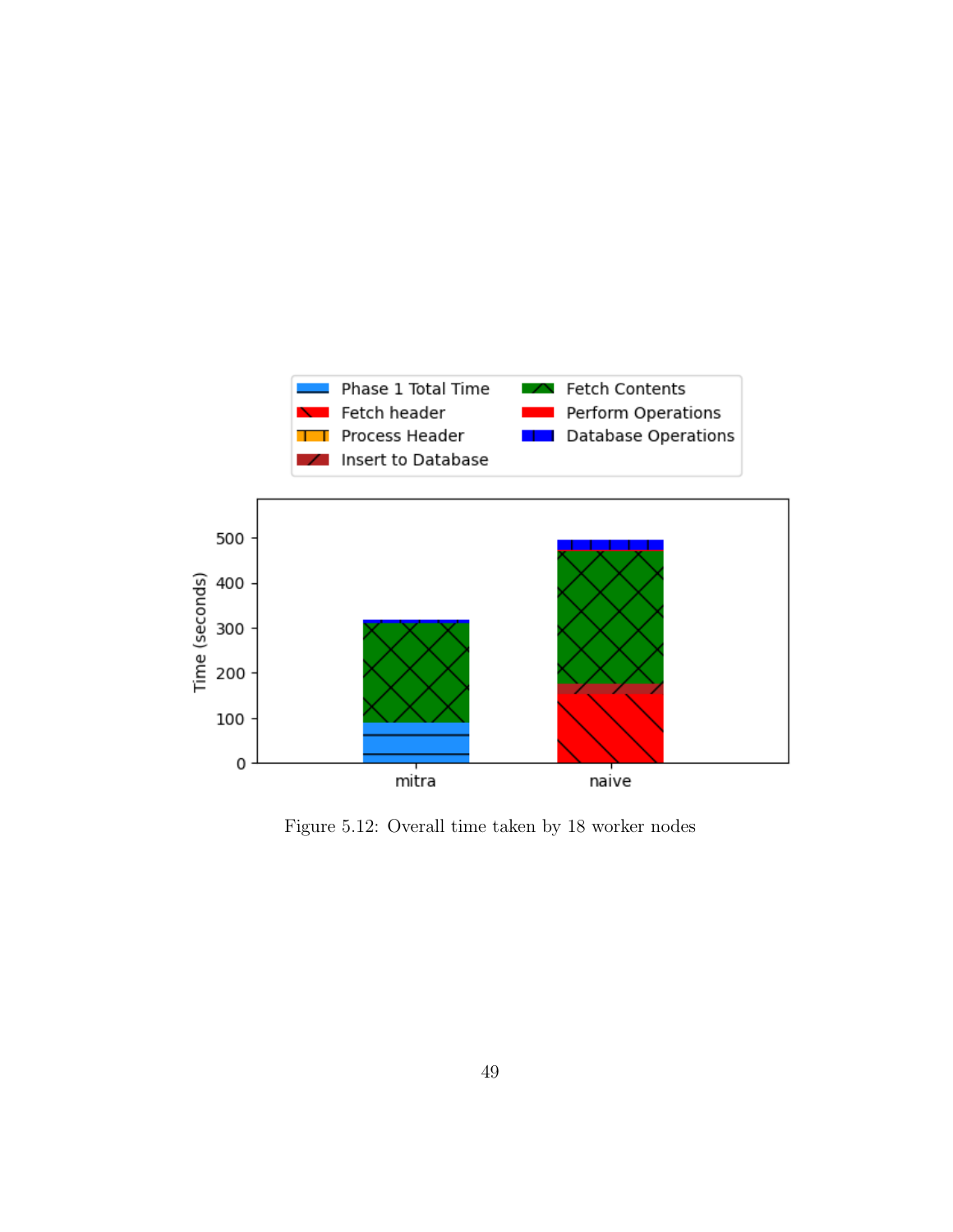

Figure 5.12: Overall time taken by 18 worker nodes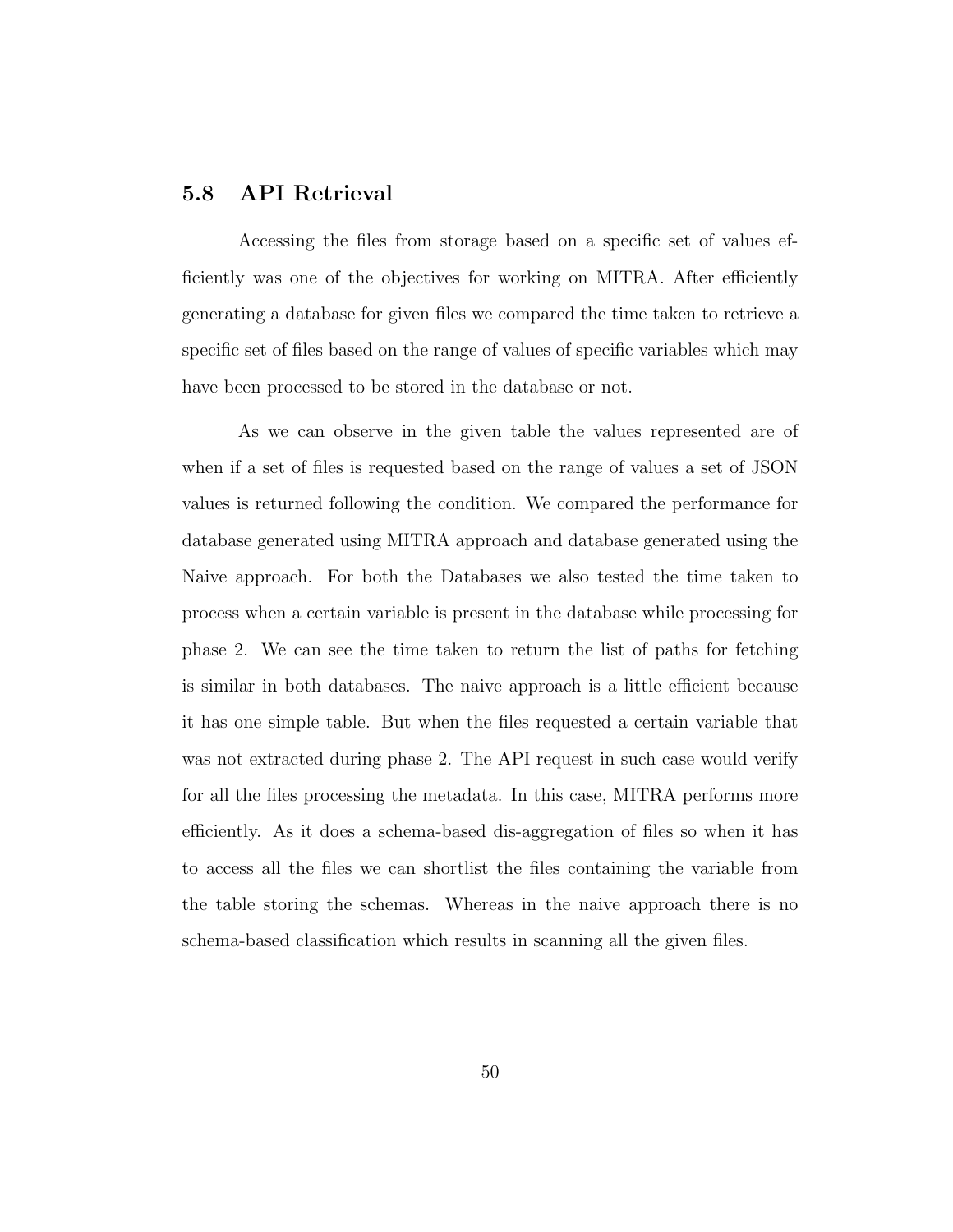#### 5.8 API Retrieval

Accessing the files from storage based on a specific set of values efficiently was one of the objectives for working on MITRA. After efficiently generating a database for given files we compared the time taken to retrieve a specific set of files based on the range of values of specific variables which may have been processed to be stored in the database or not.

As we can observe in the given table the values represented are of when if a set of files is requested based on the range of values a set of JSON values is returned following the condition. We compared the performance for database generated using MITRA approach and database generated using the Naive approach. For both the Databases we also tested the time taken to process when a certain variable is present in the database while processing for phase 2. We can see the time taken to return the list of paths for fetching is similar in both databases. The naive approach is a little efficient because it has one simple table. But when the files requested a certain variable that was not extracted during phase 2. The API request in such case would verify for all the files processing the metadata. In this case, MITRA performs more efficiently. As it does a schema-based dis-aggregation of files so when it has to access all the files we can shortlist the files containing the variable from the table storing the schemas. Whereas in the naive approach there is no schema-based classification which results in scanning all the given files.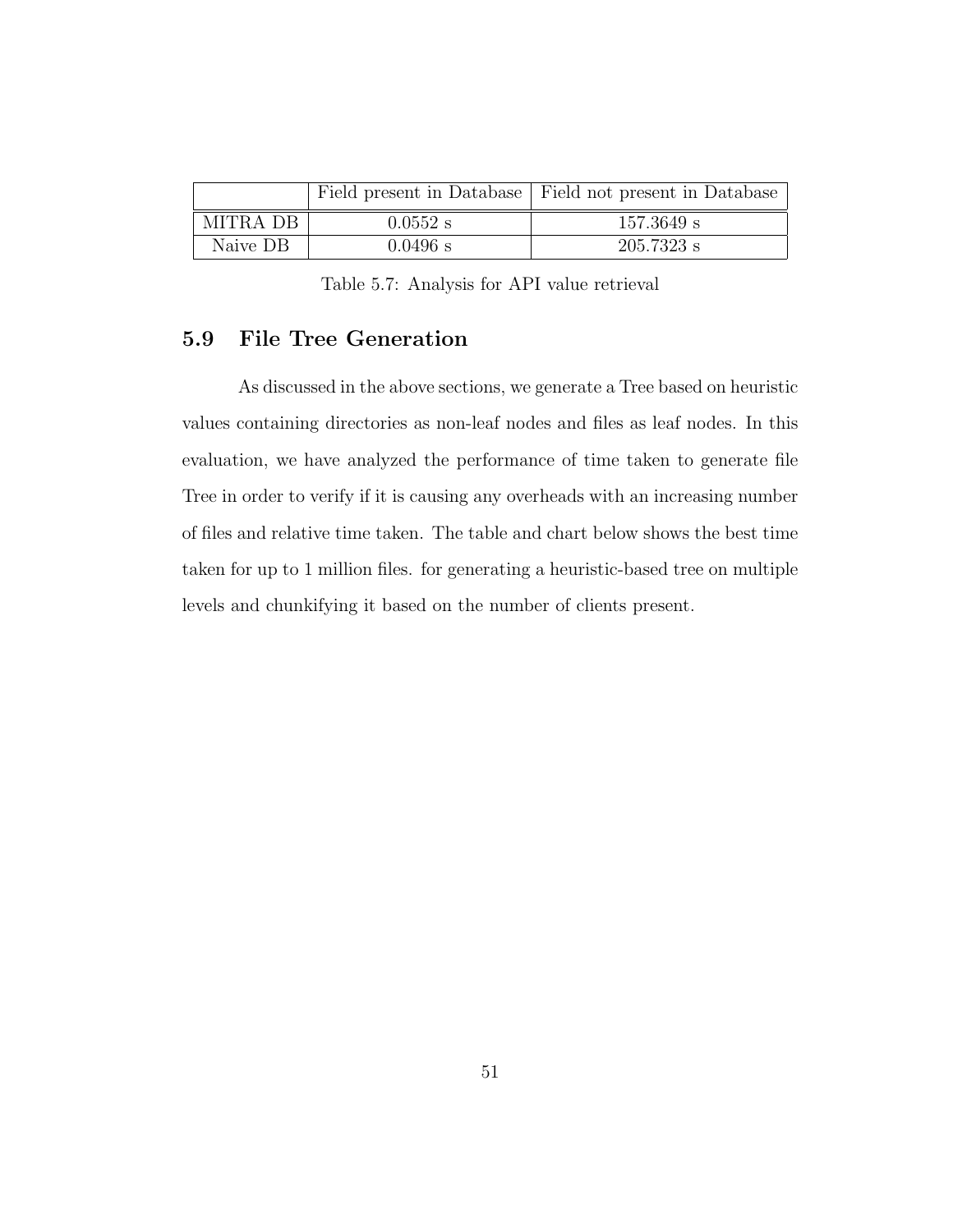|          |            | Field present in Database   Field not present in Database |
|----------|------------|-----------------------------------------------------------|
| MITRA DB | $0.0552$ s | $157.3649$ s                                              |
| Naive DB | $0.0496$ s | $205.7323$ s                                              |

Table 5.7: Analysis for API value retrieval

## 5.9 File Tree Generation

As discussed in the above sections, we generate a Tree based on heuristic values containing directories as non-leaf nodes and files as leaf nodes. In this evaluation, we have analyzed the performance of time taken to generate file Tree in order to verify if it is causing any overheads with an increasing number of files and relative time taken. The table and chart below shows the best time taken for up to 1 million files. for generating a heuristic-based tree on multiple levels and chunkifying it based on the number of clients present.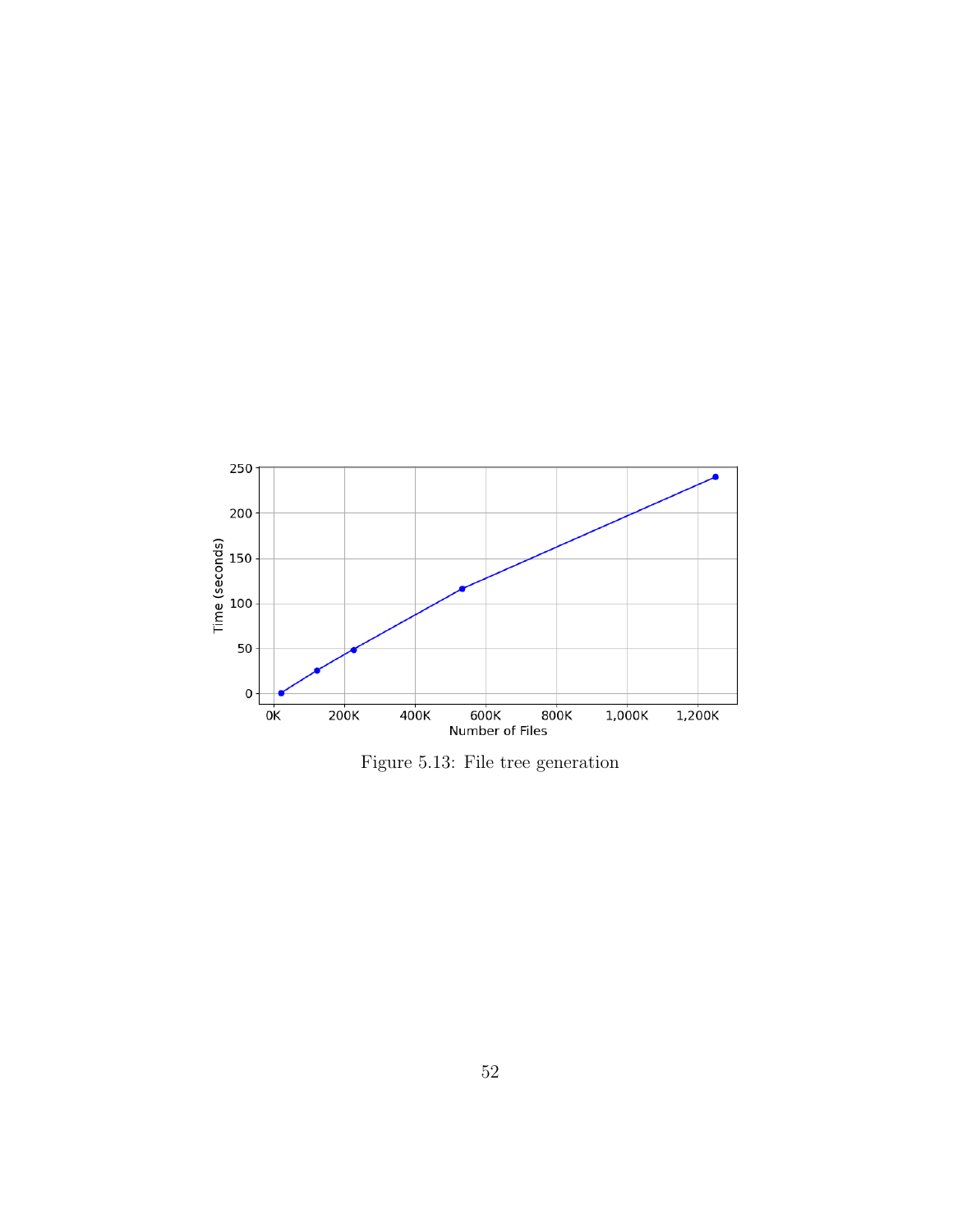

Figure 5.13: File tree generation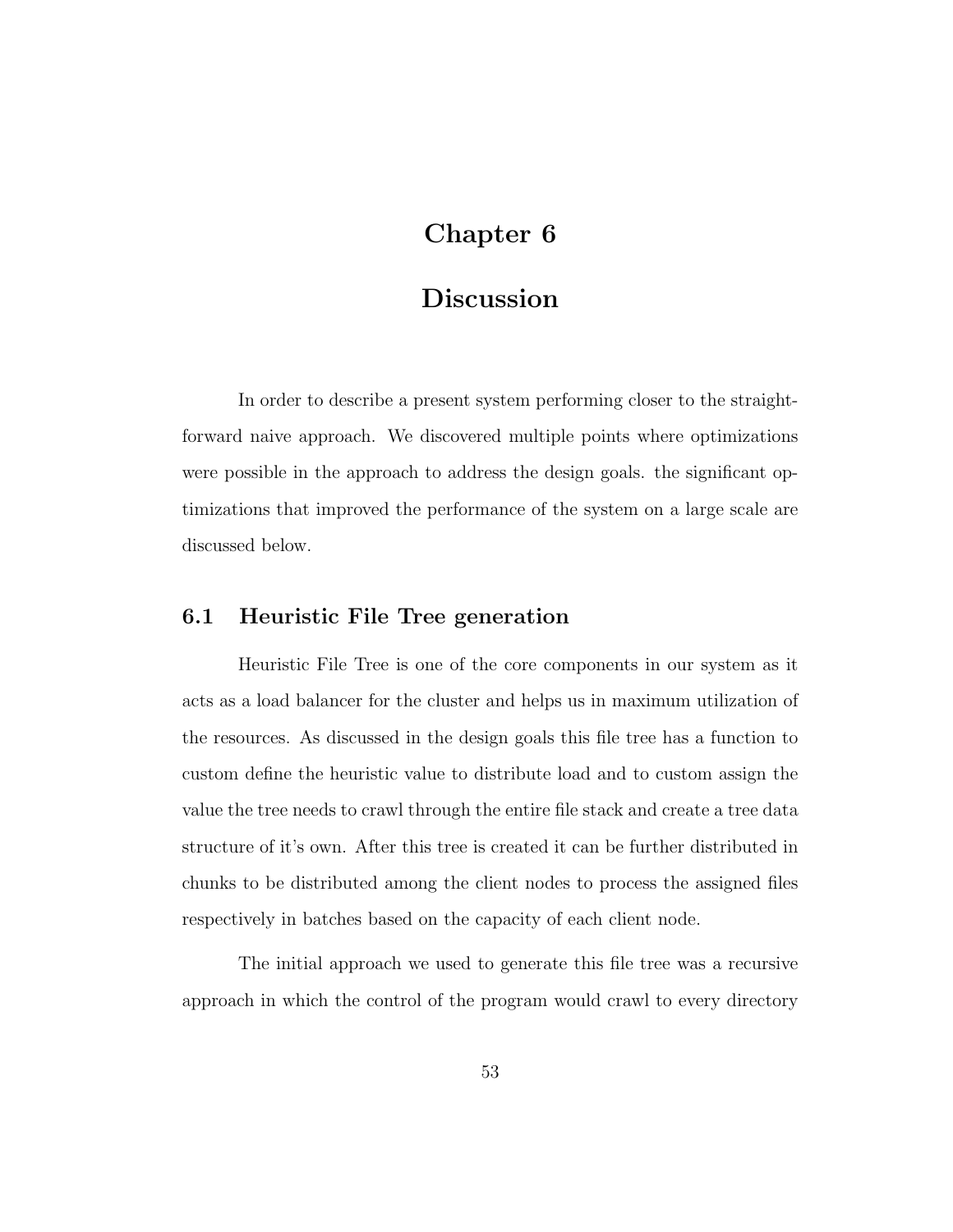# Chapter 6

# Discussion

In order to describe a present system performing closer to the straightforward naive approach. We discovered multiple points where optimizations were possible in the approach to address the design goals. the significant optimizations that improved the performance of the system on a large scale are discussed below.

# 6.1 Heuristic File Tree generation

Heuristic File Tree is one of the core components in our system as it acts as a load balancer for the cluster and helps us in maximum utilization of the resources. As discussed in the design goals this file tree has a function to custom define the heuristic value to distribute load and to custom assign the value the tree needs to crawl through the entire file stack and create a tree data structure of it's own. After this tree is created it can be further distributed in chunks to be distributed among the client nodes to process the assigned files respectively in batches based on the capacity of each client node.

The initial approach we used to generate this file tree was a recursive approach in which the control of the program would crawl to every directory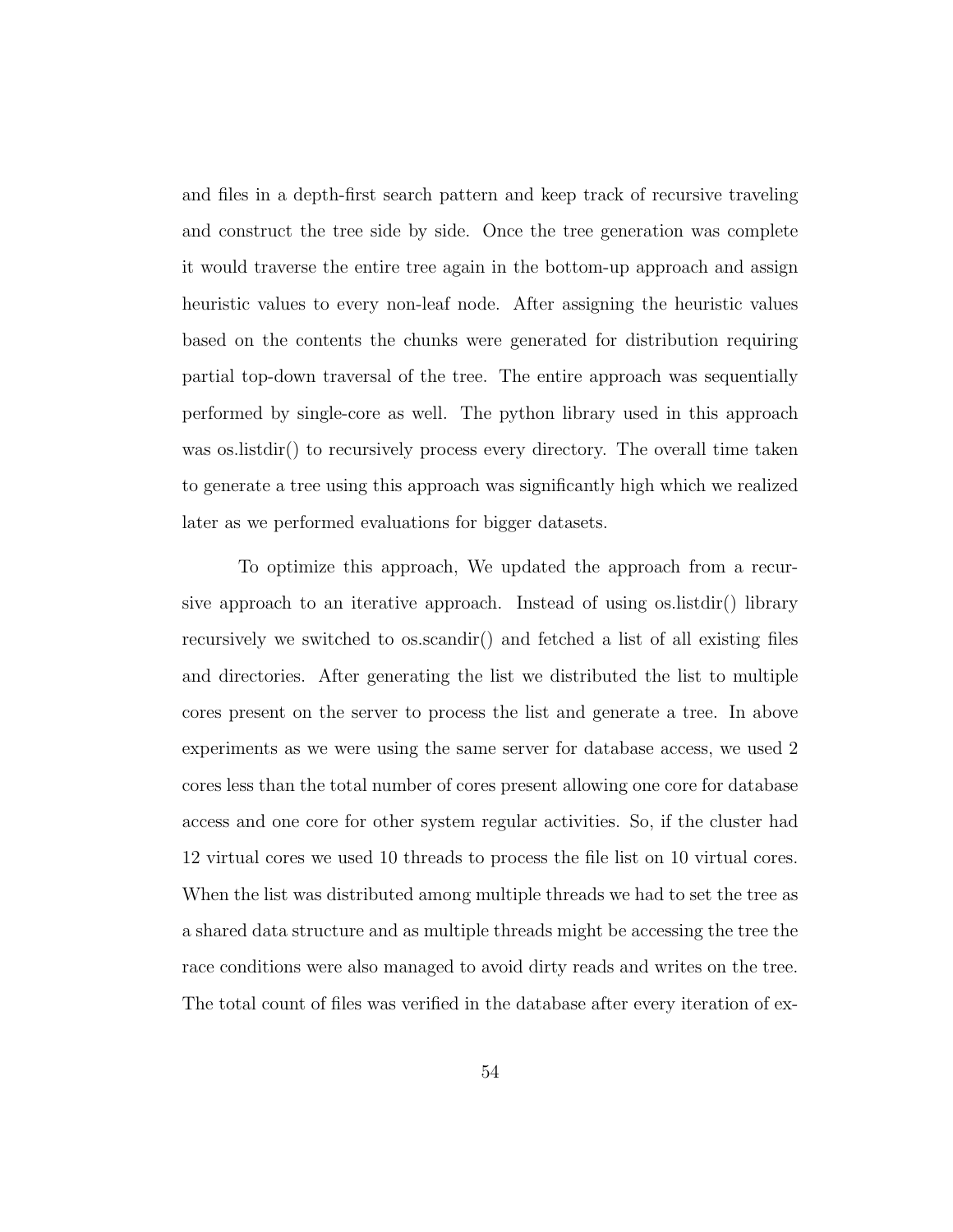and files in a depth-first search pattern and keep track of recursive traveling and construct the tree side by side. Once the tree generation was complete it would traverse the entire tree again in the bottom-up approach and assign heuristic values to every non-leaf node. After assigning the heuristic values based on the contents the chunks were generated for distribution requiring partial top-down traversal of the tree. The entire approach was sequentially performed by single-core as well. The python library used in this approach was os.listdir() to recursively process every directory. The overall time taken to generate a tree using this approach was significantly high which we realized later as we performed evaluations for bigger datasets.

To optimize this approach, We updated the approach from a recursive approach to an iterative approach. Instead of using os.listdir() library recursively we switched to os.scandir() and fetched a list of all existing files and directories. After generating the list we distributed the list to multiple cores present on the server to process the list and generate a tree. In above experiments as we were using the same server for database access, we used 2 cores less than the total number of cores present allowing one core for database access and one core for other system regular activities. So, if the cluster had 12 virtual cores we used 10 threads to process the file list on 10 virtual cores. When the list was distributed among multiple threads we had to set the tree as a shared data structure and as multiple threads might be accessing the tree the race conditions were also managed to avoid dirty reads and writes on the tree. The total count of files was verified in the database after every iteration of ex-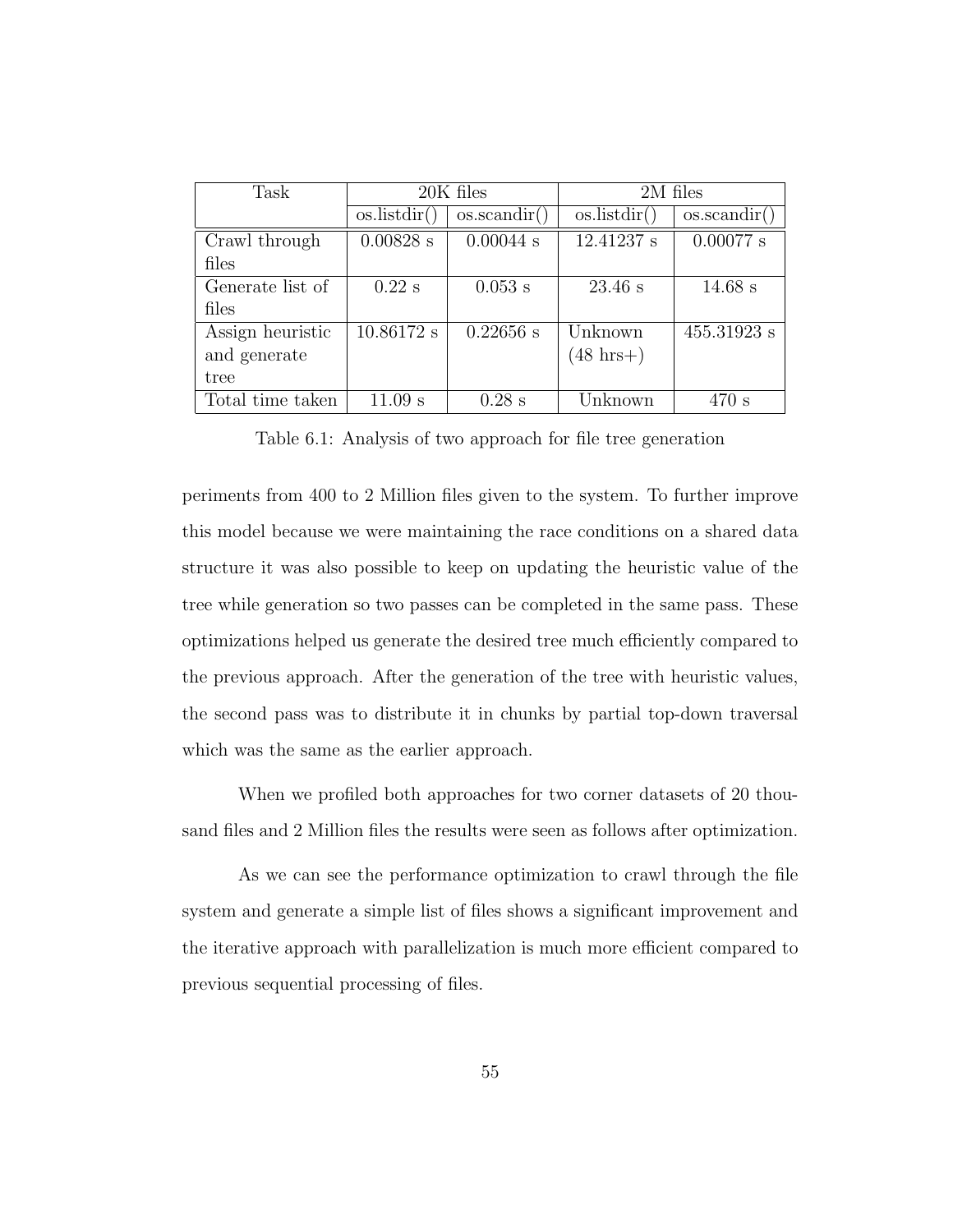| Task             | 20K files    |                    | 2M files            |              |
|------------------|--------------|--------------------|---------------------|--------------|
|                  | os.listdir() | $\cos$ . scandir() | os.listdir()        | os.scandir() |
| Crawl through    | $0.00828$ s  | $0.00044$ s        | 12.41237 s          | $0.00077$ s  |
| files            |              |                    |                     |              |
| Generate list of | $0.22$ s     | $0.053$ s          | $23.46$ s           | $14.68$ s    |
| files            |              |                    |                     |              |
| Assign heuristic | 10.86172 s   | $0.22656$ s        | Unknown             | 455.31923 s  |
| and generate     |              |                    | $(48 \text{ hrs+})$ |              |
| tree             |              |                    |                     |              |
| Total time taken | $11.09$ s    | $0.28$ s           | Unknown             | 470 s        |

Table 6.1: Analysis of two approach for file tree generation

periments from 400 to 2 Million files given to the system. To further improve this model because we were maintaining the race conditions on a shared data structure it was also possible to keep on updating the heuristic value of the tree while generation so two passes can be completed in the same pass. These optimizations helped us generate the desired tree much efficiently compared to the previous approach. After the generation of the tree with heuristic values, the second pass was to distribute it in chunks by partial top-down traversal which was the same as the earlier approach.

When we profiled both approaches for two corner datasets of 20 thousand files and 2 Million files the results were seen as follows after optimization.

As we can see the performance optimization to crawl through the file system and generate a simple list of files shows a significant improvement and the iterative approach with parallelization is much more efficient compared to previous sequential processing of files.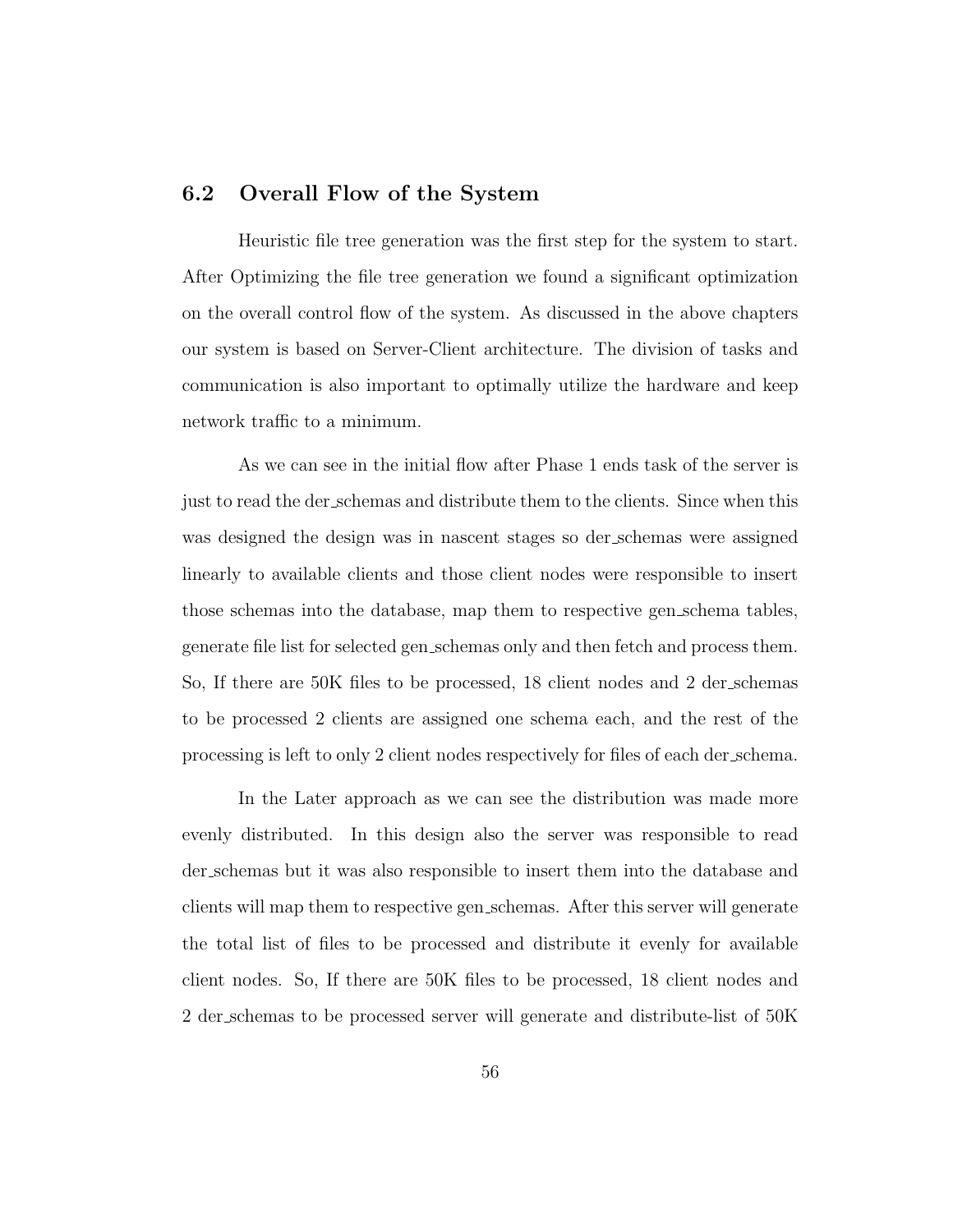#### 6.2 Overall Flow of the System

Heuristic file tree generation was the first step for the system to start. After Optimizing the file tree generation we found a significant optimization on the overall control flow of the system. As discussed in the above chapters our system is based on Server-Client architecture. The division of tasks and communication is also important to optimally utilize the hardware and keep network traffic to a minimum.

As we can see in the initial flow after Phase 1 ends task of the server is just to read the der schemas and distribute them to the clients. Since when this was designed the design was in nascent stages so der schemas were assigned linearly to available clients and those client nodes were responsible to insert those schemas into the database, map them to respective gen schema tables, generate file list for selected gen schemas only and then fetch and process them. So, If there are 50K files to be processed, 18 client nodes and 2 der schemas to be processed 2 clients are assigned one schema each, and the rest of the processing is left to only 2 client nodes respectively for files of each der schema.

In the Later approach as we can see the distribution was made more evenly distributed. In this design also the server was responsible to read der schemas but it was also responsible to insert them into the database and clients will map them to respective gen schemas. After this server will generate the total list of files to be processed and distribute it evenly for available client nodes. So, If there are 50K files to be processed, 18 client nodes and 2 der schemas to be processed server will generate and distribute-list of 50K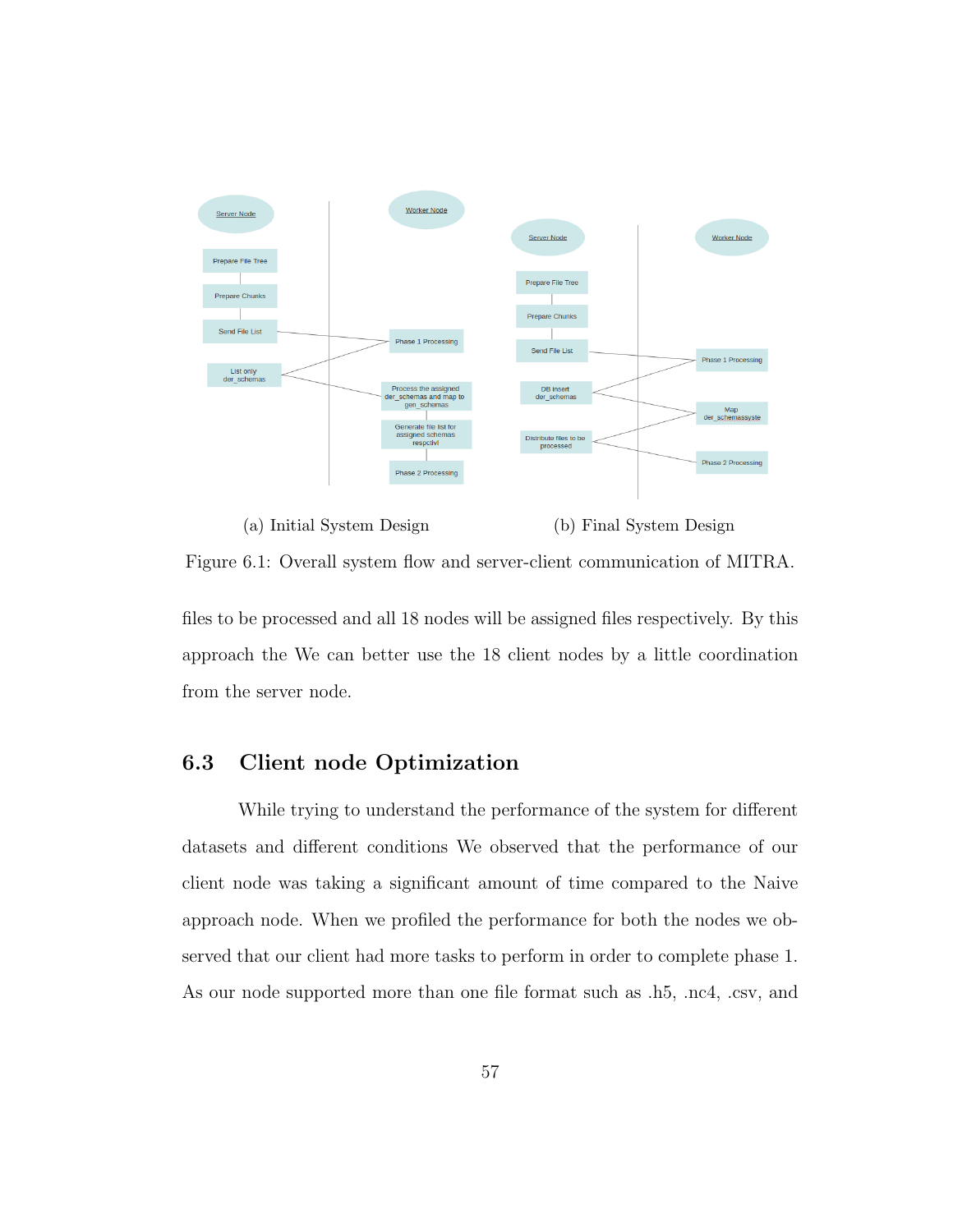

(a) Initial System Design (b) Final System Design

Figure 6.1: Overall system flow and server-client communication of MITRA.

files to be processed and all 18 nodes will be assigned files respectively. By this approach the We can better use the 18 client nodes by a little coordination from the server node.

# 6.3 Client node Optimization

While trying to understand the performance of the system for different datasets and different conditions We observed that the performance of our client node was taking a significant amount of time compared to the Naive approach node. When we profiled the performance for both the nodes we observed that our client had more tasks to perform in order to complete phase 1. As our node supported more than one file format such as .h5, .nc4, .csv, and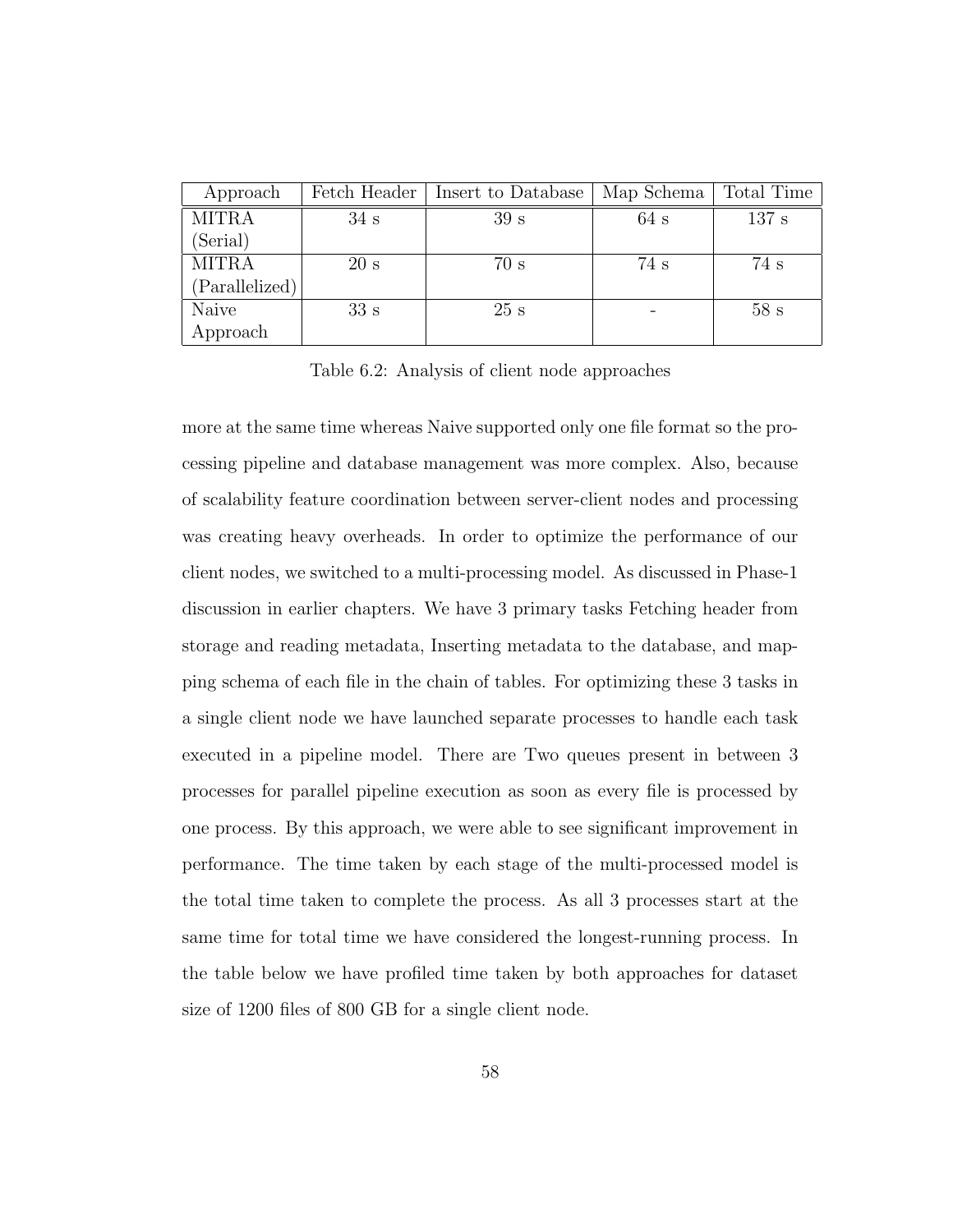| Approach       | Fetch Header | Insert to Database | Map Schema | Total Time |
|----------------|--------------|--------------------|------------|------------|
| <b>MITRA</b>   | 34 s         | 39 <sub>s</sub>    | 64 s       | 137 s      |
| (Serial)       |              |                    |            |            |
| <b>MITRA</b>   | 20 s         | 70 s               | 74 s       | 74s        |
| (Parallelized) |              |                    |            |            |
| Naive          | 33 s         | 25 s               |            | 58s        |
| Approach       |              |                    |            |            |

Table 6.2: Analysis of client node approaches

more at the same time whereas Naive supported only one file format so the processing pipeline and database management was more complex. Also, because of scalability feature coordination between server-client nodes and processing was creating heavy overheads. In order to optimize the performance of our client nodes, we switched to a multi-processing model. As discussed in Phase-1 discussion in earlier chapters. We have 3 primary tasks Fetching header from storage and reading metadata, Inserting metadata to the database, and mapping schema of each file in the chain of tables. For optimizing these 3 tasks in a single client node we have launched separate processes to handle each task executed in a pipeline model. There are Two queues present in between 3 processes for parallel pipeline execution as soon as every file is processed by one process. By this approach, we were able to see significant improvement in performance. The time taken by each stage of the multi-processed model is the total time taken to complete the process. As all 3 processes start at the same time for total time we have considered the longest-running process. In the table below we have profiled time taken by both approaches for dataset size of 1200 files of 800 GB for a single client node.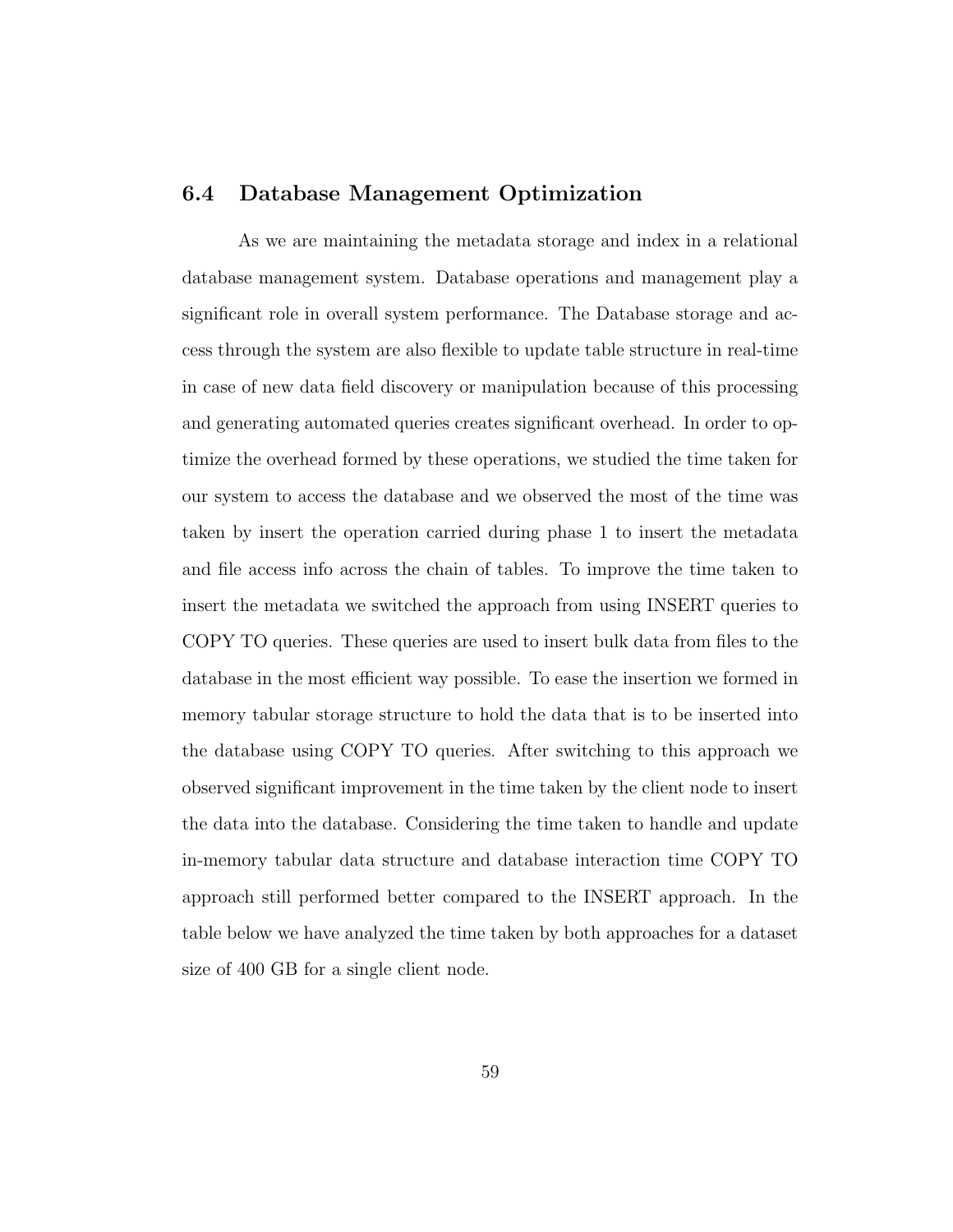#### 6.4 Database Management Optimization

As we are maintaining the metadata storage and index in a relational database management system. Database operations and management play a significant role in overall system performance. The Database storage and access through the system are also flexible to update table structure in real-time in case of new data field discovery or manipulation because of this processing and generating automated queries creates significant overhead. In order to optimize the overhead formed by these operations, we studied the time taken for our system to access the database and we observed the most of the time was taken by insert the operation carried during phase 1 to insert the metadata and file access info across the chain of tables. To improve the time taken to insert the metadata we switched the approach from using INSERT queries to COPY TO queries. These queries are used to insert bulk data from files to the database in the most efficient way possible. To ease the insertion we formed in memory tabular storage structure to hold the data that is to be inserted into the database using COPY TO queries. After switching to this approach we observed significant improvement in the time taken by the client node to insert the data into the database. Considering the time taken to handle and update in-memory tabular data structure and database interaction time COPY TO approach still performed better compared to the INSERT approach. In the table below we have analyzed the time taken by both approaches for a dataset size of 400 GB for a single client node.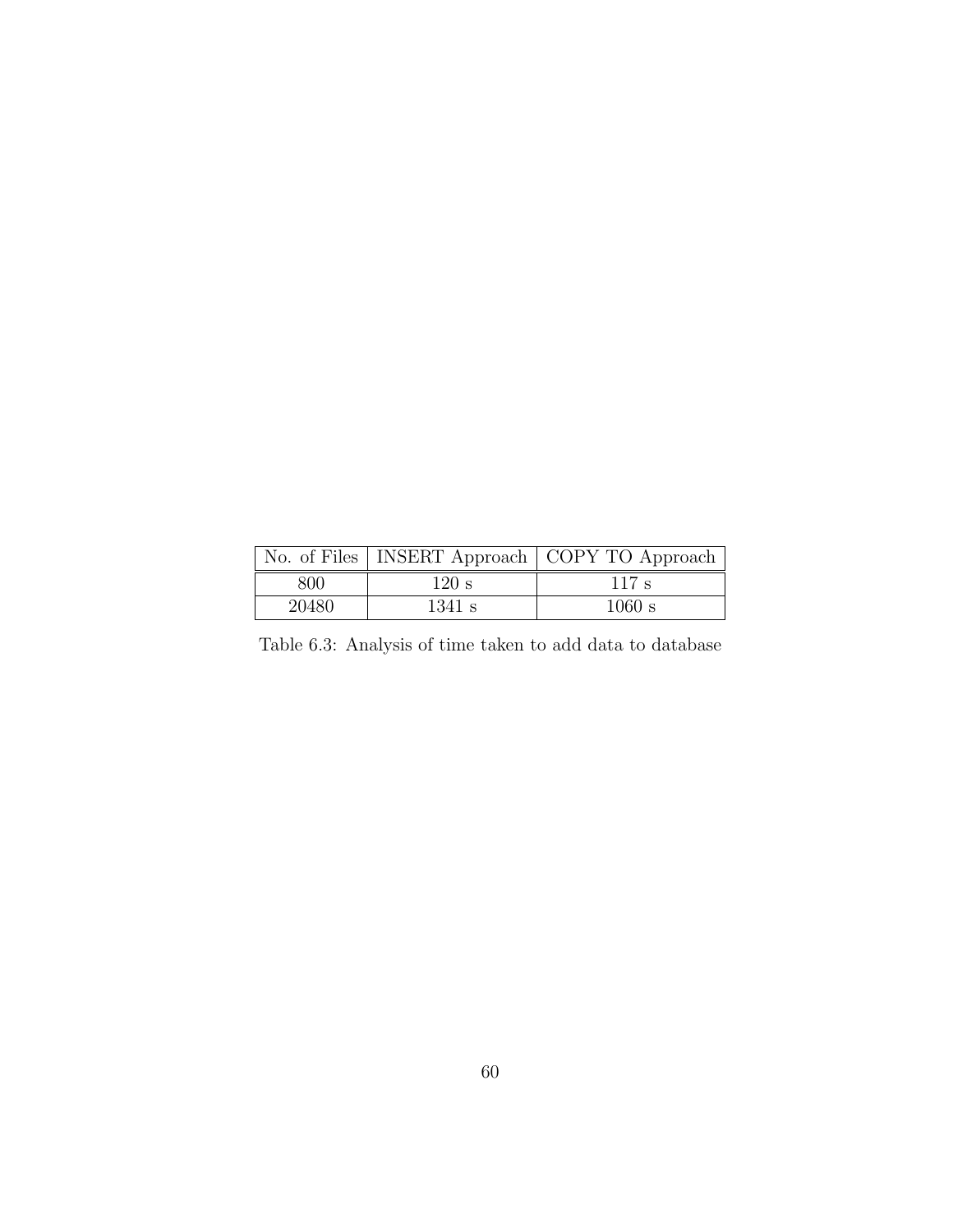|       |        | No. of Files   INSERT Approach   COPY TO Approach |
|-------|--------|---------------------------------------------------|
| 800   | 120 s  | $117 \text{ s}$                                   |
| 20480 | 1341 s | 1060 s                                            |

Table 6.3: Analysis of time taken to add data to database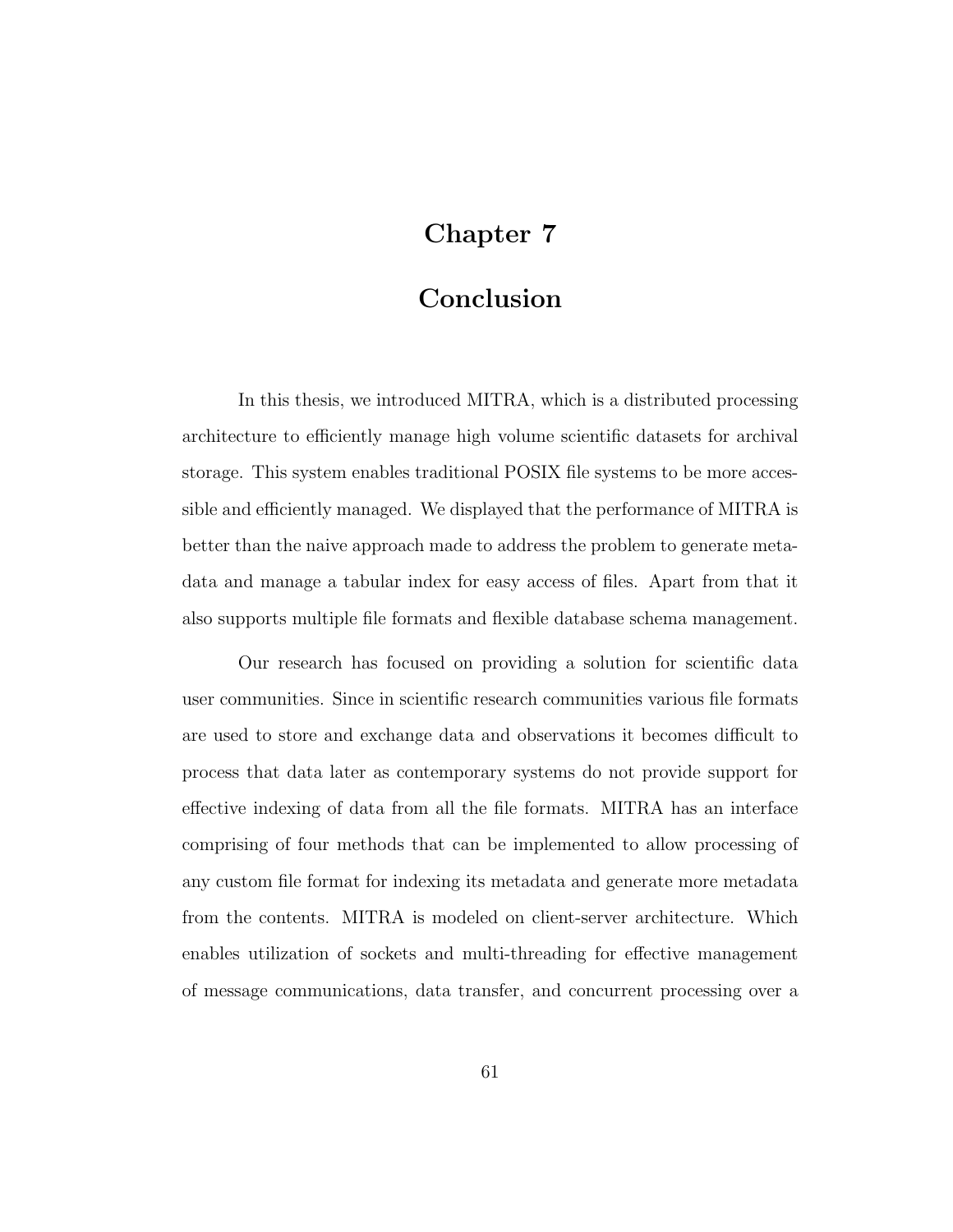# Chapter 7

## Conclusion

In this thesis, we introduced MITRA, which is a distributed processing architecture to efficiently manage high volume scientific datasets for archival storage. This system enables traditional POSIX file systems to be more accessible and efficiently managed. We displayed that the performance of MITRA is better than the naive approach made to address the problem to generate metadata and manage a tabular index for easy access of files. Apart from that it also supports multiple file formats and flexible database schema management.

Our research has focused on providing a solution for scientific data user communities. Since in scientific research communities various file formats are used to store and exchange data and observations it becomes difficult to process that data later as contemporary systems do not provide support for effective indexing of data from all the file formats. MITRA has an interface comprising of four methods that can be implemented to allow processing of any custom file format for indexing its metadata and generate more metadata from the contents. MITRA is modeled on client-server architecture. Which enables utilization of sockets and multi-threading for effective management of message communications, data transfer, and concurrent processing over a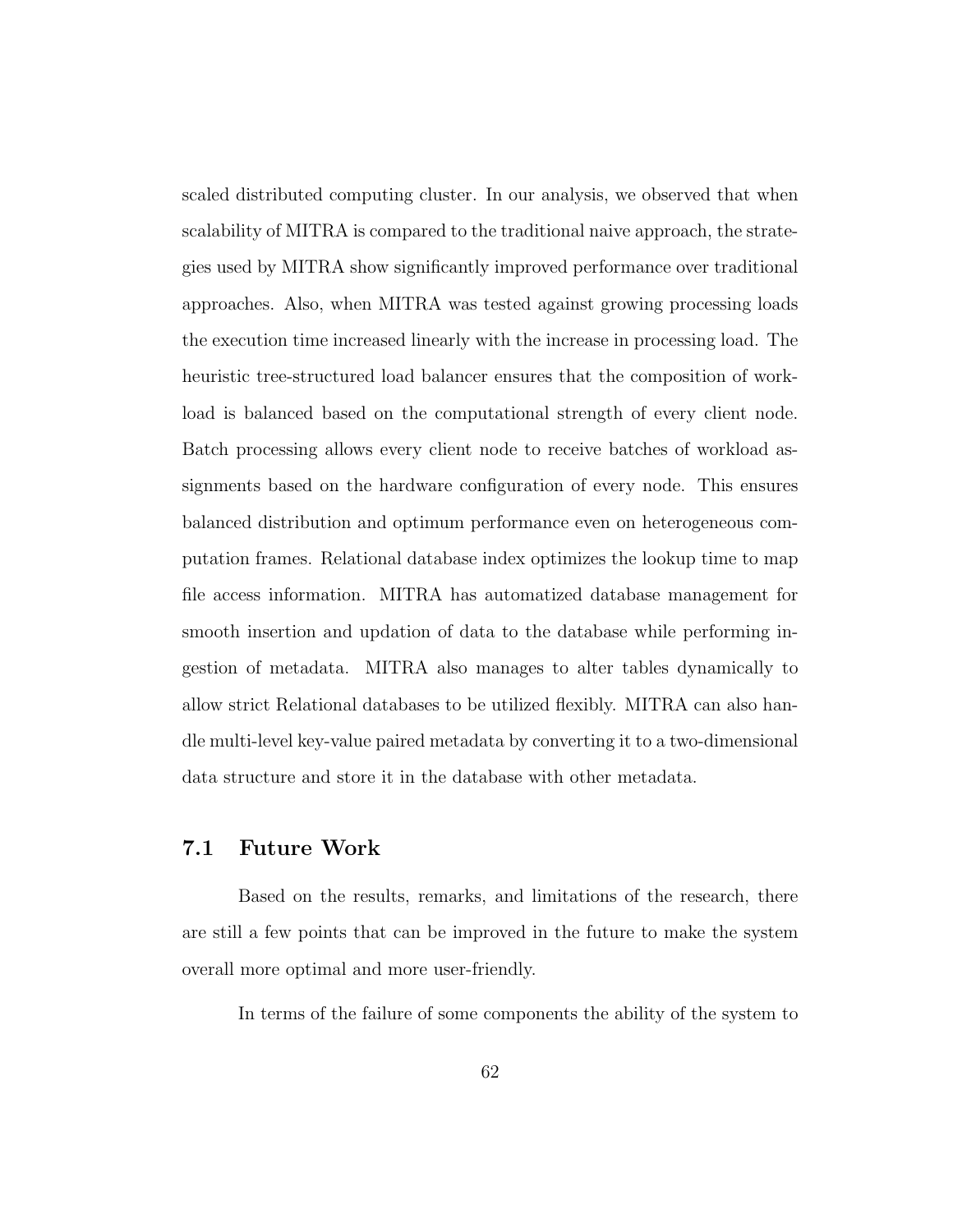scaled distributed computing cluster. In our analysis, we observed that when scalability of MITRA is compared to the traditional naive approach, the strategies used by MITRA show significantly improved performance over traditional approaches. Also, when MITRA was tested against growing processing loads the execution time increased linearly with the increase in processing load. The heuristic tree-structured load balancer ensures that the composition of workload is balanced based on the computational strength of every client node. Batch processing allows every client node to receive batches of workload assignments based on the hardware configuration of every node. This ensures balanced distribution and optimum performance even on heterogeneous computation frames. Relational database index optimizes the lookup time to map file access information. MITRA has automatized database management for smooth insertion and updation of data to the database while performing ingestion of metadata. MITRA also manages to alter tables dynamically to allow strict Relational databases to be utilized flexibly. MITRA can also handle multi-level key-value paired metadata by converting it to a two-dimensional data structure and store it in the database with other metadata.

### 7.1 Future Work

Based on the results, remarks, and limitations of the research, there are still a few points that can be improved in the future to make the system overall more optimal and more user-friendly.

In terms of the failure of some components the ability of the system to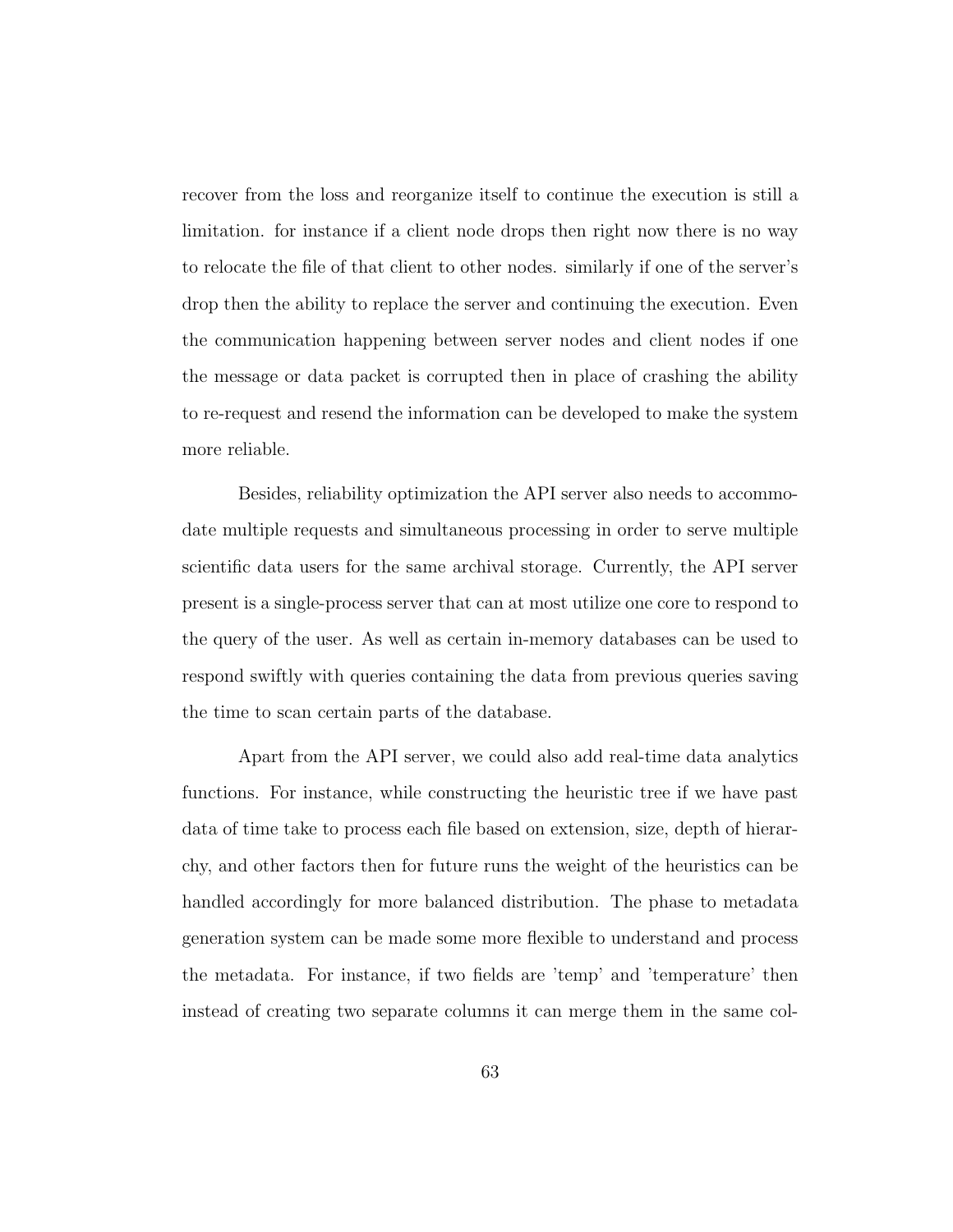recover from the loss and reorganize itself to continue the execution is still a limitation. for instance if a client node drops then right now there is no way to relocate the file of that client to other nodes. similarly if one of the server's drop then the ability to replace the server and continuing the execution. Even the communication happening between server nodes and client nodes if one the message or data packet is corrupted then in place of crashing the ability to re-request and resend the information can be developed to make the system more reliable.

Besides, reliability optimization the API server also needs to accommodate multiple requests and simultaneous processing in order to serve multiple scientific data users for the same archival storage. Currently, the API server present is a single-process server that can at most utilize one core to respond to the query of the user. As well as certain in-memory databases can be used to respond swiftly with queries containing the data from previous queries saving the time to scan certain parts of the database.

Apart from the API server, we could also add real-time data analytics functions. For instance, while constructing the heuristic tree if we have past data of time take to process each file based on extension, size, depth of hierarchy, and other factors then for future runs the weight of the heuristics can be handled accordingly for more balanced distribution. The phase to metadata generation system can be made some more flexible to understand and process the metadata. For instance, if two fields are 'temp' and 'temperature' then instead of creating two separate columns it can merge them in the same col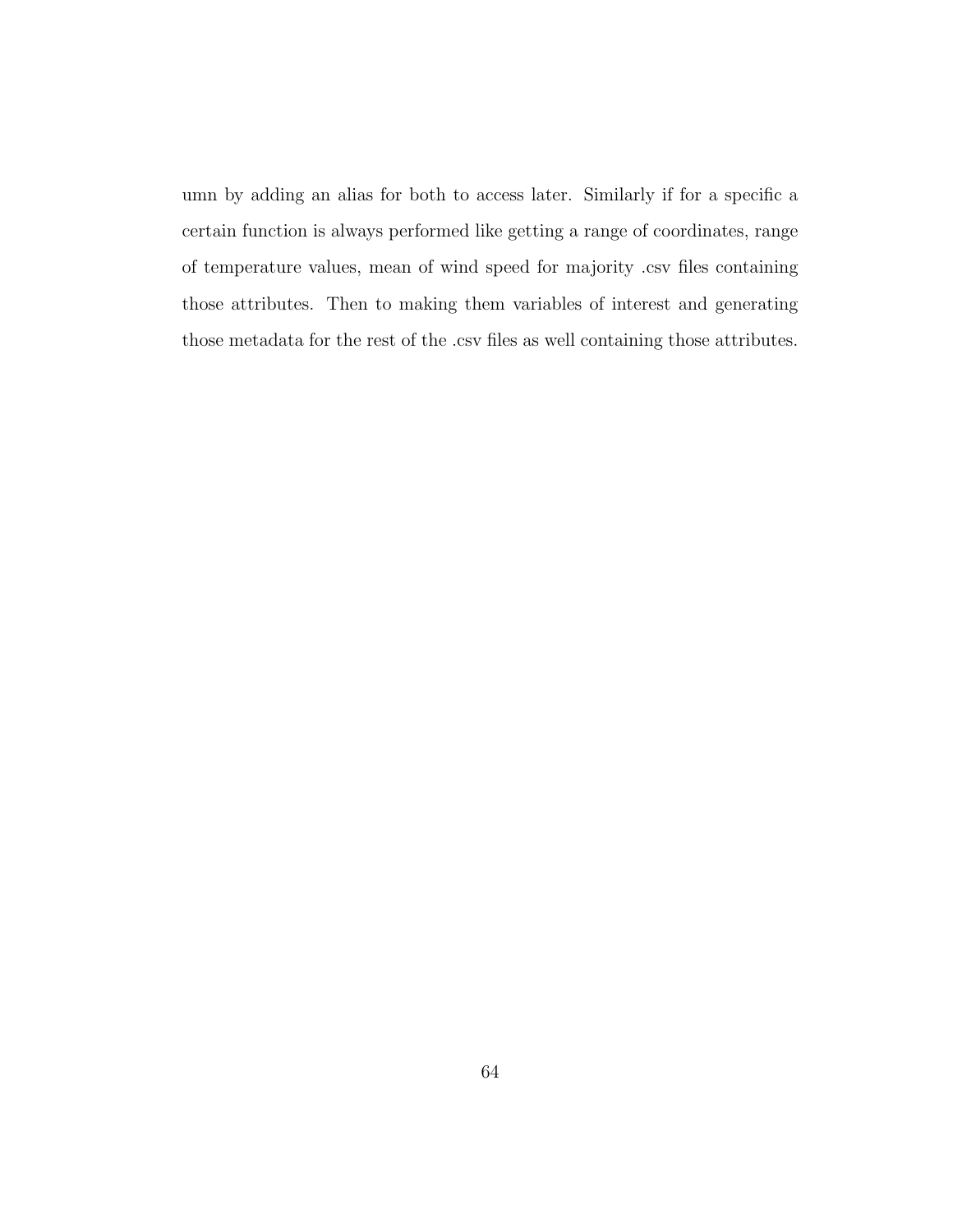umn by adding an alias for both to access later. Similarly if for a specific a certain function is always performed like getting a range of coordinates, range of temperature values, mean of wind speed for majority .csv files containing those attributes. Then to making them variables of interest and generating those metadata for the rest of the .csv files as well containing those attributes.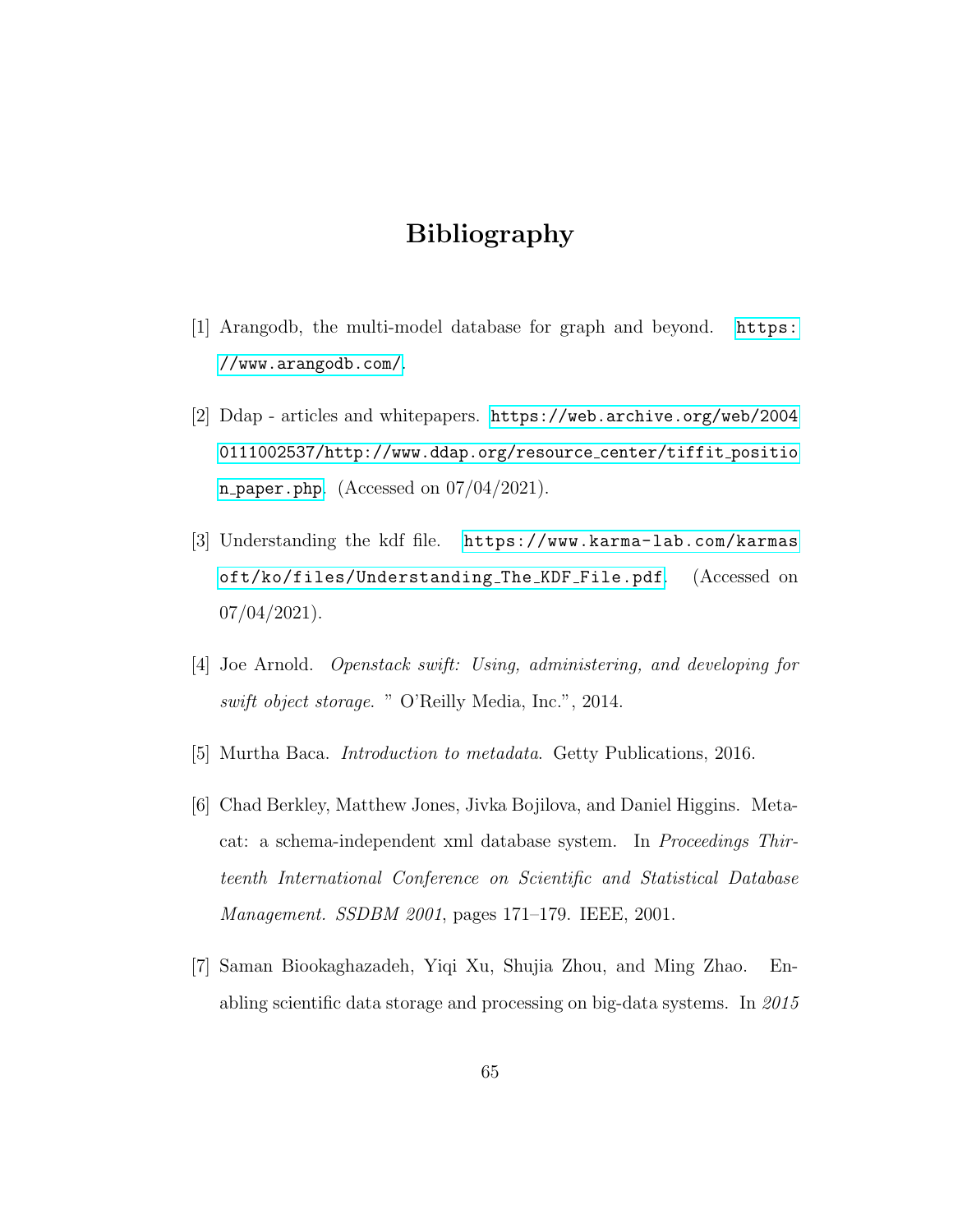## Bibliography

- [1] Arangodb, the multi-model database for graph and beyond. [https:](https://www.arangodb.com/) [//www.arangodb.com/](https://www.arangodb.com/).
- [2] Ddap articles and whitepapers. [https://web.archive.org/web/2004](https://web.archive.org/web/20040111002537/http://www.ddap.org/resource_center/tiffit_position_paper.php) [0111002537/http://www.ddap.org/resource](https://web.archive.org/web/20040111002537/http://www.ddap.org/resource_center/tiffit_position_paper.php) center/tiffit positio n [paper.php](https://web.archive.org/web/20040111002537/http://www.ddap.org/resource_center/tiffit_position_paper.php). (Accessed on  $07/04/2021$ ).
- [3] Understanding the kdf file. [https://www.karma-lab.com/karmas](https://www.karma-lab.com/karmasoft/ko/files/Understanding_The_KDF_File.pdf) [oft/ko/files/Understanding](https://www.karma-lab.com/karmasoft/ko/files/Understanding_The_KDF_File.pdf) The KDF File.pdf. (Accessed on  $07/04/2021$ ).
- [4] Joe Arnold. Openstack swift: Using, administering, and developing for swift object storage. " O'Reilly Media, Inc.", 2014.
- [5] Murtha Baca. Introduction to metadata. Getty Publications, 2016.
- [6] Chad Berkley, Matthew Jones, Jivka Bojilova, and Daniel Higgins. Metacat: a schema-independent xml database system. In Proceedings Thirteenth International Conference on Scientific and Statistical Database Management. SSDBM 2001, pages 171–179. IEEE, 2001.
- [7] Saman Biookaghazadeh, Yiqi Xu, Shujia Zhou, and Ming Zhao. Enabling scientific data storage and processing on big-data systems. In 2015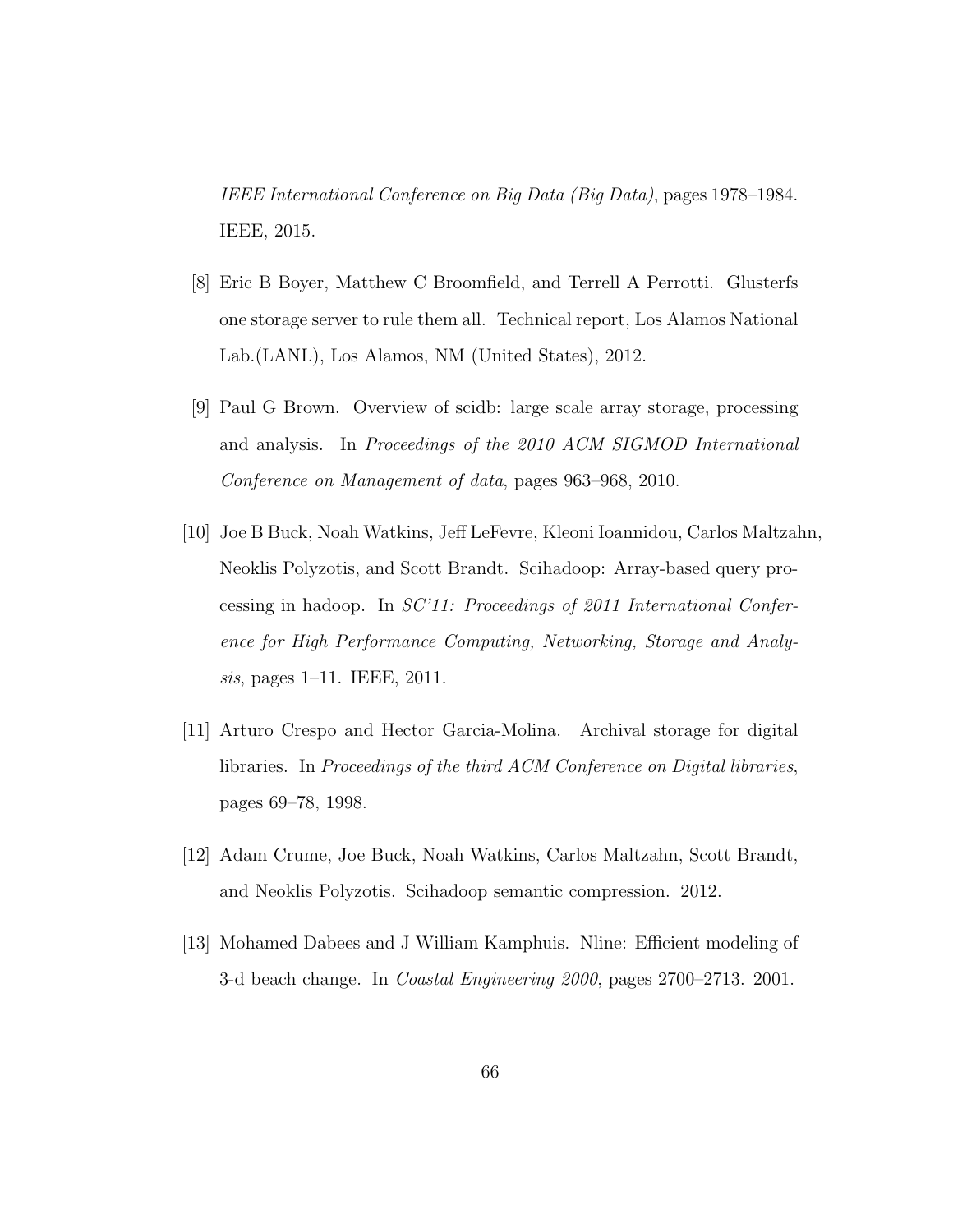IEEE International Conference on Big Data (Big Data), pages 1978–1984. IEEE, 2015.

- [8] Eric B Boyer, Matthew C Broomfield, and Terrell A Perrotti. Glusterfs one storage server to rule them all. Technical report, Los Alamos National Lab.(LANL), Los Alamos, NM (United States), 2012.
- [9] Paul G Brown. Overview of scidb: large scale array storage, processing and analysis. In Proceedings of the 2010 ACM SIGMOD International Conference on Management of data, pages 963–968, 2010.
- [10] Joe B Buck, Noah Watkins, Jeff LeFevre, Kleoni Ioannidou, Carlos Maltzahn, Neoklis Polyzotis, and Scott Brandt. Scihadoop: Array-based query processing in hadoop. In SC'11: Proceedings of 2011 International Conference for High Performance Computing, Networking, Storage and Analysis, pages 1–11. IEEE, 2011.
- [11] Arturo Crespo and Hector Garcia-Molina. Archival storage for digital libraries. In Proceedings of the third ACM Conference on Digital libraries, pages 69–78, 1998.
- [12] Adam Crume, Joe Buck, Noah Watkins, Carlos Maltzahn, Scott Brandt, and Neoklis Polyzotis. Scihadoop semantic compression. 2012.
- [13] Mohamed Dabees and J William Kamphuis. Nline: Efficient modeling of 3-d beach change. In Coastal Engineering 2000, pages 2700–2713. 2001.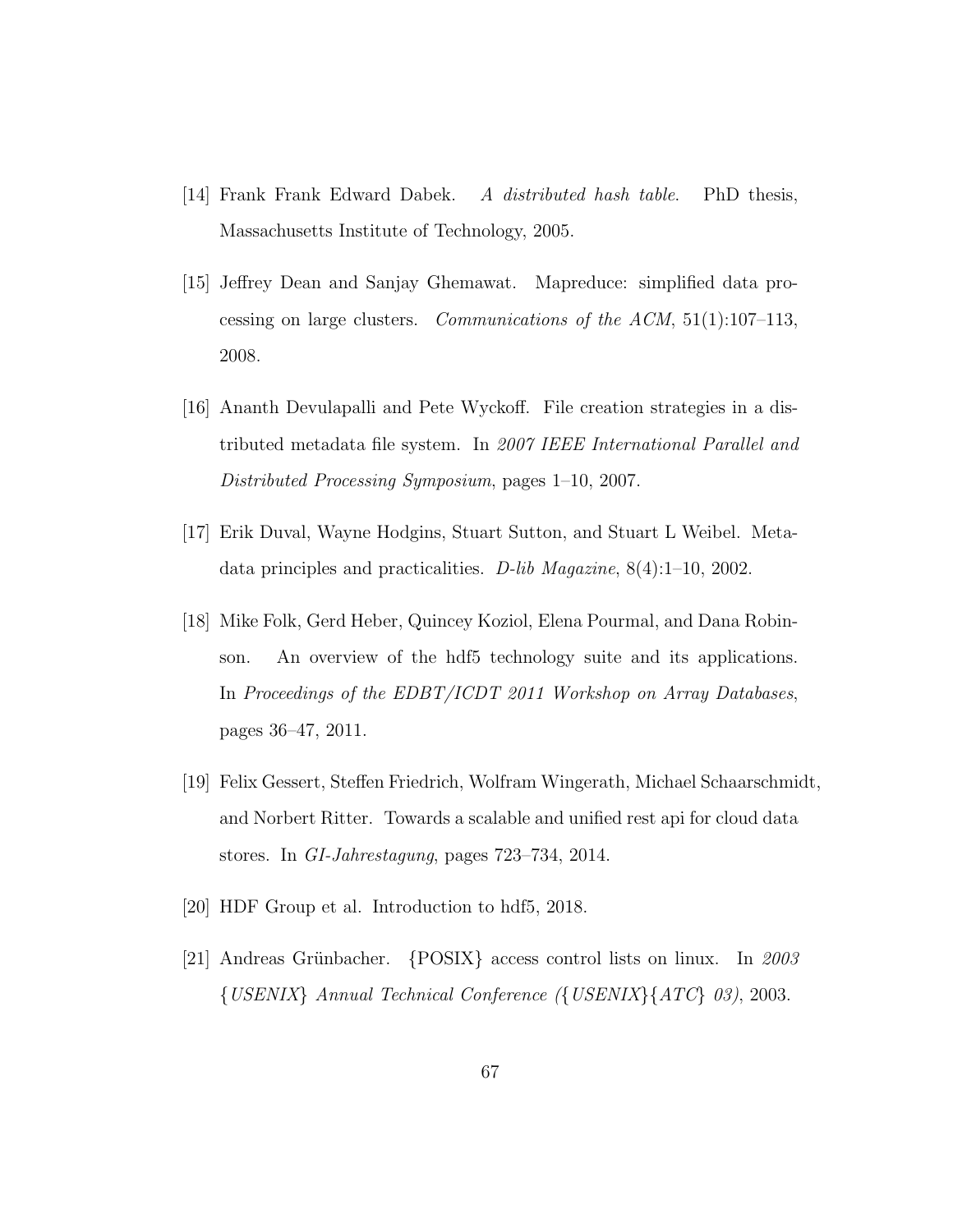- [14] Frank Frank Edward Dabek. A distributed hash table. PhD thesis, Massachusetts Institute of Technology, 2005.
- [15] Jeffrey Dean and Sanjay Ghemawat. Mapreduce: simplified data processing on large clusters. Communications of the ACM,  $51(1):107-113$ , 2008.
- [16] Ananth Devulapalli and Pete Wyckoff. File creation strategies in a distributed metadata file system. In 2007 IEEE International Parallel and Distributed Processing Symposium, pages 1–10, 2007.
- [17] Erik Duval, Wayne Hodgins, Stuart Sutton, and Stuart L Weibel. Metadata principles and practicalities. D-lib Magazine, 8(4):1–10, 2002.
- [18] Mike Folk, Gerd Heber, Quincey Koziol, Elena Pourmal, and Dana Robinson. An overview of the hdf5 technology suite and its applications. In Proceedings of the EDBT/ICDT 2011 Workshop on Array Databases, pages 36–47, 2011.
- [19] Felix Gessert, Steffen Friedrich, Wolfram Wingerath, Michael Schaarschmidt, and Norbert Ritter. Towards a scalable and unified rest api for cloud data stores. In GI-Jahrestagung, pages 723–734, 2014.
- [20] HDF Group et al. Introduction to hdf5, 2018.
- [21] Andreas Grünbacher.  ${POSIX}$  access control lists on linux. In 2003  $\{USENIX\}$  Annual Technical Conference  $(\{USENIX\}\{ATC\}$  03), 2003.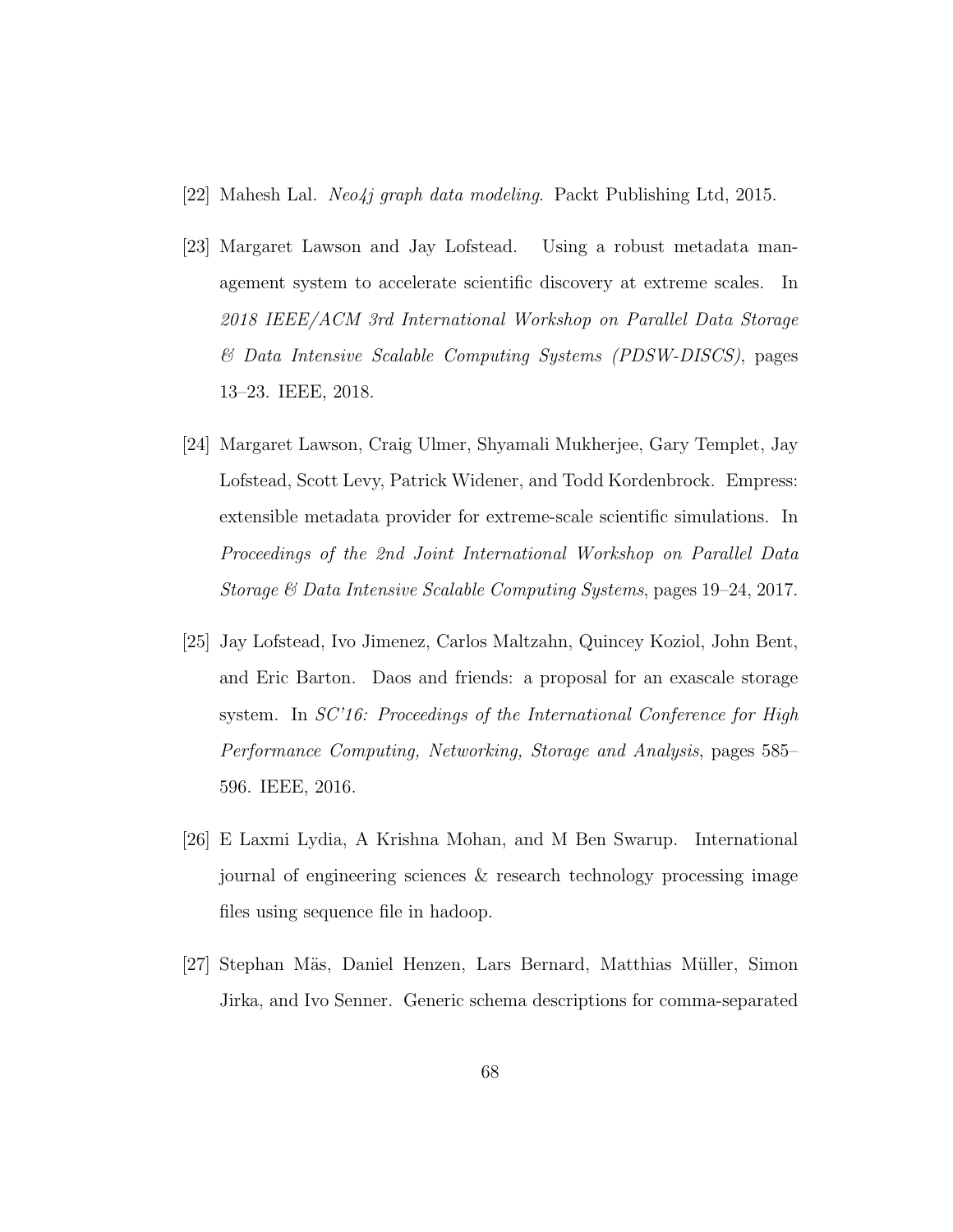- [22] Mahesh Lal. *Neo4j graph data modeling*. Packt Publishing Ltd, 2015.
- [23] Margaret Lawson and Jay Lofstead. Using a robust metadata management system to accelerate scientific discovery at extreme scales. In 2018 IEEE/ACM 3rd International Workshop on Parallel Data Storage & Data Intensive Scalable Computing Systems (PDSW-DISCS), pages 13–23. IEEE, 2018.
- [24] Margaret Lawson, Craig Ulmer, Shyamali Mukherjee, Gary Templet, Jay Lofstead, Scott Levy, Patrick Widener, and Todd Kordenbrock. Empress: extensible metadata provider for extreme-scale scientific simulations. In Proceedings of the 2nd Joint International Workshop on Parallel Data Storage & Data Intensive Scalable Computing Systems, pages 19–24, 2017.
- [25] Jay Lofstead, Ivo Jimenez, Carlos Maltzahn, Quincey Koziol, John Bent, and Eric Barton. Daos and friends: a proposal for an exascale storage system. In SC'16: Proceedings of the International Conference for High Performance Computing, Networking, Storage and Analysis, pages 585– 596. IEEE, 2016.
- [26] E Laxmi Lydia, A Krishna Mohan, and M Ben Swarup. International journal of engineering sciences & research technology processing image files using sequence file in hadoop.
- [27] Stephan M¨as, Daniel Henzen, Lars Bernard, Matthias M¨uller, Simon Jirka, and Ivo Senner. Generic schema descriptions for comma-separated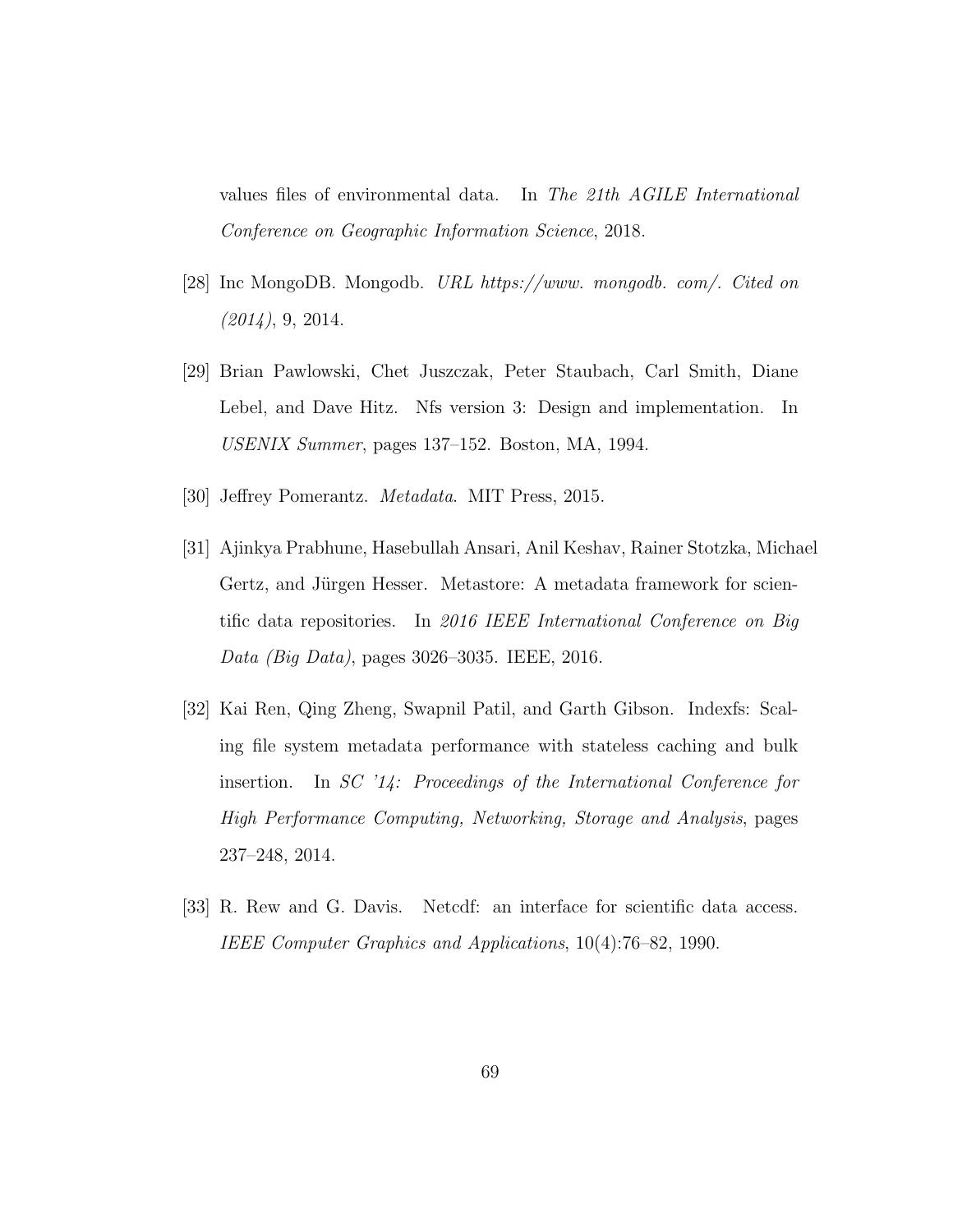values files of environmental data. In The 21th AGILE International Conference on Geographic Information Science, 2018.

- [28] Inc MongoDB. Mongodb. URL https://www. mongodb. com/. Cited on  $(2014)$ , 9, 2014.
- [29] Brian Pawlowski, Chet Juszczak, Peter Staubach, Carl Smith, Diane Lebel, and Dave Hitz. Nfs version 3: Design and implementation. In USENIX Summer, pages 137–152. Boston, MA, 1994.
- [30] Jeffrey Pomerantz. Metadata. MIT Press, 2015.
- [31] Ajinkya Prabhune, Hasebullah Ansari, Anil Keshav, Rainer Stotzka, Michael Gertz, and Jürgen Hesser. Metastore: A metadata framework for scientific data repositories. In 2016 IEEE International Conference on Big Data (Big Data), pages 3026–3035. IEEE, 2016.
- [32] Kai Ren, Qing Zheng, Swapnil Patil, and Garth Gibson. Indexfs: Scaling file system metadata performance with stateless caching and bulk insertion. In SC '14: Proceedings of the International Conference for High Performance Computing, Networking, Storage and Analysis, pages 237–248, 2014.
- [33] R. Rew and G. Davis. Netcdf: an interface for scientific data access. IEEE Computer Graphics and Applications, 10(4):76–82, 1990.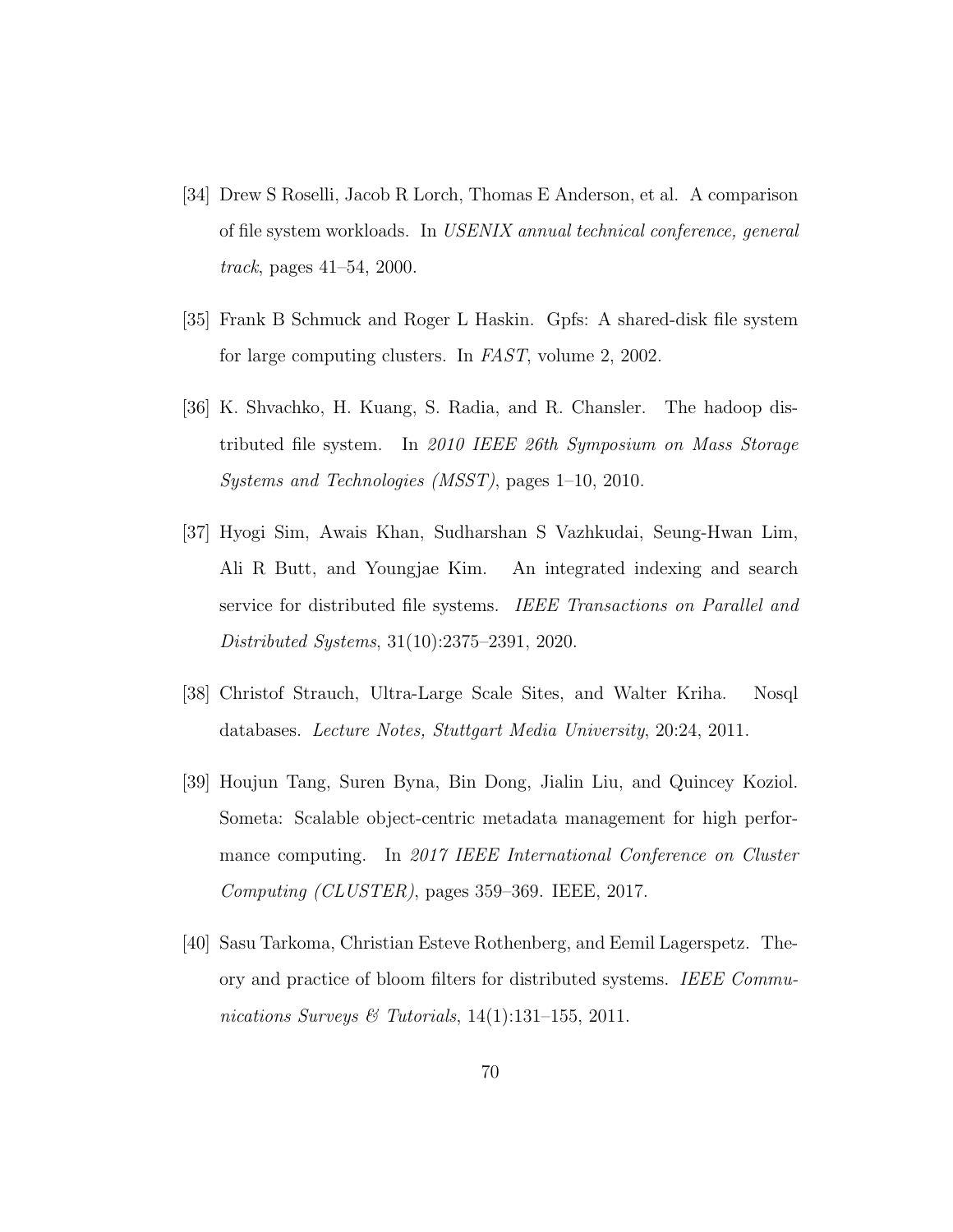- [34] Drew S Roselli, Jacob R Lorch, Thomas E Anderson, et al. A comparison of file system workloads. In USENIX annual technical conference, general track, pages 41–54, 2000.
- [35] Frank B Schmuck and Roger L Haskin. Gpfs: A shared-disk file system for large computing clusters. In FAST, volume 2, 2002.
- [36] K. Shvachko, H. Kuang, S. Radia, and R. Chansler. The hadoop distributed file system. In 2010 IEEE 26th Symposium on Mass Storage Systems and Technologies (MSST), pages 1–10, 2010.
- [37] Hyogi Sim, Awais Khan, Sudharshan S Vazhkudai, Seung-Hwan Lim, Ali R Butt, and Youngjae Kim. An integrated indexing and search service for distributed file systems. IEEE Transactions on Parallel and Distributed Systems, 31(10):2375–2391, 2020.
- [38] Christof Strauch, Ultra-Large Scale Sites, and Walter Kriha. Nosql databases. Lecture Notes, Stuttgart Media University, 20:24, 2011.
- [39] Houjun Tang, Suren Byna, Bin Dong, Jialin Liu, and Quincey Koziol. Someta: Scalable object-centric metadata management for high performance computing. In 2017 IEEE International Conference on Cluster Computing (CLUSTER), pages 359–369. IEEE, 2017.
- [40] Sasu Tarkoma, Christian Esteve Rothenberg, and Eemil Lagerspetz. Theory and practice of bloom filters for distributed systems. IEEE Communications Surveys & Tutorials,  $14(1):131-155$ ,  $2011$ .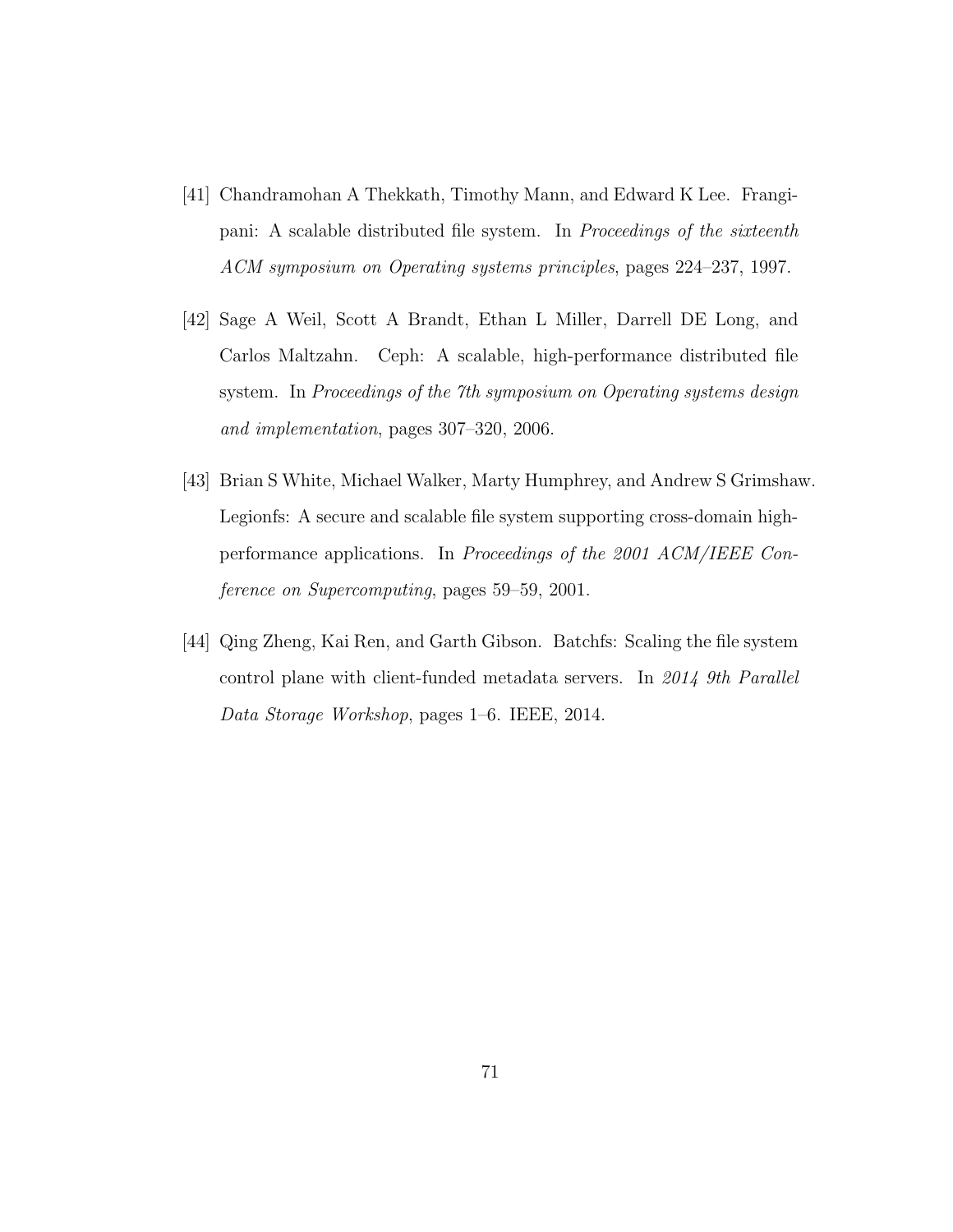- [41] Chandramohan A Thekkath, Timothy Mann, and Edward K Lee. Frangipani: A scalable distributed file system. In Proceedings of the sixteenth ACM symposium on Operating systems principles, pages 224–237, 1997.
- [42] Sage A Weil, Scott A Brandt, Ethan L Miller, Darrell DE Long, and Carlos Maltzahn. Ceph: A scalable, high-performance distributed file system. In Proceedings of the 7th symposium on Operating systems design and implementation, pages 307–320, 2006.
- [43] Brian S White, Michael Walker, Marty Humphrey, and Andrew S Grimshaw. Legionfs: A secure and scalable file system supporting cross-domain highperformance applications. In Proceedings of the 2001 ACM/IEEE Conference on Supercomputing, pages 59–59, 2001.
- [44] Qing Zheng, Kai Ren, and Garth Gibson. Batchfs: Scaling the file system control plane with client-funded metadata servers. In 2014 9th Parallel Data Storage Workshop, pages 1–6. IEEE, 2014.